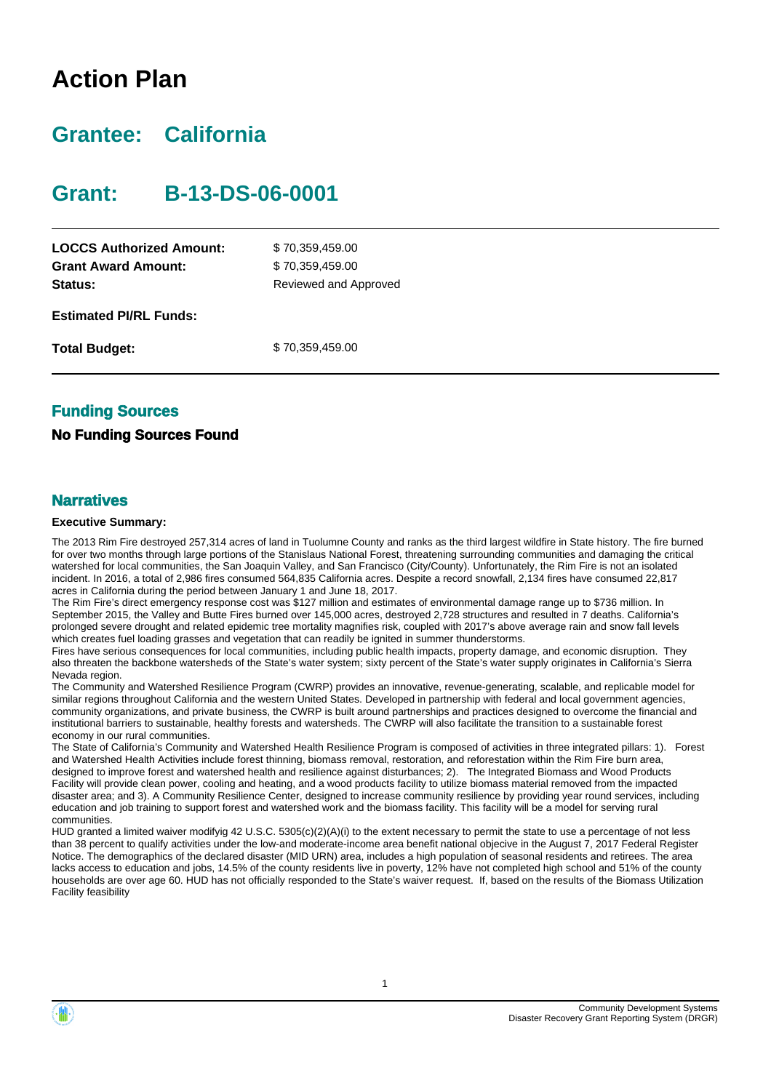# **Action Plan**

# **Grantee: California**

# **Grant: B-13-DS-06-0001**

| <b>LOCCS Authorized Amount:</b><br><b>Grant Award Amount:</b> | \$70,359,459.00<br>\$70,359,459.00 |
|---------------------------------------------------------------|------------------------------------|
| <b>Status:</b>                                                | Reviewed and Approved              |
| <b>Estimated PI/RL Funds:</b>                                 |                                    |
| <b>Total Budget:</b>                                          | \$70,359,459.00                    |

## **Funding Sources**

### **No Funding Sources Found**

#### **Narratives**

#### **Executive Summary:**

The 2013 Rim Fire destroyed 257,314 acres of land in Tuolumne County and ranks as the third largest wildfire in State history. The fire burned for over two months through large portions of the Stanislaus National Forest, threatening surrounding communities and damaging the critical watershed for local communities, the San Joaquin Valley, and San Francisco (City/County). Unfortunately, the Rim Fire is not an isolated incident. In 2016, a total of 2,986 fires consumed 564,835 California acres. Despite a record snowfall, 2,134 fires have consumed 22,817 acres in California during the period between January 1 and June 18, 2017.

The Rim Fire's direct emergency response cost was \$127 million and estimates of environmental damage range up to \$736 million. In September 2015, the Valley and Butte Fires burned over 145,000 acres, destroyed 2,728 structures and resulted in 7 deaths. California's prolonged severe drought and related epidemic tree mortality magnifies risk, coupled with 2017's above average rain and snow fall levels which creates fuel loading grasses and vegetation that can readily be ignited in summer thunderstorms.

Fires have serious consequences for local communities, including public health impacts, property damage, and economic disruption. They also threaten the backbone watersheds of the State's water system; sixty percent of the State's water supply originates in California's Sierra Nevada region.

The Community and Watershed Resilience Program (CWRP) provides an innovative, revenue-generating, scalable, and replicable model for similar regions throughout California and the western United States. Developed in partnership with federal and local government agencies, community organizations, and private business, the CWRP is built around partnerships and practices designed to overcome the financial and institutional barriers to sustainable, healthy forests and watersheds. The CWRP will also facilitate the transition to a sustainable forest economy in our rural communities.

The State of California's Community and Watershed Health Resilience Program is composed of activities in three integrated pillars: 1). Forest and Watershed Health Activities include forest thinning, biomass removal, restoration, and reforestation within the Rim Fire burn area, designed to improve forest and watershed health and resilience against disturbances; 2). The Integrated Biomass and Wood Products Facility will provide clean power, cooling and heating, and a wood products facility to utilize biomass material removed from the impacted disaster area; and 3). A Community Resilience Center, designed to increase community resilience by providing year round services, including education and job training to support forest and watershed work and the biomass facility. This facility will be a model for serving rural communities.

HUD granted a limited waiver modifyig 42 U.S.C. 5305(c)(2)(A)(i) to the extent necessary to permit the state to use a percentage of not less than 38 percent to qualify activities under the low-and moderate-income area benefit national objecive in the August 7, 2017 Federal Register Notice. The demographics of the declared disaster (MID URN) area, includes a high population of seasonal residents and retirees. The area lacks access to education and jobs, 14.5% of the county residents live in poverty, 12% have not completed high school and 51% of the county households are over age 60. HUD has not officially responded to the State's waiver request. If, based on the results of the Biomass Utilization Facility feasibility

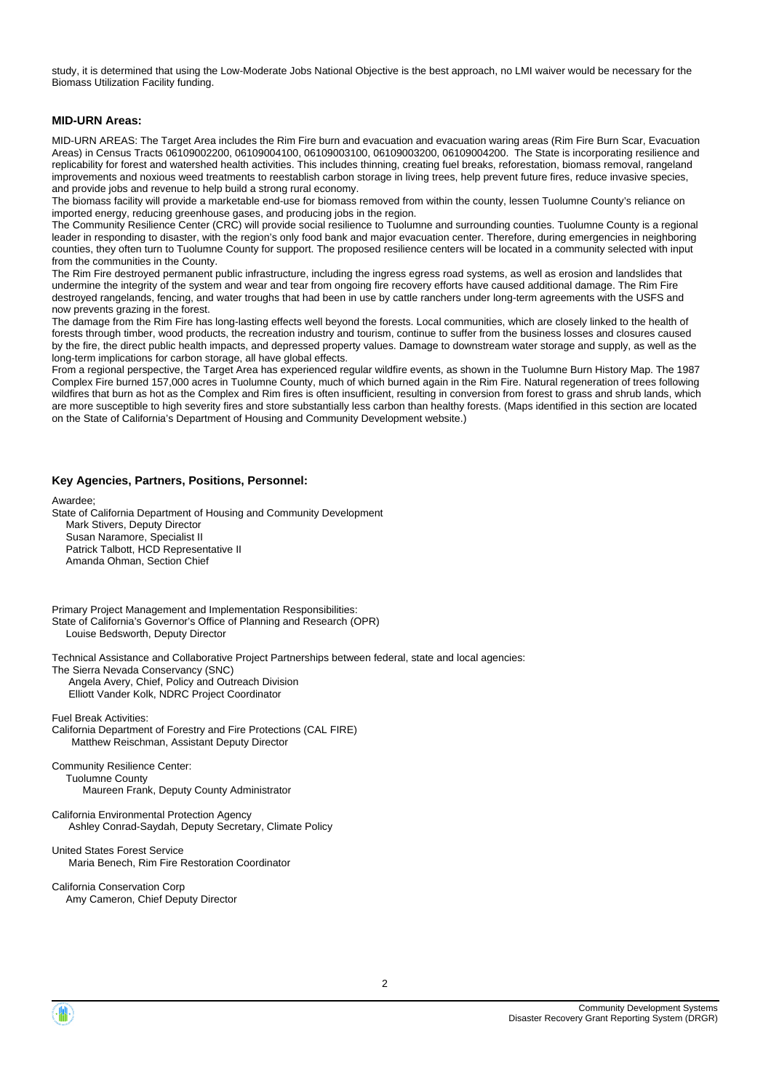study, it is determined that using the Low-Moderate Jobs National Objective is the best approach, no LMI waiver would be necessary for the Biomass Utilization Facility funding.

#### **MID-URN Areas:**

MID-URN AREAS: The Target Area includes the Rim Fire burn and evacuation and evacuation waring areas (Rim Fire Burn Scar, Evacuation Areas) in Census Tracts 06109002200, 06109004100, 06109003100, 06109003200, 06109004200. The State is incorporating resilience and replicability for forest and watershed health activities. This includes thinning, creating fuel breaks, reforestation, biomass removal, rangeland improvements and noxious weed treatments to reestablish carbon storage in living trees, help prevent future fires, reduce invasive species, and provide jobs and revenue to help build a strong rural economy.

The biomass facility will provide a marketable end-use for biomass removed from within the county, lessen Tuolumne County's reliance on imported energy, reducing greenhouse gases, and producing jobs in the region.

The Community Resilience Center (CRC) will provide social resilience to Tuolumne and surrounding counties. Tuolumne County is a regional leader in responding to disaster, with the region's only food bank and major evacuation center. Therefore, during emergencies in neighboring counties, they often turn to Tuolumne County for support. The proposed resilience centers will be located in a community selected with input from the communities in the County.

The Rim Fire destroyed permanent public infrastructure, including the ingress egress road systems, as well as erosion and landslides that undermine the integrity of the system and wear and tear from ongoing fire recovery efforts have caused additional damage. The Rim Fire destroyed rangelands, fencing, and water troughs that had been in use by cattle ranchers under long-term agreements with the USFS and now prevents grazing in the forest.

The damage from the Rim Fire has long-lasting effects well beyond the forests. Local communities, which are closely linked to the health of forests through timber, wood products, the recreation industry and tourism, continue to suffer from the business losses and closures caused by the fire, the direct public health impacts, and depressed property values. Damage to downstream water storage and supply, as well as the long-term implications for carbon storage, all have global effects.

From a regional perspective, the Target Area has experienced regular wildfire events, as shown in the Tuolumne Burn History Map. The 1987 Complex Fire burned 157,000 acres in Tuolumne County, much of which burned again in the Rim Fire. Natural regeneration of trees following wildfires that burn as hot as the Complex and Rim fires is often insufficient, resulting in conversion from forest to grass and shrub lands, which are more susceptible to high severity fires and store substantially less carbon than healthy forests. (Maps identified in this section are located on the State of California's Department of Housing and Community Development website.)

#### **Key Agencies, Partners, Positions, Personnel:**

Awardee;

State of California Department of Housing and Community Development Mark Stivers, Deputy Director Susan Naramore, Specialist II Patrick Talbott, HCD Representative II Amanda Ohman, Section Chief

Primary Project Management and Implementation Responsibilities: State of California's Governor's Office of Planning and Research (OPR) Louise Bedsworth, Deputy Director

Technical Assistance and Collaborative Project Partnerships between federal, state and local agencies:

The Sierra Nevada Conservancy (SNC)

 Angela Avery, Chief, Policy and Outreach Division Elliott Vander Kolk, NDRC Project Coordinator

Fuel Break Activities: California Department of Forestry and Fire Protections (CAL FIRE) Matthew Reischman, Assistant Deputy Director

Community Resilience Center: Tuolumne County Maureen Frank, Deputy County Administrator

California Environmental Protection Agency Ashley Conrad-Saydah, Deputy Secretary, Climate Policy

United States Forest Service Maria Benech, Rim Fire Restoration Coordinator

California Conservation Corp Amy Cameron, Chief Deputy Director

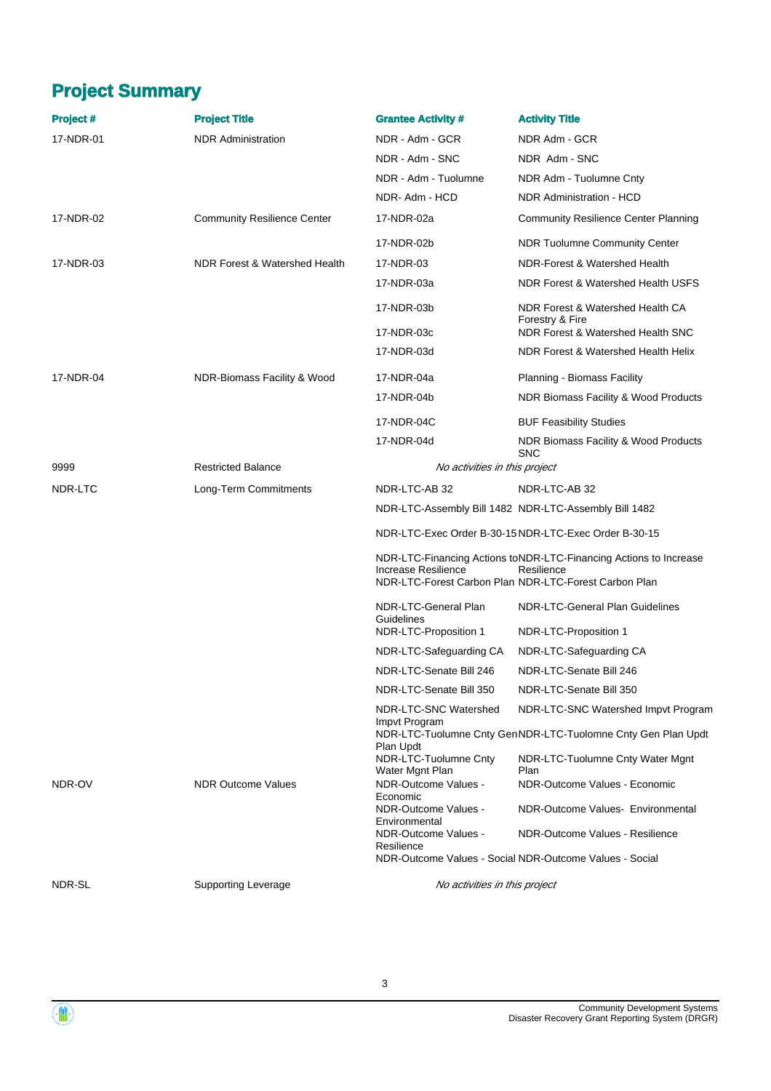# **Project Summary**

| <b>Project#</b> | <b>Project Title</b>               | <b>Grantee Activity #</b>                | <b>Activity Title</b>                                                                                                                    |
|-----------------|------------------------------------|------------------------------------------|------------------------------------------------------------------------------------------------------------------------------------------|
| 17-NDR-01       | <b>NDR Administration</b>          | NDR - Adm - GCR                          | NDR Adm - GCR                                                                                                                            |
|                 |                                    | NDR - Adm - SNC                          | NDR Adm - SNC                                                                                                                            |
|                 |                                    | NDR - Adm - Tuolumne                     | NDR Adm - Tuolumne Cnty                                                                                                                  |
|                 |                                    | NDR-Adm-HCD                              | <b>NDR Administration - HCD</b>                                                                                                          |
| 17-NDR-02       | <b>Community Resilience Center</b> | 17-NDR-02a                               | <b>Community Resilience Center Planning</b>                                                                                              |
|                 |                                    | 17-NDR-02b                               | <b>NDR Tuolumne Community Center</b>                                                                                                     |
| 17-NDR-03       | NDR Forest & Watershed Health      | 17-NDR-03                                | NDR-Forest & Watershed Health                                                                                                            |
|                 |                                    | 17-NDR-03a                               | NDR Forest & Watershed Health USFS                                                                                                       |
|                 |                                    | 17-NDR-03b                               | NDR Forest & Watershed Health CA<br>Forestry & Fire                                                                                      |
|                 |                                    | 17-NDR-03c                               | NDR Forest & Watershed Health SNC                                                                                                        |
|                 |                                    | 17-NDR-03d                               | NDR Forest & Watershed Health Helix                                                                                                      |
| 17-NDR-04       | NDR-Biomass Facility & Wood        | 17-NDR-04a                               | Planning - Biomass Facility                                                                                                              |
|                 |                                    | 17-NDR-04b                               | NDR Biomass Facility & Wood Products                                                                                                     |
|                 |                                    | 17-NDR-04C                               | <b>BUF Feasibility Studies</b>                                                                                                           |
|                 |                                    | 17-NDR-04d                               | NDR Biomass Facility & Wood Products<br><b>SNC</b>                                                                                       |
| 9999            | <b>Restricted Balance</b>          | No activities in this project            |                                                                                                                                          |
| NDR-LTC         | Long-Term Commitments              | NDR-LTC-AB 32                            | NDR-LTC-AB 32                                                                                                                            |
|                 |                                    |                                          | NDR-LTC-Assembly Bill 1482 NDR-LTC-Assembly Bill 1482                                                                                    |
|                 |                                    |                                          | NDR-LTC-Exec Order B-30-15 NDR-LTC-Exec Order B-30-15                                                                                    |
|                 |                                    | Increase Resilience                      | NDR-LTC-Financing Actions toNDR-LTC-Financing Actions to Increase<br>Resilience<br>NDR-LTC-Forest Carbon Plan NDR-LTC-Forest Carbon Plan |
|                 |                                    | NDR-LTC-General Plan                     | NDR-LTC-General Plan Guidelines                                                                                                          |
|                 |                                    | Guidelines<br>NDR-LTC-Proposition 1      | NDR-LTC-Proposition 1                                                                                                                    |
|                 |                                    | NDR-LTC-Safeguarding CA                  | NDR-LTC-Safeguarding CA                                                                                                                  |
|                 |                                    | NDR-LTC-Senate Bill 246                  | NDR-LTC-Senate Bill 246                                                                                                                  |
|                 |                                    | NDR-LTC-Senate Bill 350                  | NDR-LTC-Senate Bill 350                                                                                                                  |
|                 |                                    | NDR-LTC-SNC Watershed<br>Impvt Program   | NDR-LTC-SNC Watershed Impvt Program                                                                                                      |
|                 |                                    | Plan Updt                                | NDR-LTC-Tuolumne Cnty GenNDR-LTC-Tuolomne Cnty Gen Plan Updt                                                                             |
|                 |                                    | NDR-LTC-Tuolumne Cnty<br>Water Mgnt Plan | NDR-LTC-Tuolumne Cnty Water Mgnt<br>Plan                                                                                                 |
| NDR-OV          | <b>NDR Outcome Values</b>          | NDR-Outcome Values -<br>Economic         | NDR-Outcome Values - Economic                                                                                                            |
|                 |                                    | NDR-Outcome Values -<br>Environmental    | NDR-Outcome Values- Environmental                                                                                                        |
|                 |                                    | NDR-Outcome Values -<br>Resilience       | NDR-Outcome Values - Resilience                                                                                                          |
|                 |                                    |                                          | NDR-Outcome Values - Social NDR-Outcome Values - Social                                                                                  |
| NDR-SL          | Supporting Leverage                | No activities in this project            |                                                                                                                                          |



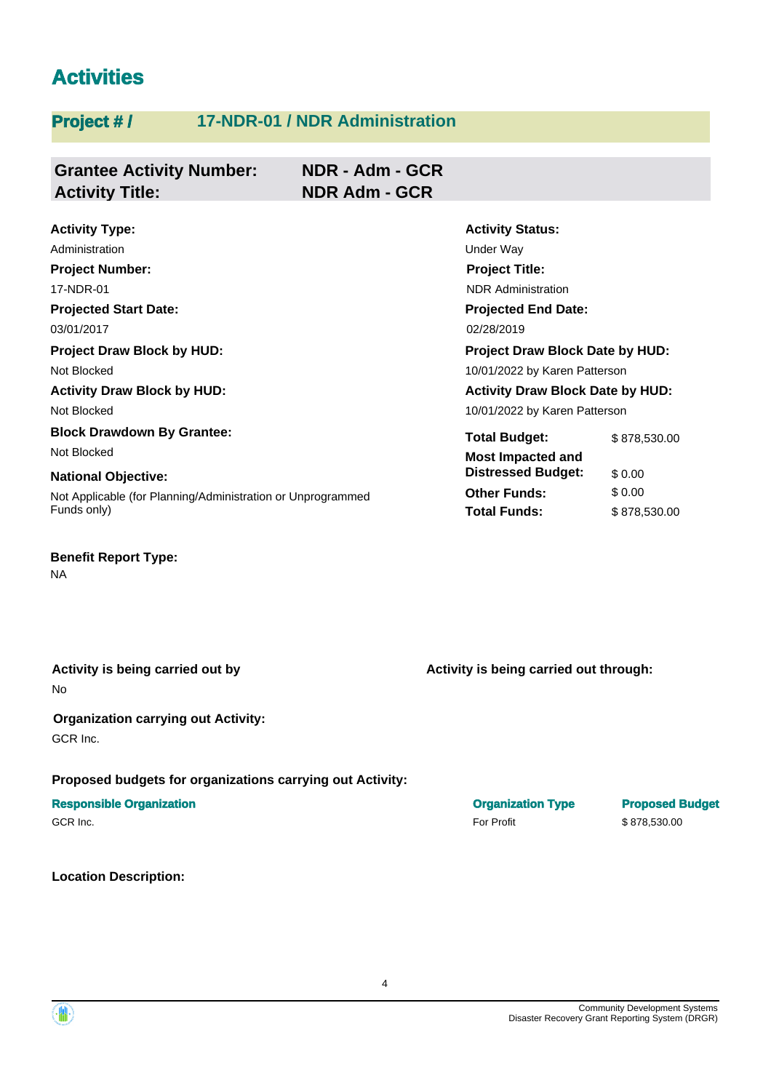# **Activities**

# **Project #/** 17-NDR-01 / NDR Administration

| <b>Grantee Activity Number:</b> | NDR - Adm - GCR      |
|---------------------------------|----------------------|
| <b>Activity Title:</b>          | <b>NDR Adm - GCR</b> |

| <b>Activity Type:</b>                                       | <b>Activity Status:</b>                 |              |  |
|-------------------------------------------------------------|-----------------------------------------|--------------|--|
| Administration                                              | Under Way                               |              |  |
| <b>Project Number:</b>                                      | <b>Project Title:</b>                   |              |  |
| 17-NDR-01                                                   | <b>NDR</b> Administration               |              |  |
| <b>Projected Start Date:</b>                                | <b>Projected End Date:</b>              |              |  |
| 03/01/2017                                                  | 02/28/2019                              |              |  |
| <b>Project Draw Block by HUD:</b>                           | <b>Project Draw Block Date by HUD:</b>  |              |  |
| Not Blocked                                                 | 10/01/2022 by Karen Patterson           |              |  |
| <b>Activity Draw Block by HUD:</b>                          | <b>Activity Draw Block Date by HUD:</b> |              |  |
| Not Blocked                                                 | 10/01/2022 by Karen Patterson           |              |  |
| <b>Block Drawdown By Grantee:</b>                           | <b>Total Budget:</b>                    | \$878,530.00 |  |
| Not Blocked                                                 | <b>Most Impacted and</b>                |              |  |
| <b>National Objective:</b>                                  | <b>Distressed Budget:</b>               | \$0.00       |  |
| Not Applicable (for Planning/Administration or Unprogrammed | <b>Other Funds:</b>                     | \$0.00       |  |
| Funds only)                                                 | <b>Total Funds:</b>                     | \$878,530.00 |  |

# **Benefit Report Type:**

NA

No

#### **Organization carrying out Activity:**  GCR Inc.

#### **Proposed budgets for organizations carrying out Activity:**

## **Responsible Organization Contracts and Contracts Constructed Budget in the Construction Type Proposed Budget**

#### **Location Description:**

Activity is being carried out by **Activity is being carried out through:** Activity is being carried out through:

GCR Inc.  $$878,530.00$ 



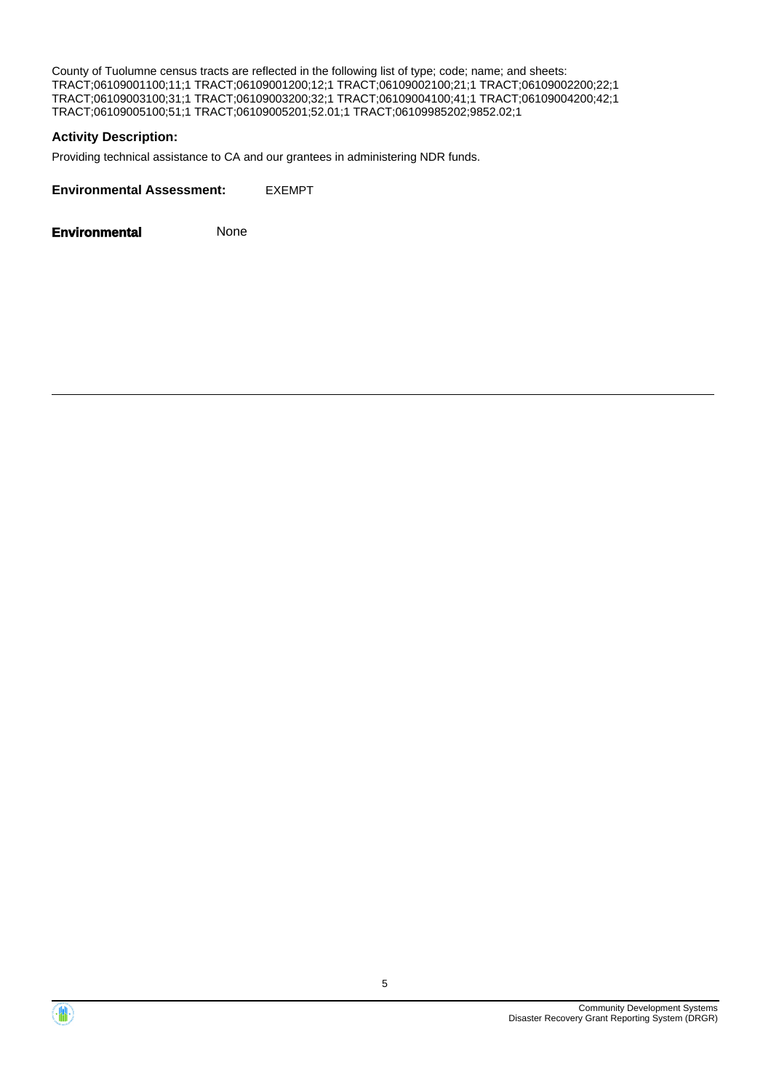County of Tuolumne census tracts are reflected in the following list of type; code; name; and sheets: TRACT;06109001100;11;1 TRACT;06109001200;12;1 TRACT;06109002100;21;1 TRACT;06109002200;22;1 TRACT;06109003100;31;1 TRACT;06109003200;32;1 TRACT;06109004100;41;1 TRACT;06109004200;42;1 TRACT;06109005100;51;1 TRACT;06109005201;52.01;1 TRACT;06109985202;9852.02;1

#### **Activity Description:**

Providing technical assistance to CA and our grantees in administering NDR funds.

**Environmental Assessment:** EXEMPT

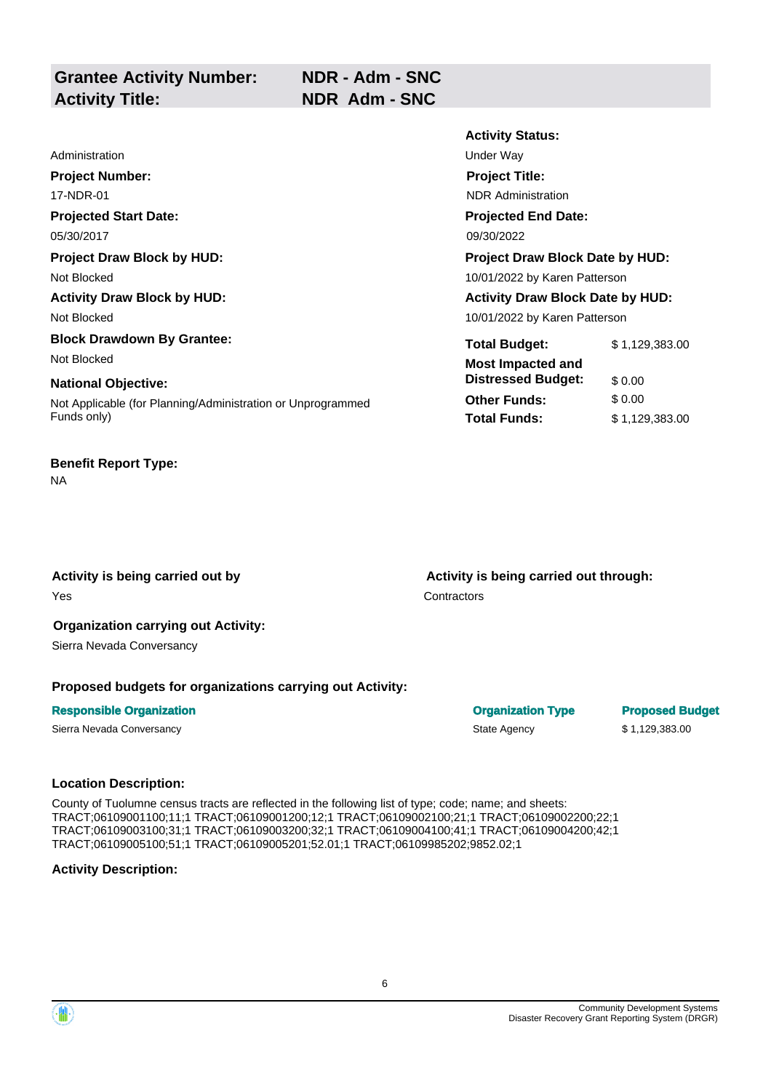|                                                             | <b>Activity Status:</b>                 |                |
|-------------------------------------------------------------|-----------------------------------------|----------------|
| Administration                                              | Under Way                               |                |
| <b>Project Number:</b>                                      | <b>Project Title:</b>                   |                |
| 17-NDR-01                                                   | <b>NDR</b> Administration               |                |
| <b>Projected Start Date:</b>                                | <b>Projected End Date:</b>              |                |
| 05/30/2017                                                  | 09/30/2022                              |                |
| <b>Project Draw Block by HUD:</b>                           | Project Draw Block Date by HUD:         |                |
| Not Blocked                                                 | 10/01/2022 by Karen Patterson           |                |
| <b>Activity Draw Block by HUD:</b>                          | <b>Activity Draw Block Date by HUD:</b> |                |
| Not Blocked                                                 | 10/01/2022 by Karen Patterson           |                |
| <b>Block Drawdown By Grantee:</b>                           | <b>Total Budget:</b>                    | \$1,129,383.00 |
| Not Blocked                                                 | <b>Most Impacted and</b>                |                |
| <b>National Objective:</b>                                  | <b>Distressed Budget:</b>               | \$0.00         |
| Not Applicable (for Planning/Administration or Unprogrammed | <b>Other Funds:</b>                     | \$0.00         |
| Funds only)                                                 | <b>Total Funds:</b>                     | \$1,129,383.00 |

# **Benefit Report Type:**

NA

Activity is being carried out by **Activity is being carried out through:**  $\blacksquare$ 

**The Second Second Second Second Second Second Second Second Second Second Second Second Second Second Second Second Second Second Second Second Second Second Second Second Second Second Second Second Second Second Second** 

## **Organization carrying out Activity:**

Sierra Nevada Conversancy

#### **Proposed budgets for organizations carrying out Activity:**

#### **Responsible Organization Contracts and Contracts Contracts Contracts Contracts Contracts Contracts Contracts Contracts Contracts Contracts Contracts Contracts Contracts Contracts Contracts Contracts Contracts Contracts Co**

#### **Location Description:**

County of Tuolumne census tracts are reflected in the following list of type; code; name; and sheets: TRACT;06109001100;11;1 TRACT;06109001200;12;1 TRACT;06109002100;21;1 TRACT;06109002200;22;1 TRACT;06109003100;31;1 TRACT;06109003200;32;1 TRACT;06109004100;41;1 TRACT;06109004200;42;1 TRACT;06109005100;51;1 TRACT;06109005201;52.01;1 TRACT;06109985202;9852.02;1

#### **Activity Description:**

Sierra Nevada Conversancy **State Agency** \$ 1,129,383.00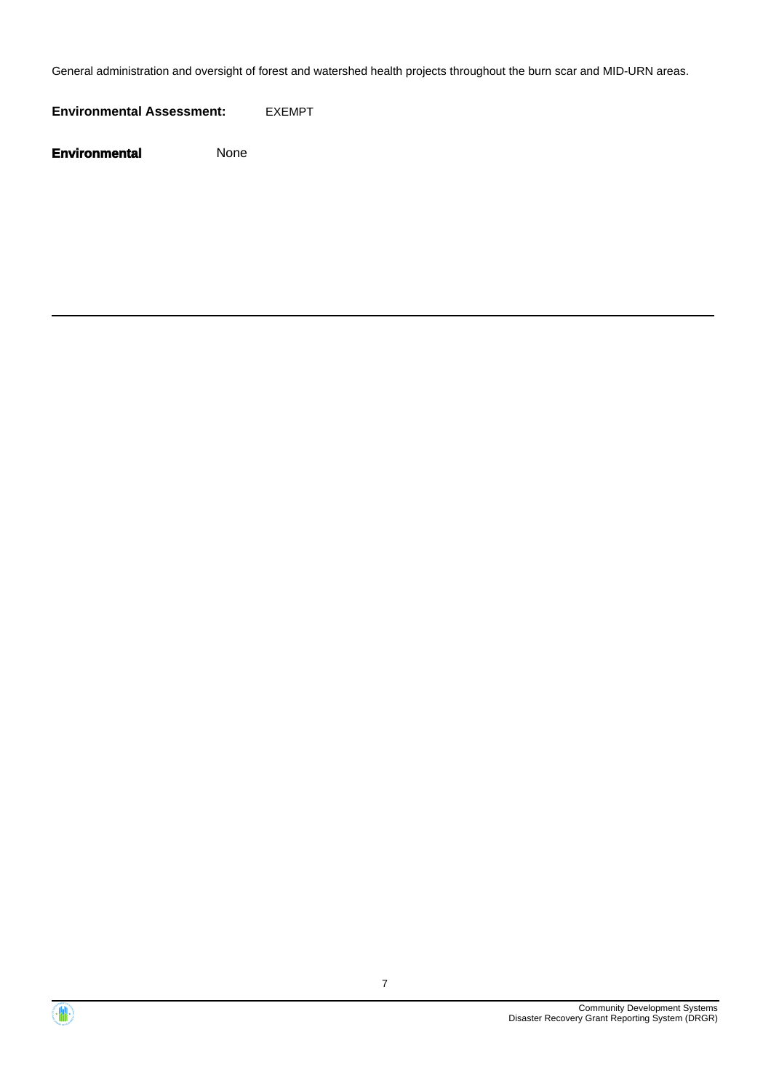General administration and oversight of forest and watershed health projects throughout the burn scar and MID-URN areas.

**Environmental Assessment:** EXEMPT



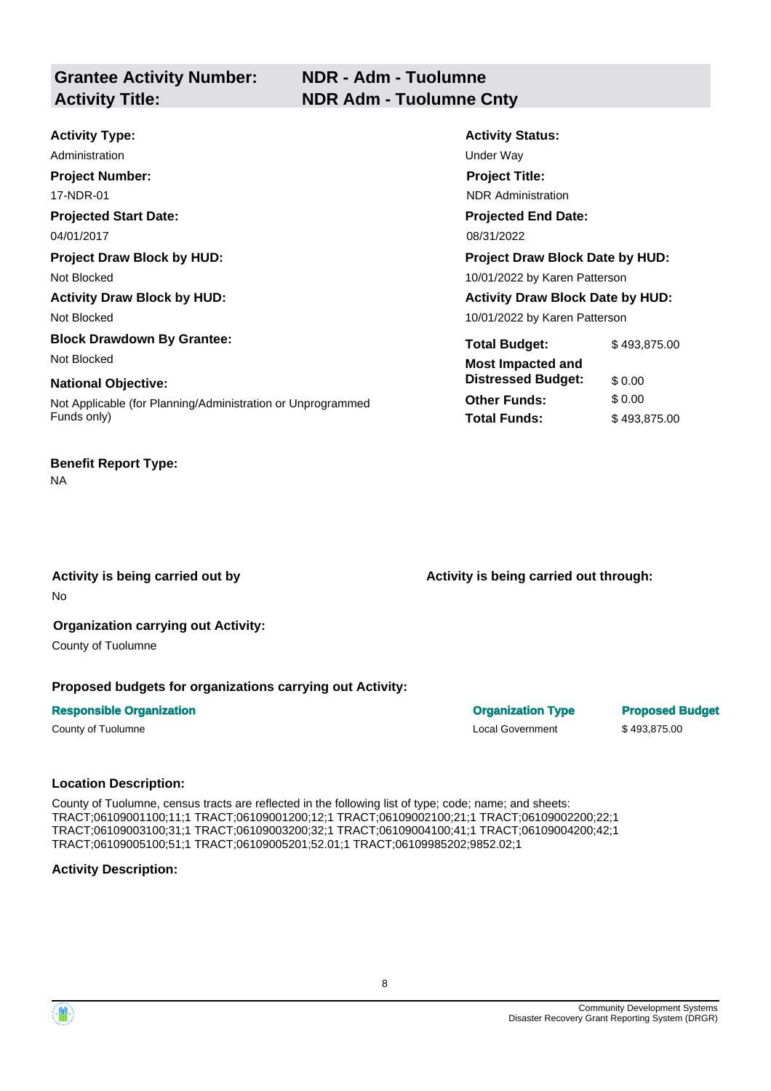# **NDR - Adm - Tuolumne Activity Title: NDR Adm - Tuolumne Cnty**

| <b>Activity Type:</b>                                                      | <b>Activity Status:</b>                               |                        |
|----------------------------------------------------------------------------|-------------------------------------------------------|------------------------|
| Administration                                                             | Under Way                                             |                        |
| <b>Project Number:</b>                                                     | <b>Project Title:</b>                                 |                        |
| 17-NDR-01                                                                  | <b>NDR</b> Administration                             |                        |
| <b>Projected Start Date:</b>                                               | <b>Projected End Date:</b>                            |                        |
| 04/01/2017                                                                 | 08/31/2022                                            |                        |
| <b>Project Draw Block by HUD:</b>                                          | <b>Project Draw Block Date by HUD:</b>                |                        |
| Not Blocked                                                                | 10/01/2022 by Karen Patterson                         |                        |
| <b>Activity Draw Block by HUD:</b>                                         | <b>Activity Draw Block Date by HUD:</b>               |                        |
| Not Blocked                                                                | 10/01/2022 by Karen Patterson                         |                        |
| <b>Block Drawdown By Grantee:</b><br>Not Blocked                           | <b>Total Budget:</b>                                  | \$493,875.00           |
| <b>National Objective:</b>                                                 | <b>Most Impacted and</b><br><b>Distressed Budget:</b> | \$0.00                 |
| Not Applicable (for Planning/Administration or Unprogrammed<br>Funds only) | <b>Other Funds:</b><br><b>Total Funds:</b>            | \$0.00<br>\$493,875.00 |

#### **Benefit Report Type:**

NA

Activity is being carried out by **Activity is being carried out through:**  $\blacksquare$ No

# **Organization carrying out Activity:**

County of Tuolumne

#### **Proposed budgets for organizations carrying out Activity:**

#### **Responsible Organization Contracts and Contracts Contracts Contracts Contracts Contracts Contracts Contracts Contracts Contracts Contracts Contracts Contracts Contracts Contracts Contracts Contracts Contracts Contracts Co**

County of Tuolumne Local Government \$ 493,875.00

#### **Location Description:**

County of Tuolumne, census tracts are reflected in the following list of type; code; name; and sheets: TRACT;06109001100;11;1 TRACT;06109001200;12;1 TRACT;06109002100;21;1 TRACT;06109002200;22;1 TRACT;06109003100;31;1 TRACT;06109003200;32;1 TRACT;06109004100;41;1 TRACT;06109004200;42;1 TRACT;06109005100;51;1 TRACT;06109005201;52.01;1 TRACT;06109985202;9852.02;1

#### **Activity Description:**

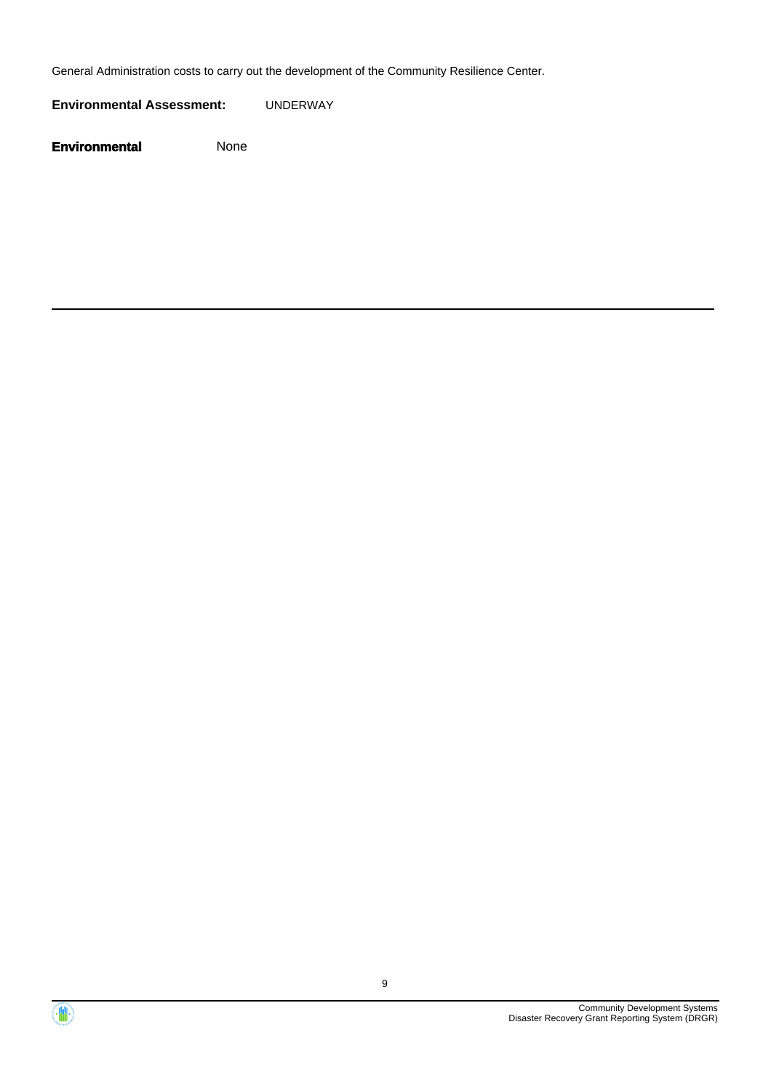General Administration costs to carry out the development of the Community Resilience Center.

**Environmental Assessment:** UNDERWAY



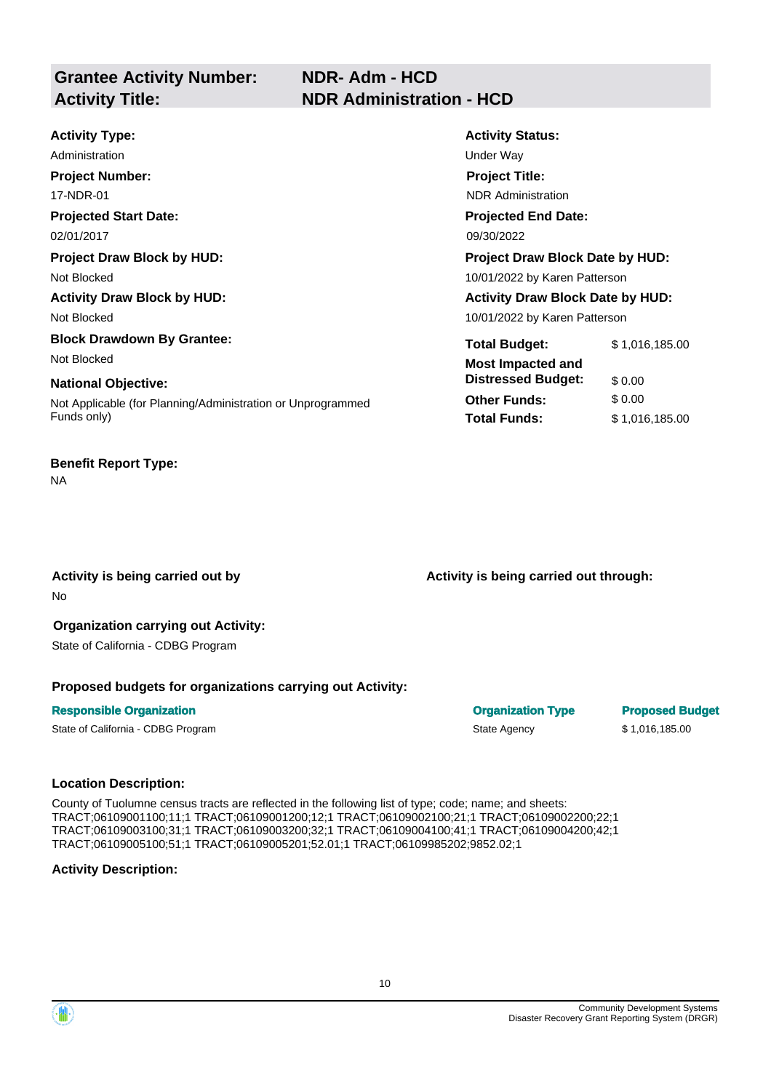| <b>Activity Type:</b>                                       | <b>Activity Status:</b>                 |                |
|-------------------------------------------------------------|-----------------------------------------|----------------|
| Administration                                              | Under Way                               |                |
| <b>Project Number:</b>                                      | <b>Project Title:</b>                   |                |
| 17-NDR-01                                                   | <b>NDR</b> Administration               |                |
| <b>Projected Start Date:</b>                                | <b>Projected End Date:</b>              |                |
| 02/01/2017                                                  | 09/30/2022                              |                |
| <b>Project Draw Block by HUD:</b>                           | <b>Project Draw Block Date by HUD:</b>  |                |
| Not Blocked                                                 | 10/01/2022 by Karen Patterson           |                |
| <b>Activity Draw Block by HUD:</b>                          | <b>Activity Draw Block Date by HUD:</b> |                |
| Not Blocked                                                 | 10/01/2022 by Karen Patterson           |                |
| <b>Block Drawdown By Grantee:</b>                           | <b>Total Budget:</b>                    | \$1,016,185.00 |
| Not Blocked                                                 | <b>Most Impacted and</b>                |                |
| <b>National Objective:</b>                                  | <b>Distressed Budget:</b>               | \$0.00         |
| Not Applicable (for Planning/Administration or Unprogrammed | <b>Other Funds:</b>                     | \$0.00         |
| Funds only)                                                 | <b>Total Funds:</b>                     | \$1,016,185.00 |

#### **Benefit Report Type:**

NA

No

Activity is being carried out by **Activity is being carried out through:**  $\blacksquare$ 

#### **Organization carrying out Activity:**  State of California - CDBG Program

### **Proposed budgets for organizations carrying out Activity:**

#### **Responsible Organization Contracts and Contracts Contracts Contracts Contracts Contracts Contracts Contracts Contracts Contracts Contracts Contracts Contracts Contracts Contracts Contracts Contracts Contracts Contracts Co**

State of California - CDBG Program State Agency \$ 1,016,185.00

County of Tuolumne census tracts are reflected in the following list of type; code; name; and sheets: TRACT;06109001100;11;1 TRACT;06109001200;12;1 TRACT;06109002100;21;1 TRACT;06109002200;22;1 TRACT;06109003100;31;1 TRACT;06109003200;32;1 TRACT;06109004100;41;1 TRACT;06109004200;42;1 TRACT;06109005100;51;1 TRACT;06109005201;52.01;1 TRACT;06109985202;9852.02;1

#### **Activity Description:**

**Location Description:** 

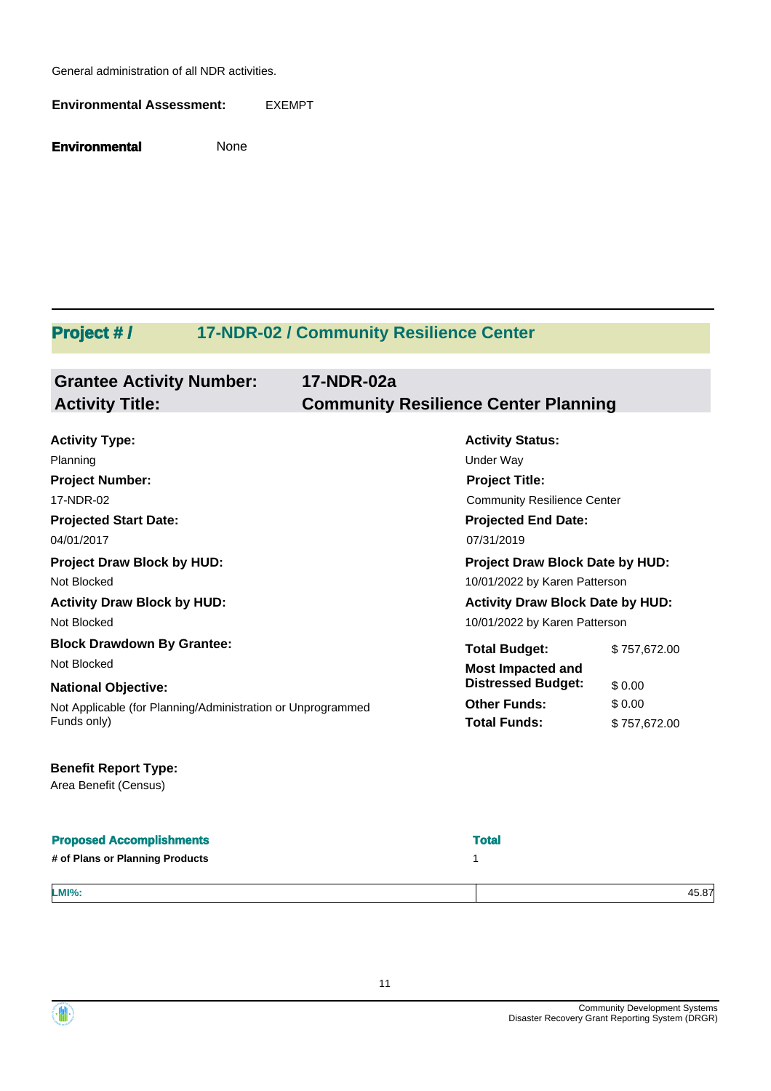General administration of all NDR activities.

**Environmental Assessment:** EXEMPT

**Environmental** None

# Project #/ 17-NDR-02 / Community Resilience Center

# **Grantee Activity Number: 17-NDR-02a Activity Title: Community Resilience Center Planning**

| <b>Activity Type:</b>                                       | <b>Activity Status:</b>                 |              |
|-------------------------------------------------------------|-----------------------------------------|--------------|
| Planning                                                    | Under Way                               |              |
| <b>Project Number:</b>                                      | <b>Project Title:</b>                   |              |
| 17-NDR-02                                                   | <b>Community Resilience Center</b>      |              |
| <b>Projected Start Date:</b>                                | <b>Projected End Date:</b>              |              |
| 04/01/2017                                                  | 07/31/2019                              |              |
| <b>Project Draw Block by HUD:</b>                           | <b>Project Draw Block Date by HUD:</b>  |              |
| Not Blocked                                                 | 10/01/2022 by Karen Patterson           |              |
| <b>Activity Draw Block by HUD:</b>                          | <b>Activity Draw Block Date by HUD:</b> |              |
| Not Blocked                                                 | 10/01/2022 by Karen Patterson           |              |
| <b>Block Drawdown By Grantee:</b>                           | <b>Total Budget:</b>                    | \$757,672.00 |
| Not Blocked                                                 | <b>Most Impacted and</b>                |              |
| <b>National Objective:</b>                                  | <b>Distressed Budget:</b>               | \$0.00       |
| Not Applicable (for Planning/Administration or Unprogrammed | <b>Other Funds:</b>                     | \$0.00       |
| Funds only)                                                 | <b>Total Funds:</b>                     | \$757,672.00 |

#### **Benefit Report Type:**

Area Benefit (Census)

| <b>Proposed Accomplishments</b> | <b>Total</b> |
|---------------------------------|--------------|
| # of Plans or Planning Products |              |
|                                 |              |
| <b>LMI%:</b>                    | 45.87        |

11



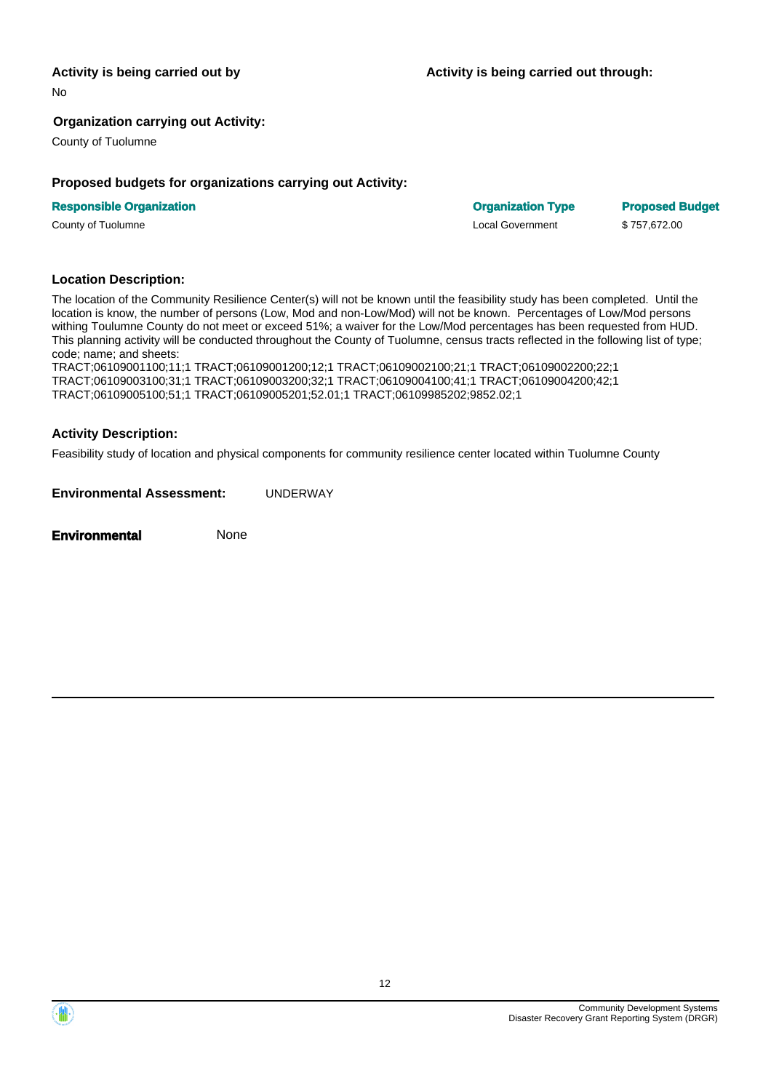No

#### **Organization carrying out Activity:**

County of Tuolumne

#### **Proposed budgets for organizations carrying out Activity:**

#### **Responsible Organization Community Community Community Community Community Community Community Community Community Community Community Community Community Community Community Community Community Community Community Commun**

County of Tuolumne Local Government \$ 757,672.00

#### **Location Description:**

The location of the Community Resilience Center(s) will not be known until the feasibility study has been completed. Until the location is know, the number of persons (Low, Mod and non-Low/Mod) will not be known. Percentages of Low/Mod persons withing Toulumne County do not meet or exceed 51%; a waiver for the Low/Mod percentages has been requested from HUD. This planning activity will be conducted throughout the County of Tuolumne, census tracts reflected in the following list of type; code; name; and sheets:

TRACT;06109001100;11;1 TRACT;06109001200;12;1 TRACT;06109002100;21;1 TRACT;06109002200;22;1 TRACT;06109003100;31;1 TRACT;06109003200;32;1 TRACT;06109004100;41;1 TRACT;06109004200;42;1 TRACT;06109005100;51;1 TRACT;06109005201;52.01;1 TRACT;06109985202;9852.02;1

#### **Activity Description:**

Feasibility study of location and physical components for community resilience center located within Tuolumne County

**Environmental Assessment:** UNDERWAY

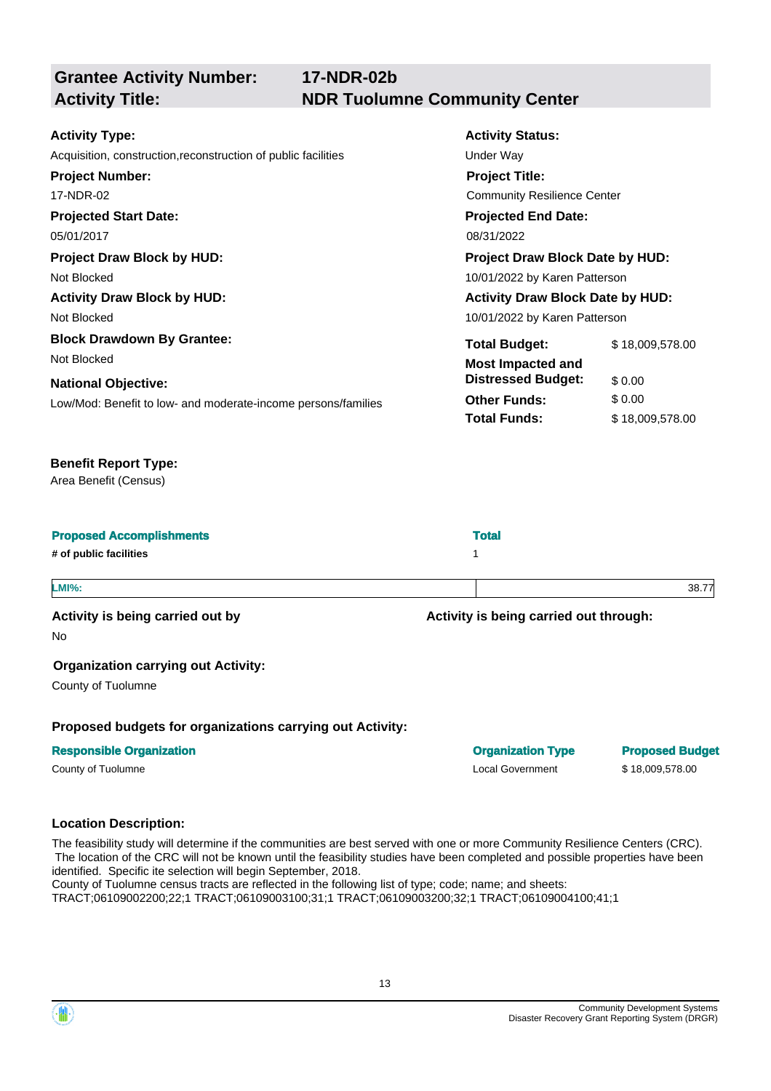**Grantee Activity Number: Projected Start Date: Activity Status: Projected End Date: 17-NDR-02b Activity Type:**  05/01/2017 08/31/2022 Acquisition, construction, reconstruction of public facilities Under Way **Activity Title: NDR Tuolumne Community Center Project Number:**  17-NDR-02 **Project Title:**  Community Resilience Center **Project Draw Block by HUD: Project Draw Block Date by HUD:**  Not Blocked 2001 10/01/2022 by Karen Patterson Activity Draw Block by HUD: **Activity Draw Block Date by HUD:** Activity Draw Block Date by HUD: Not Blocked 2001/2022 by Karen Patterson **Block Drawdown By Grantee:** Total Budget: \$18,009,578.00 Not Blocked **Most Impacted and National Objective: Constructional Objective: Constructional State of the United States of the United States of the United States of the United States of the United States of the United States of the United States of Other Funds:** \$ 0.00 **Total Funds:** \$ 18,009,578.00 Low/Mod: Benefit to low- and moderate-income persons/families **Benefit Report Type:**  Area Benefit (Census) **Proposed Accomplishments** Total **Total Accomplishments** Total **Total Accomplishments # of public facilities** 1 **LMI%:** 38.77 Activity is being carried out by **Activity** is being carried out through: No

#### **Organization carrying out Activity:**

County of Tuolumne

**Proposed budgets for organizations carrying out Activity:** 

#### **Responsible Organization Community Community Community Community Community Community Community Community Community Community Community Community Community Community Community Community Community Community Community Commun**

# County of Tuolumne Local Government \$ 18,009,578.00

#### **Location Description:**

The feasibility study will determine if the communities are best served with one or more Community Resilience Centers (CRC). The location of the CRC will not be known until the feasibility studies have been completed and possible properties have been identified. Specific ite selection will begin September, 2018. County of Tuolumne census tracts are reflected in the following list of type; code; name; and sheets:

TRACT;06109002200;22;1 TRACT;06109003100;31;1 TRACT;06109003200;32;1 TRACT;06109004100;41;1

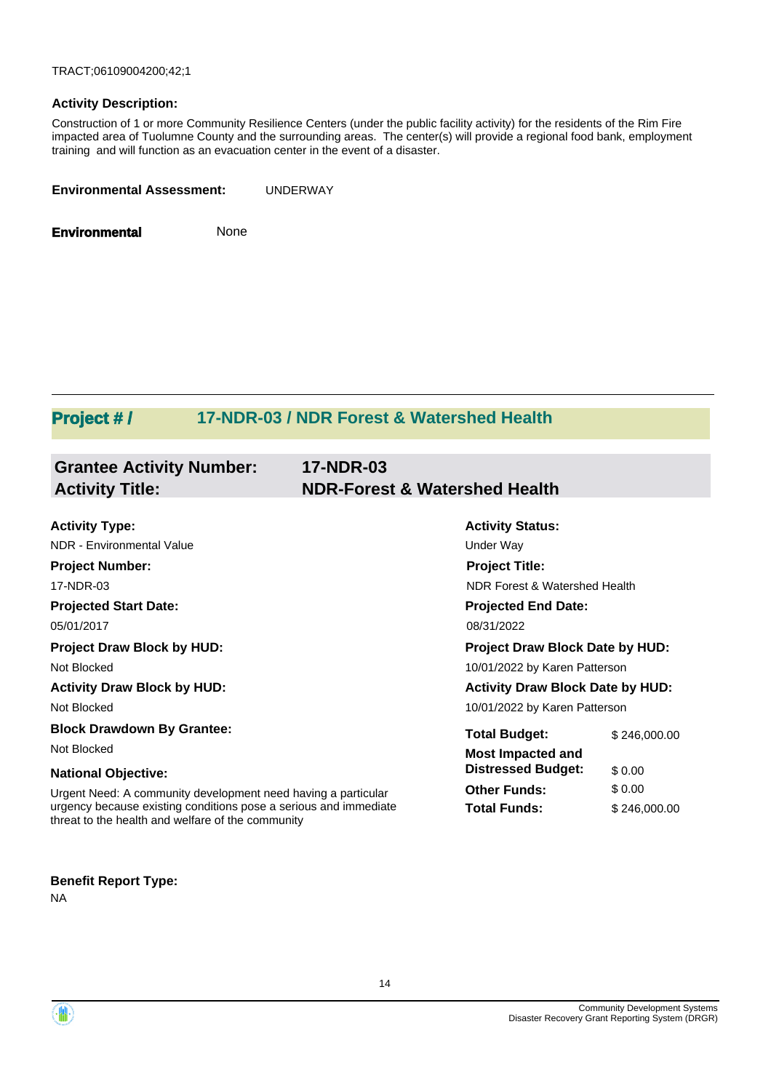TRACT;06109004200;42;1

#### **Activity Description:**

Construction of 1 or more Community Resilience Centers (under the public facility activity) for the residents of the Rim Fire impacted area of Tuolumne County and the surrounding areas. The center(s) will provide a regional food bank, employment training and will function as an evacuation center in the event of a disaster.

| <b>Environmental Assessment:</b> | <b>UNDERWAY</b> |
|----------------------------------|-----------------|
|                                  |                 |

**Environmental** None

# **Project # / 17-NDR-03 / NDR Forest & Watershed Health**

| <b>Grantee Activity Number:</b><br><b>Activity Title:</b>                                                             | <b>17-NDR-03</b><br><b>NDR-Forest &amp; Watershed Health</b> |                                        |                                         |  |
|-----------------------------------------------------------------------------------------------------------------------|--------------------------------------------------------------|----------------------------------------|-----------------------------------------|--|
|                                                                                                                       |                                                              |                                        |                                         |  |
| <b>Activity Type:</b>                                                                                                 |                                                              | <b>Activity Status:</b>                |                                         |  |
| NDR - Environmental Value                                                                                             |                                                              | Under Way                              |                                         |  |
| <b>Project Number:</b>                                                                                                |                                                              | <b>Project Title:</b>                  |                                         |  |
| 17-NDR-03                                                                                                             |                                                              | NDR Forest & Watershed Health          |                                         |  |
| <b>Projected Start Date:</b>                                                                                          |                                                              | <b>Projected End Date:</b>             |                                         |  |
| 05/01/2017                                                                                                            |                                                              | 08/31/2022                             |                                         |  |
| <b>Project Draw Block by HUD:</b>                                                                                     |                                                              | <b>Project Draw Block Date by HUD:</b> |                                         |  |
| Not Blocked                                                                                                           |                                                              | 10/01/2022 by Karen Patterson          |                                         |  |
| <b>Activity Draw Block by HUD:</b>                                                                                    |                                                              |                                        | <b>Activity Draw Block Date by HUD:</b> |  |
| Not Blocked                                                                                                           |                                                              | 10/01/2022 by Karen Patterson          |                                         |  |
| <b>Block Drawdown By Grantee:</b>                                                                                     |                                                              | <b>Total Budget:</b>                   | \$246,000.00                            |  |
| Not Blocked                                                                                                           |                                                              | <b>Most Impacted and</b>               |                                         |  |
| <b>National Objective:</b>                                                                                            |                                                              | <b>Distressed Budget:</b>              | \$0.00                                  |  |
| Urgent Need: A community development need having a particular                                                         |                                                              | <b>Other Funds:</b>                    | \$0.00                                  |  |
| urgency because existing conditions pose a serious and immediate<br>threat to the health and welfare of the community |                                                              | <b>Total Funds:</b>                    | \$246,000.00                            |  |

#### **Benefit Report Type:**

NA

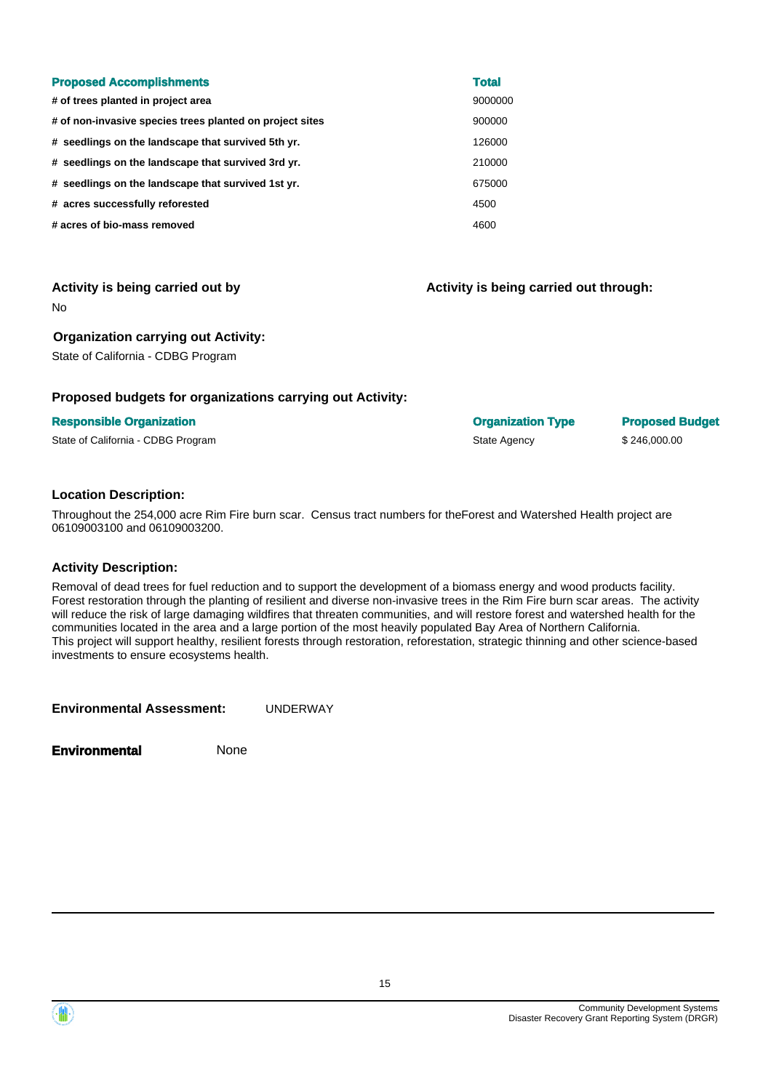| <b>Proposed Accomplishments</b>                          | <b>Total</b> |
|----------------------------------------------------------|--------------|
| # of trees planted in project area                       | 9000000      |
| # of non-invasive species trees planted on project sites | 900000       |
| # seedlings on the landscape that survived 5th yr.       | 126000       |
| # seedlings on the landscape that survived 3rd yr.       | 210000       |
| # seedlings on the landscape that survived 1st yr.       | 675000       |
| # acres successfully reforested                          | 4500         |
| # acres of bio-mass removed                              | 4600         |

Activity is being carried out by **Activity** is being carried out through:

No

#### **Organization carrying out Activity:**

State of California - CDBG Program

#### **Proposed budgets for organizations carrying out Activity:**

#### **Responsible Organization Contracts and Contracts Contracts Contracts Contracts Contracts Contracts Contracts Contracts Contracts Contracts Contracts Contracts Contracts Contracts Contracts Contracts Contracts Contracts Co**

State of California - CDBG Program  $$246,000.00$ 

**Location Description:** 

Throughout the 254,000 acre Rim Fire burn scar. Census tract numbers for theForest and Watershed Health project are 06109003100 and 06109003200.

#### **Activity Description:**

Removal of dead trees for fuel reduction and to support the development of a biomass energy and wood products facility. Forest restoration through the planting of resilient and diverse non-invasive trees in the Rim Fire burn scar areas. The activity will reduce the risk of large damaging wildfires that threaten communities, and will restore forest and watershed health for the communities located in the area and a large portion of the most heavily populated Bay Area of Northern California. This project will support healthy, resilient forests through restoration, reforestation, strategic thinning and other science-based investments to ensure ecosystems health.

**Environmental Assessment:** UNDERWAY

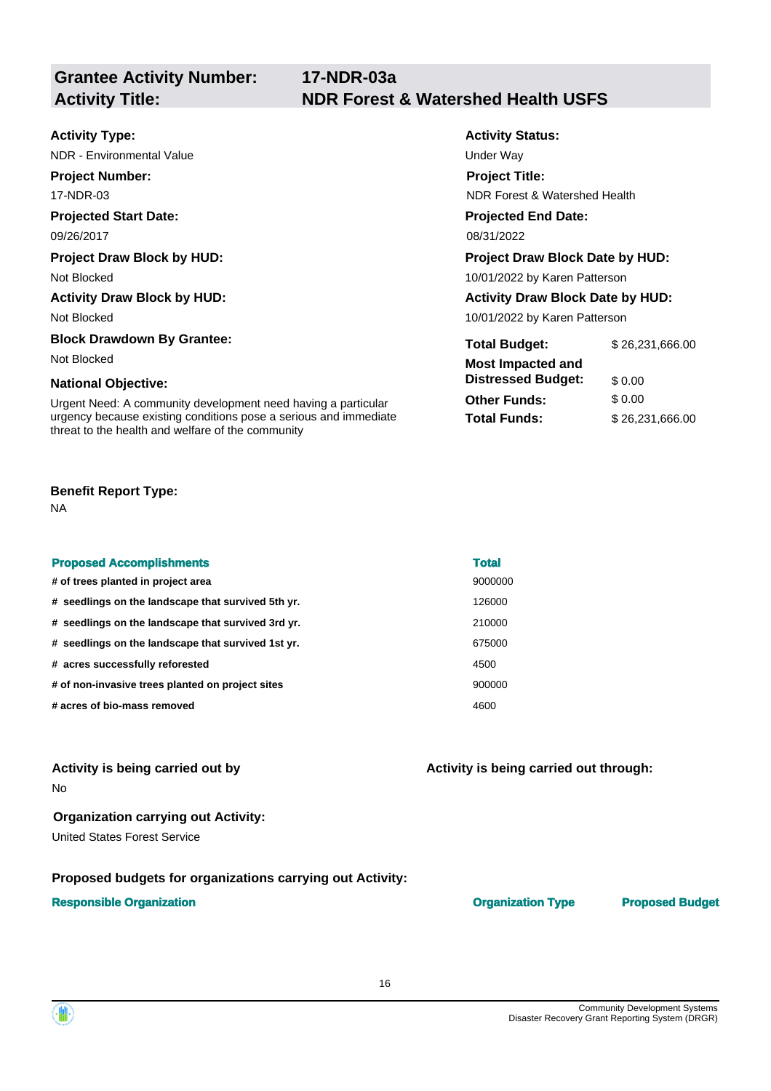**Activity Status:** 

**Project Title:** 

**Projected End Date:** 

NDR Forest & Watershed Health

| <b>Activity Type:</b> |  |
|-----------------------|--|
|-----------------------|--|

NDR - Environmental Value Under Way

**Project Number:**  17-NDR-03

## **Projected Start Date:**

09/26/2017 08/31/2022

#### **Project Draw Block by HUD:** Project Draw Block Date by HUD: Project Draw Block Date by HUD:

Not Blocked 10/01/2022 by Karen Patterson

#### Activity Draw Block by HUD: **Activity Draw Block Date by HUD:** Activity Draw Block Date by HUD:

Not Blocked 2001/2022 by Karen Patterson

# **Block Drawdown By Grantee:** Total Budget: \$26,231,666.00

Not Blocked **Most Impacted and** 

# **National Objective: Constructional Objective: Constructional Objective:**  $$0.00$

Urgent Need: A community development need having a particular **Other Funds:** \$ 0.00 urgency because existing conditions pose a serious and immediate **Total Funds:** \$ [26,231,666.00](https://26,231,666.00) threat to the health and welfare of the community

#### **Benefit Report Type:**

NA

| <b>Proposed Accomplishments</b>                    | <b>Total</b> |
|----------------------------------------------------|--------------|
| # of trees planted in project area                 | 9000000      |
| # seedlings on the landscape that survived 5th yr. | 126000       |
| # seedlings on the landscape that survived 3rd yr. | 210000       |
| # seedlings on the landscape that survived 1st yr. | 675000       |
| # acres successfully reforested                    | 4500         |
| # of non-invasive trees planted on project sites   | 900000       |
| # acres of bio-mass removed                        | 4600         |

#### Activity is being carried out by **Activity is being carried out through:**  $\blacksquare$ No

# **Organization carrying out Activity:**

United States Forest Service

## **Proposed budgets for organizations carrying out Activity:**

#### **Responsible Organization Community Community Community Community Community Community Community Community Community Community Community Community Community Community Community Community Community Community Community Commun**

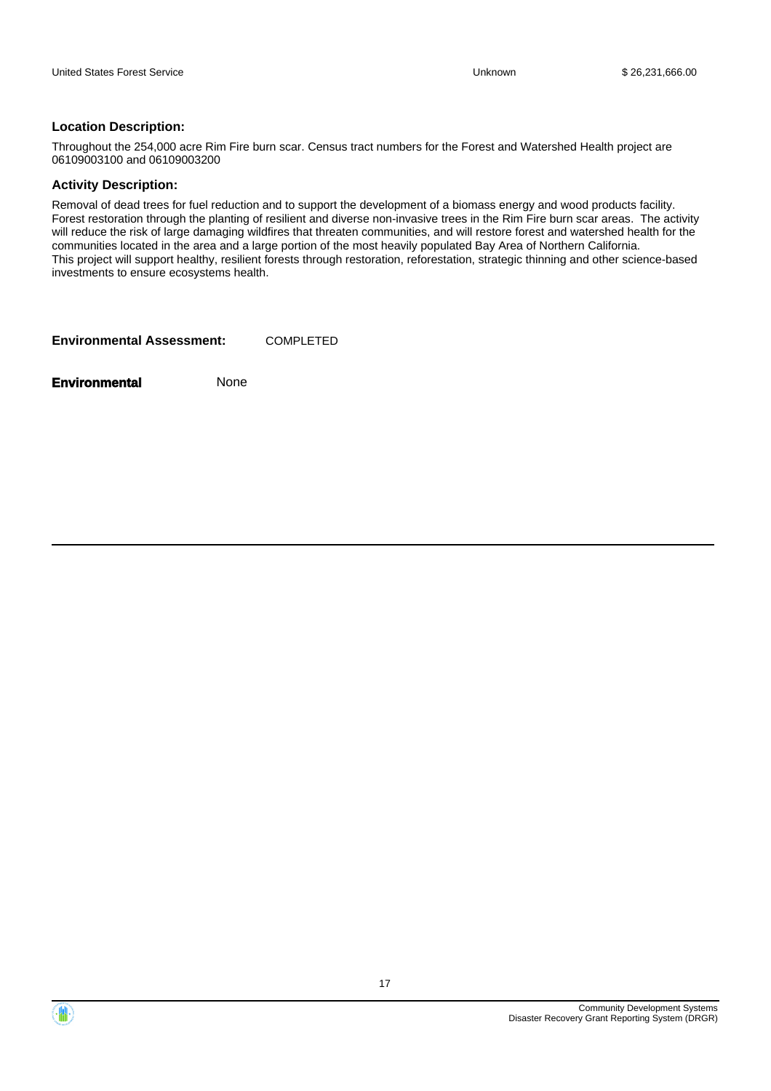#### **Location Description:**

Throughout the 254,000 acre Rim Fire burn scar. Census tract numbers for the Forest and Watershed Health project are 06109003100 and 06109003200

#### **Activity Description:**

Removal of dead trees for fuel reduction and to support the development of a biomass energy and wood products facility. Forest restoration through the planting of resilient and diverse non-invasive trees in the Rim Fire burn scar areas. The activity will reduce the risk of large damaging wildfires that threaten communities, and will restore forest and watershed health for the communities located in the area and a large portion of the most heavily populated Bay Area of Northern California. This project will support healthy, resilient forests through restoration, reforestation, strategic thinning and other science-based investments to ensure ecosystems health.

**Environmental Assessment:** COMPLETED



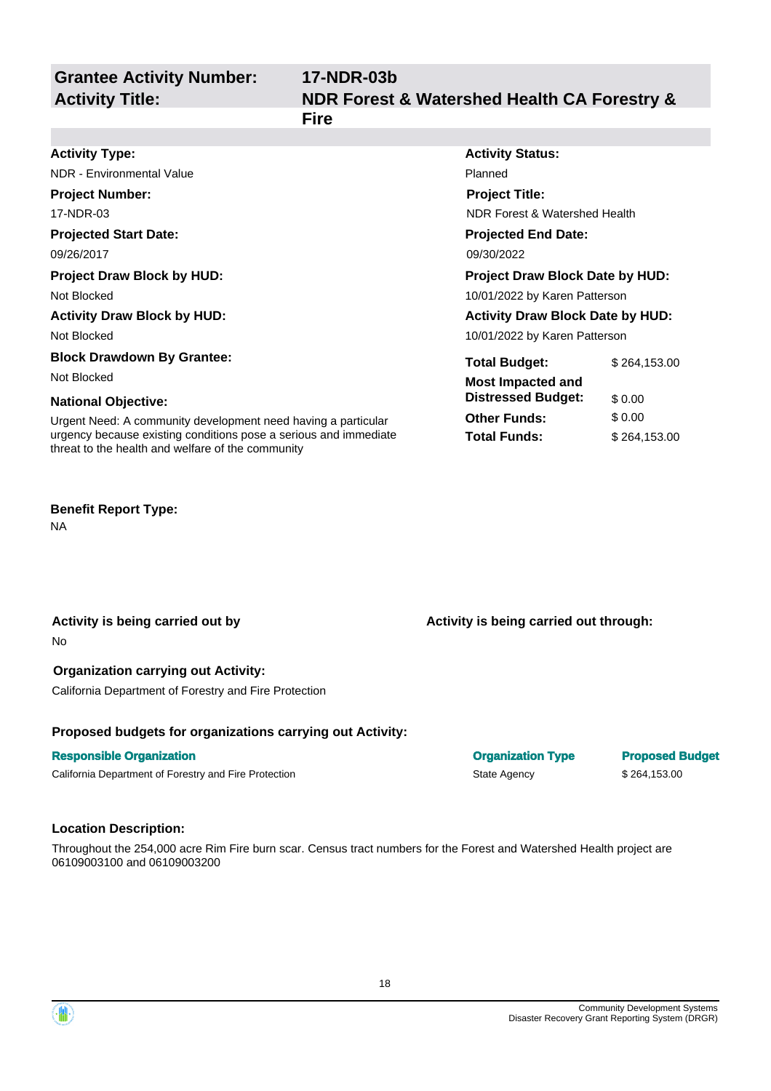**Grantee Activity Number: 17-NDR-03b Activity Title: NDR Forest & Watershed Health CA Forestry & Fire Activity Type: Activity Status: Activity Status: Activity Status:** NDR - Environmental Value **Planned** Planned **Project Number: Project Title:** 

17-NDR-03 NDR Forest & Watershed Health **Projected Start Date:**  09/26/2017 **Project Draw Block by HUD:**  Not Blocked **Activity Draw Block by HUD:**  Not Blocked **Block Drawdown By Grantee:**  Not Blocked **National Objective:**  Urgent Need: A community development need having a particular urgency because existing conditions pose a serious and immediate **Projected End Date:**  09/30/2022 **Project Draw Block Date by HUD:**  10/01/2022 by Karen Patterson **Activity Draw Block Date by HUD:**  10/01/2022 by Karen Patterson **Total Budget:** \$ [264,153.00](https://264,153.00) **Most Impacted and Distressed Budget:** \$ 0.00 **Other Funds:** \$ 0.00 **Total Funds:** \$ [264,153.00](https://264,153.00)

#### **Benefit Report Type:**

NA

No

**Activity is being carried out by** 

**Organization carrying out Activity:** 

threat to the health and welfare of the community

California Department of Forestry and Fire Protection

#### **Proposed budgets for organizations carrying out Activity:**

#### **Responsible Organization**

California Department of Forestry and Fire Protection

#### **Location Description:**

Throughout the 254,000 acre Rim Fire burn scar. Census tract numbers for the Forest and Watershed Health project are 06109003100 and 06109003200

Community Development Systems Disaster Recovery Grant Reporting System (DRGR)

## **Activity is being carried out through:**

**Organization Type Proposed Budget** State Agency \$264,153.00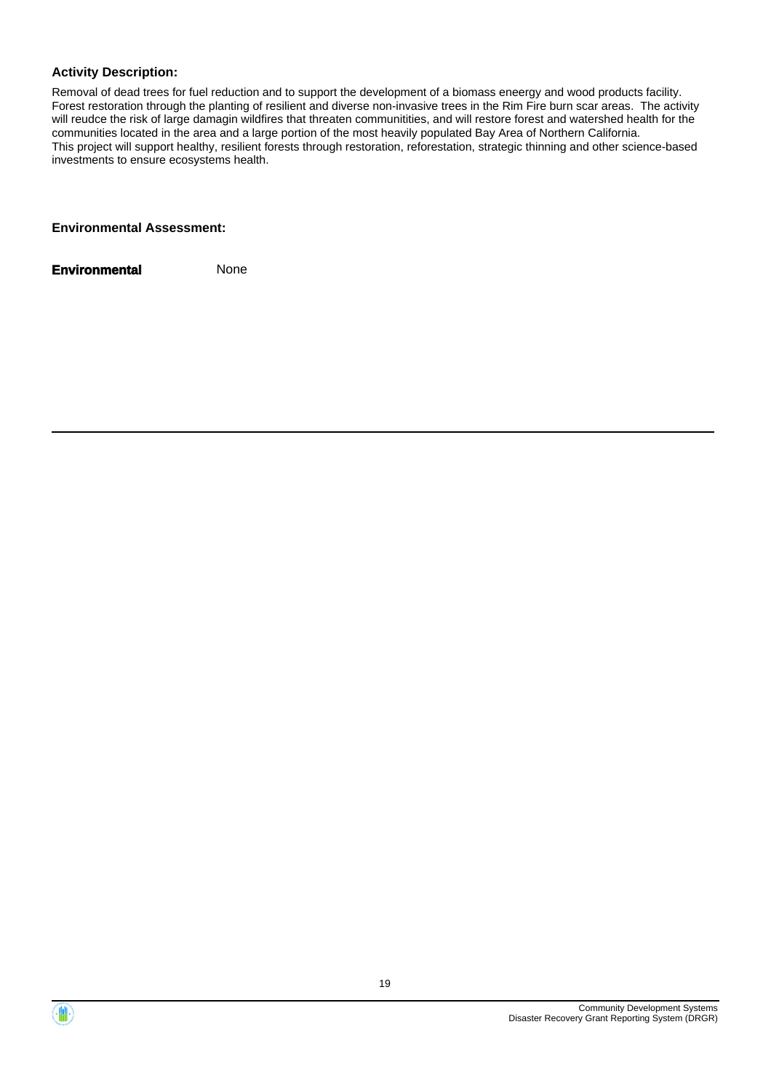#### **Activity Description:**

Removal of dead trees for fuel reduction and to support the development of a biomass eneergy and wood products facility. Forest restoration through the planting of resilient and diverse non-invasive trees in the Rim Fire burn scar areas. The activity will reudce the risk of large damagin wildfires that threaten communitities, and will restore forest and watershed health for the communities located in the area and a large portion of the most heavily populated Bay Area of Northern California. This project will support healthy, resilient forests through restoration, reforestation, strategic thinning and other science-based investments to ensure ecosystems health.

#### **Environmental Assessment:**



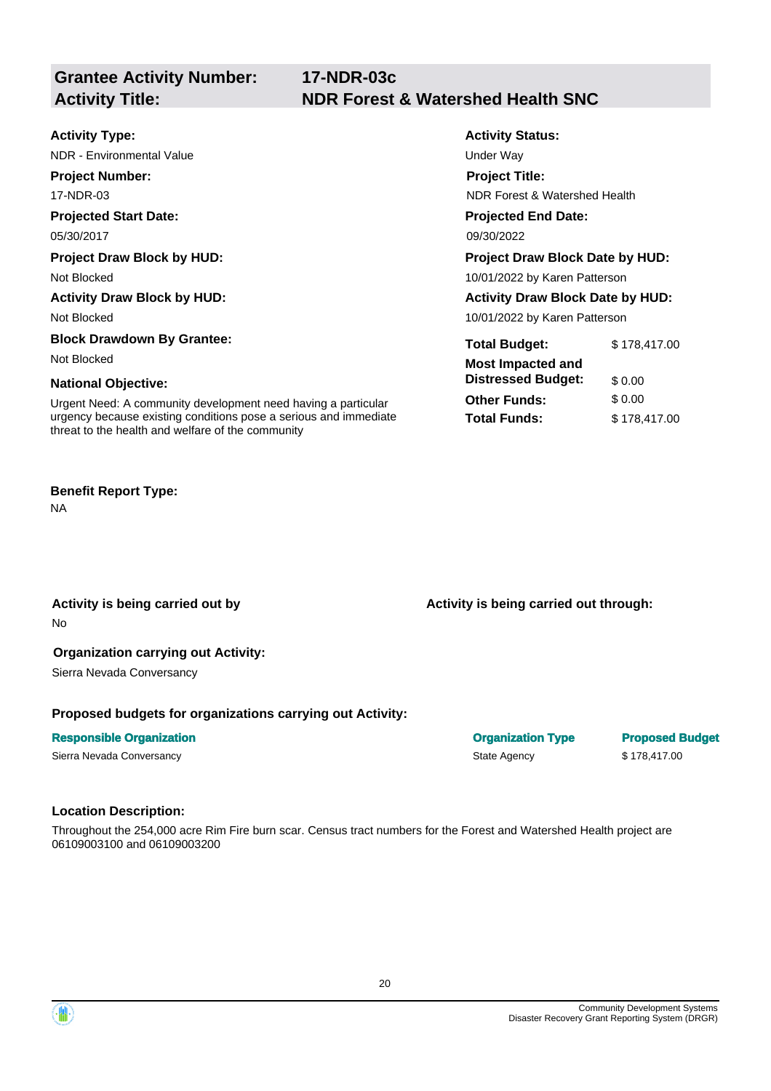|                                                                                                                       | 17 IVLII UUU                                 |                                         |  |  |
|-----------------------------------------------------------------------------------------------------------------------|----------------------------------------------|-----------------------------------------|--|--|
| <b>Activity Title:</b>                                                                                                | <b>NDR Forest &amp; Watershed Health SNC</b> |                                         |  |  |
|                                                                                                                       |                                              |                                         |  |  |
| <b>Activity Type:</b>                                                                                                 | <b>Activity Status:</b>                      |                                         |  |  |
| NDR - Environmental Value                                                                                             | Under Way                                    |                                         |  |  |
| <b>Project Number:</b>                                                                                                | <b>Project Title:</b>                        |                                         |  |  |
| 17-NDR-03                                                                                                             |                                              | NDR Forest & Watershed Health           |  |  |
| <b>Projected Start Date:</b>                                                                                          | <b>Projected End Date:</b>                   |                                         |  |  |
| 05/30/2017                                                                                                            | 09/30/2022                                   |                                         |  |  |
| <b>Project Draw Block by HUD:</b>                                                                                     |                                              | <b>Project Draw Block Date by HUD:</b>  |  |  |
| Not Blocked                                                                                                           |                                              | 10/01/2022 by Karen Patterson           |  |  |
| <b>Activity Draw Block by HUD:</b>                                                                                    |                                              | <b>Activity Draw Block Date by HUD:</b> |  |  |
| Not Blocked                                                                                                           |                                              | 10/01/2022 by Karen Patterson           |  |  |
| <b>Block Drawdown By Grantee:</b>                                                                                     | <b>Total Budget:</b>                         | \$178,417.00                            |  |  |
| Not Blocked                                                                                                           | <b>Most Impacted and</b>                     |                                         |  |  |
| <b>National Objective:</b>                                                                                            | <b>Distressed Budget:</b>                    | \$0.00                                  |  |  |
| Urgent Need: A community development need having a particular                                                         | <b>Other Funds:</b>                          | \$0.00                                  |  |  |
| urgency because existing conditions pose a serious and immediate<br>threat to the health and welfare of the community | <b>Total Funds:</b>                          | \$178,417.00                            |  |  |

#### **Benefit Report Type:**

NA

#### **Activity is being carried out by**

No

#### **Organization carrying out Activity:**

Sierra Nevada Conversancy

#### **Proposed budgets for organizations carrying out Activity:**

**Grantee Activity Number: 17-NDR-03c** 

#### **Responsible Organization**

Sierra Nevada Conversancy

### **Location Description:**

Throughout the 254,000 acre Rim Fire burn scar. Census tract numbers for the Forest and Watershed Health project are 06109003100 and 06109003200



**Activity is being carried out through:** 

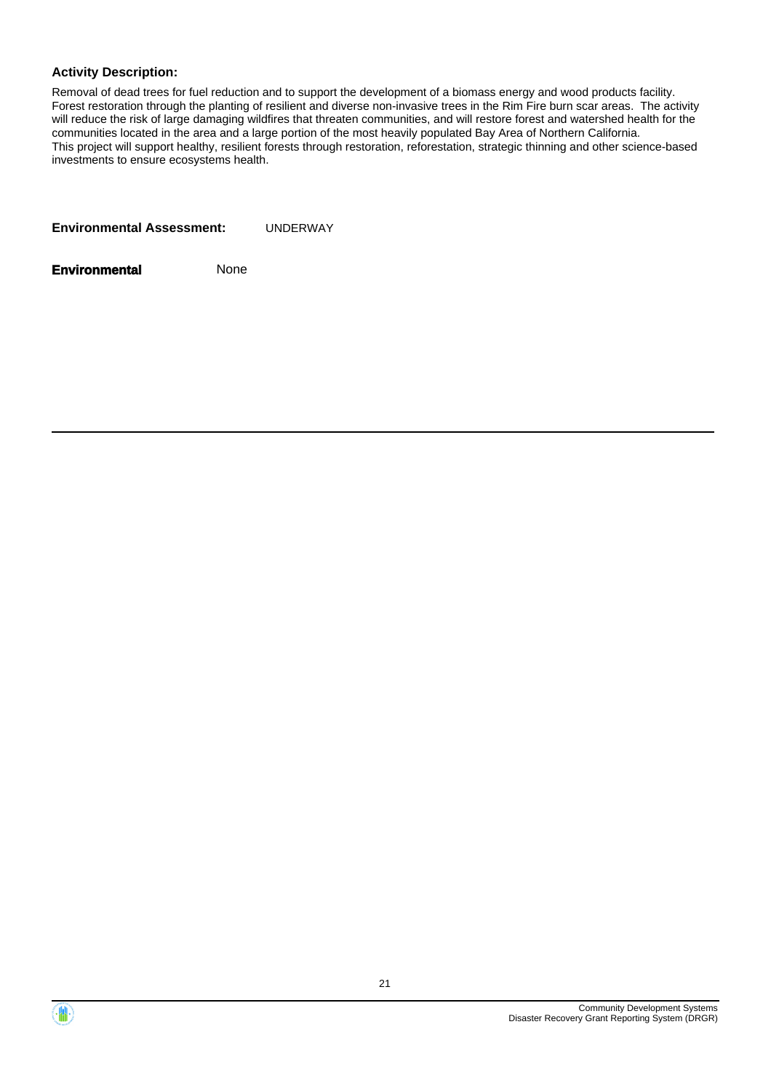#### **Activity Description:**

Removal of dead trees for fuel reduction and to support the development of a biomass energy and wood products facility. Forest restoration through the planting of resilient and diverse non-invasive trees in the Rim Fire burn scar areas. The activity will reduce the risk of large damaging wildfires that threaten communities, and will restore forest and watershed health for the communities located in the area and a large portion of the most heavily populated Bay Area of Northern California. This project will support healthy, resilient forests through restoration, reforestation, strategic thinning and other science-based investments to ensure ecosystems health.

| <b>Environmental Assessment:</b> | UNDERWAY |
|----------------------------------|----------|
|                                  |          |



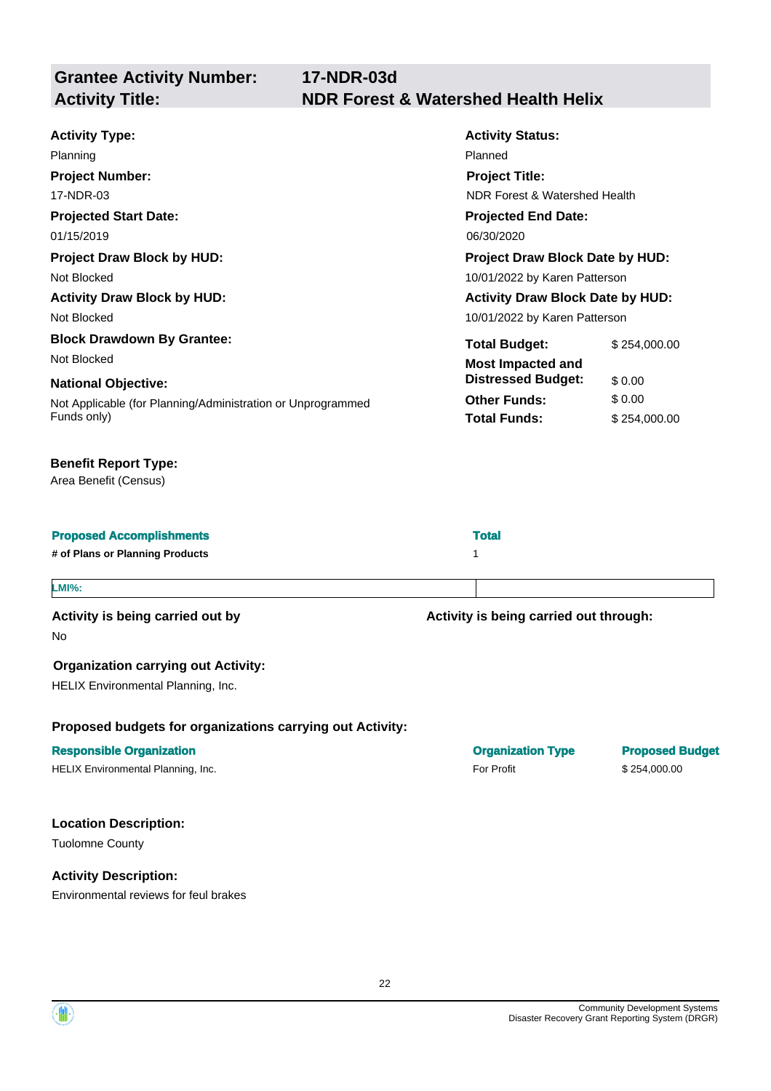**Grantee Activity Number: 17-NDR-03d Activity Title: NDR Forest & Watershed Health Helix Activity Type:**  Planning **Activity Status:**  Planned 17-NDR-03 **Projected Start Date:**  01/15/2019 **Project Number: Project Title:**  NDR Forest & Watershed Health **Projected End Date:**  06/30/2020 **Project Draw Block by HUD:**  Not Blocked **Project Draw Block Date by HUD:**  10/01/2022 by Karen Patterson **Activity Draw Block by HUD:**  Not Blocked **Activity Draw Block Date by HUD:**  10/01/2022 by Karen Patterson **Block Drawdown By Grantee:**  Not Blocked **National Objective:**  Not Applicable (for Planning/Administration or Unprogrammed Funds only) **Total Budget:** \$[254,000.00](https://254,000.00) **Most Impacted and Distressed Budget:** \$ 0.00 **Other Funds:** \$ 0.00 **Total Funds:** \$ [254,000.00](https://254,000.00)

#### **Benefit Report Type:**

Area Benefit (Census)

| <b>Proposed Accomplishments</b> | <b>Total</b> |
|---------------------------------|--------------|
|                                 |              |

**# of Plans or Planning Products** 1

#### **LMI%:**

Activity is being carried out by **Activity is being carried out through:**  $\blacksquare$ 

No

#### **Organization carrying out Activity:**

HELIX Environmental Planning, Inc.

#### **Proposed budgets for organizations carrying out Activity:**

#### **Responsible Organization Community Community Community Community Community Community Community Community Community Community Community Community Community Community Community Community Community Community Community Commun**

HELIX Environmental Planning, Inc. example and the state of the state of Profit For Profit the S 254,000.00

#### **Location Description:**

Tuolomne County

#### **Activity Description:**

Environmental reviews for feul brakes

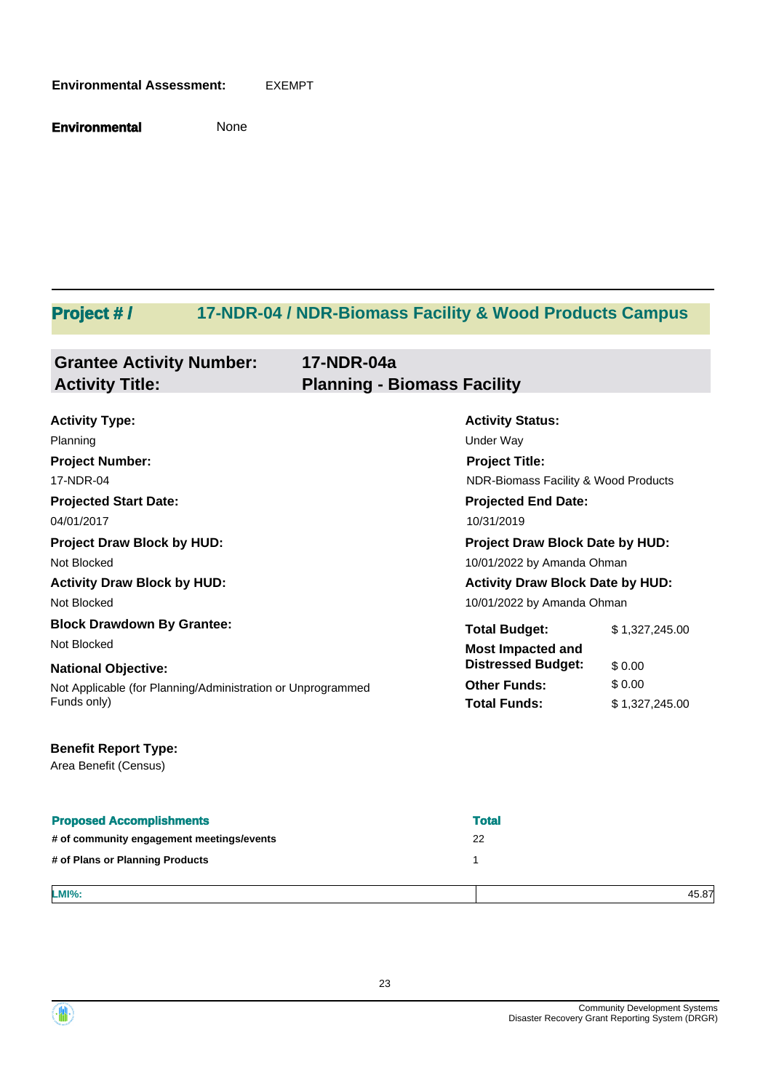#### **Environmental Assessment:** EXEMPT

**Environmental** None

# **Project # / 17-NDR-04 / NDR-Biomass Facility & Wood Products Campus**

| <b>Grantee Activity Number:</b> | 17-NDR-04a                         |
|---------------------------------|------------------------------------|
| <b>Activity Title:</b>          | <b>Planning - Biomass Facility</b> |

| <b>Activity Type:</b>                                       | <b>Activity Status:</b>                 |                |  |
|-------------------------------------------------------------|-----------------------------------------|----------------|--|
| Planning                                                    | Under Way                               |                |  |
| <b>Project Number:</b>                                      | <b>Project Title:</b>                   |                |  |
| 17-NDR-04                                                   | NDR-Biomass Facility & Wood Products    |                |  |
| <b>Projected Start Date:</b>                                | <b>Projected End Date:</b>              |                |  |
| 04/01/2017                                                  | 10/31/2019                              |                |  |
| <b>Project Draw Block by HUD:</b>                           | <b>Project Draw Block Date by HUD:</b>  |                |  |
| Not Blocked                                                 | 10/01/2022 by Amanda Ohman              |                |  |
| <b>Activity Draw Block by HUD:</b>                          | <b>Activity Draw Block Date by HUD:</b> |                |  |
| Not Blocked                                                 | 10/01/2022 by Amanda Ohman              |                |  |
| <b>Block Drawdown By Grantee:</b>                           | <b>Total Budget:</b>                    | \$1,327,245.00 |  |
| Not Blocked                                                 | <b>Most Impacted and</b>                |                |  |
| <b>National Objective:</b>                                  | <b>Distressed Budget:</b>               | \$0.00         |  |
| Not Applicable (for Planning/Administration or Unprogrammed | <b>Other Funds:</b>                     | \$0.00         |  |
| Funds only)                                                 | <b>Total Funds:</b>                     | \$1,327,245.00 |  |

## **Benefit Report Type:**

Area Benefit (Census)

| <b>Proposed Accomplishments</b>           | <b>Total</b> |
|-------------------------------------------|--------------|
| # of community engagement meetings/events | 22           |
| # of Plans or Planning Products           |              |
|                                           |              |
| <b>LMI%:</b>                              | 45.87        |

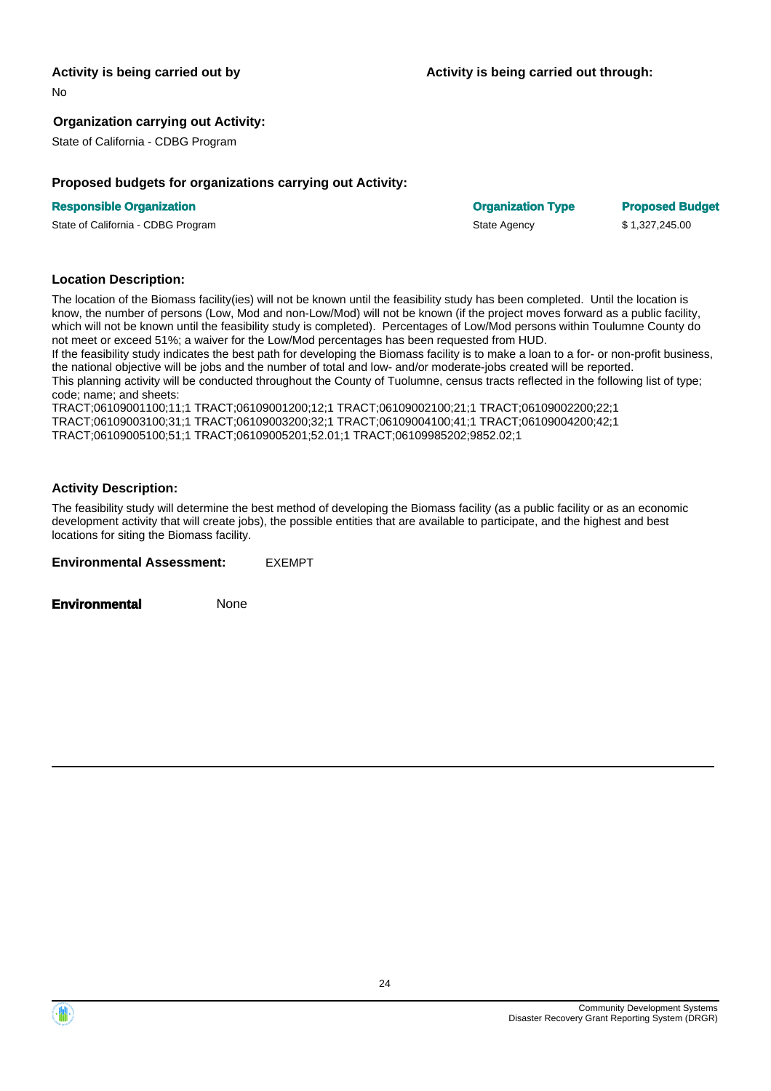No

#### **Organization carrying out Activity:**

State of California - CDBG Program

#### **Proposed budgets for organizations carrying out Activity:**

#### **Responsible Organization Community Community Community Community Community Community Community Community Community Community Community Community Community Community Community Community Community Community Community Commun**

State of California - CDBG Program State Agency \$ 1,327,245.00

#### **Location Description:**

The location of the Biomass facility(ies) will not be known until the feasibility study has been completed. Until the location is know, the number of persons (Low, Mod and non-Low/Mod) will not be known (if the project moves forward as a public facility, which will not be known until the feasibility study is completed). Percentages of Low/Mod persons within Toulumne County do not meet or exceed 51%; a waiver for the Low/Mod percentages has been requested from HUD.

If the feasibility study indicates the best path for developing the Biomass facility is to make a loan to a for- or non-profit business, the national objective will be jobs and the number of total and low- and/or moderate-jobs created will be reported. This planning activity will be conducted throughout the County of Tuolumne, census tracts reflected in the following list of type; code; name; and sheets:

TRACT;06109001100;11;1 TRACT;06109001200;12;1 TRACT;06109002100;21;1 TRACT;06109002200;22;1 TRACT;06109003100;31;1 TRACT;06109003200;32;1 TRACT;06109004100;41;1 TRACT;06109004200;42;1 TRACT;06109005100;51;1 TRACT;06109005201;52.01;1 TRACT;06109985202;9852.02;1

#### **Activity Description:**

The feasibility study will determine the best method of developing the Biomass facility (as a public facility or as an economic development activity that will create jobs), the possible entities that are available to participate, and the highest and best locations for siting the Biomass facility.

**Environmental Assessment:** EXEMPT



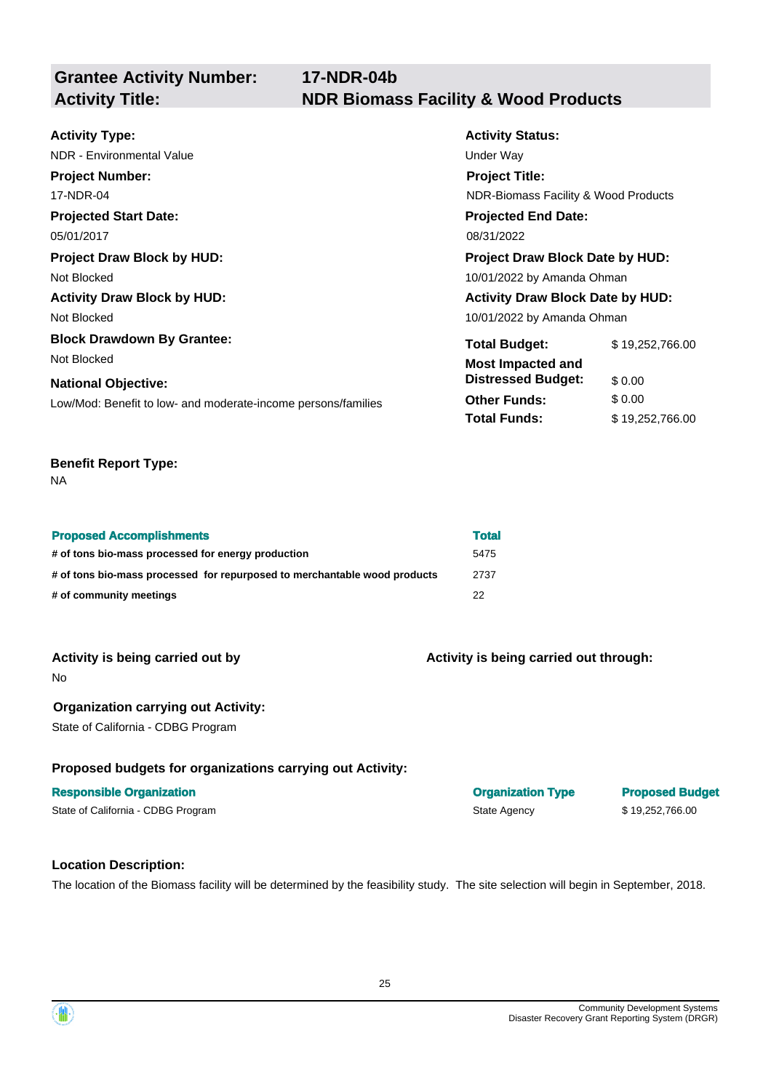**Grantee Activity Number: 17-NDR-04b Activity Title: NDR Biomass Facility & Wood Products**

| <b>Activity Type:</b>                                         | <b>Activity Status:</b>                 |                                      |  |  |
|---------------------------------------------------------------|-----------------------------------------|--------------------------------------|--|--|
| NDR - Environmental Value                                     | Under Way                               |                                      |  |  |
| <b>Project Number:</b>                                        | <b>Project Title:</b>                   |                                      |  |  |
| 17-NDR-04                                                     |                                         | NDR-Biomass Facility & Wood Products |  |  |
| <b>Projected Start Date:</b>                                  | <b>Projected End Date:</b>              |                                      |  |  |
| 05/01/2017                                                    | 08/31/2022                              |                                      |  |  |
| <b>Project Draw Block by HUD:</b>                             | <b>Project Draw Block Date by HUD:</b>  |                                      |  |  |
| Not Blocked                                                   | 10/01/2022 by Amanda Ohman              |                                      |  |  |
| <b>Activity Draw Block by HUD:</b>                            | <b>Activity Draw Block Date by HUD:</b> |                                      |  |  |
| Not Blocked                                                   | 10/01/2022 by Amanda Ohman              |                                      |  |  |
| <b>Block Drawdown By Grantee:</b>                             | <b>Total Budget:</b>                    | \$19,252,766.00                      |  |  |
| Not Blocked                                                   | <b>Most Impacted and</b>                |                                      |  |  |
| <b>National Objective:</b>                                    | <b>Distressed Budget:</b>               | \$0.00                               |  |  |
| Low/Mod: Benefit to low- and moderate-income persons/families | <b>Other Funds:</b>                     | \$0.00                               |  |  |
|                                                               | <b>Total Funds:</b>                     | \$19,252,766.00                      |  |  |

#### **Benefit Report Type:**

NA

| <b>Proposed Accomplishments</b>                                           | <b>Total</b> |
|---------------------------------------------------------------------------|--------------|
| # of tons bio-mass processed for energy production                        | 5475         |
| # of tons bio-mass processed for repurposed to merchantable wood products | 2737         |
| # of community meetings                                                   | 22           |

| Activity is being carried out by |  |  |  |  |  |
|----------------------------------|--|--|--|--|--|
|----------------------------------|--|--|--|--|--|

No

#### **Organization carrying out Activity:**

State of California - CDBG Program

#### **Proposed budgets for organizations carrying out Activity:**

#### **Location Description:**

The location of the Biomass facility will be determined by the feasibility study. The site selection will begin in September, 2018.



**Activity is being carried out through:** 

**Responsible Organization Community Community Community Community Community Community Community Community Community Community Community Community Community Community Community Community Community Community Community Commun** State of California - CDBG Program State Agency \$ 19,252,766.00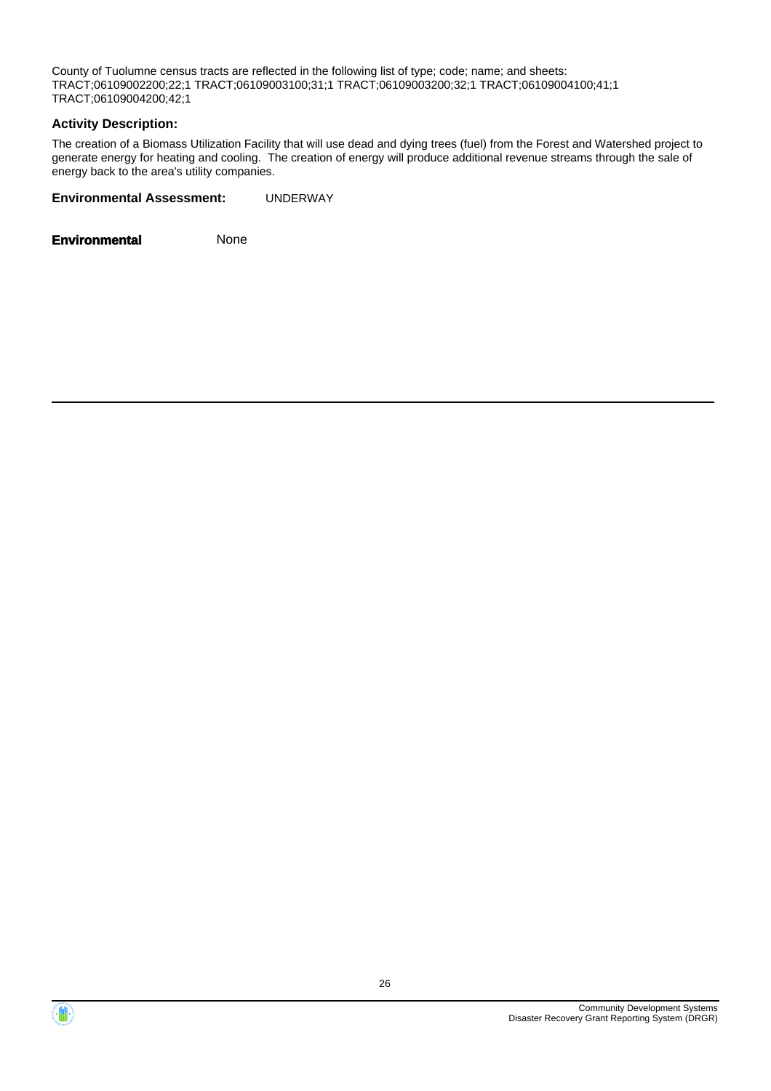County of Tuolumne census tracts are reflected in the following list of type; code; name; and sheets: TRACT;06109002200;22;1 TRACT;06109003100;31;1 TRACT;06109003200;32;1 TRACT;06109004100;41;1 TRACT;06109004200;42;1

#### **Activity Description:**

The creation of a Biomass Utilization Facility that will use dead and dying trees (fuel) from the Forest and Watershed project to generate energy for heating and cooling. The creation of energy will produce additional revenue streams through the sale of energy back to the area's utility companies.

**Environmental Assessment:** UNDERWAY



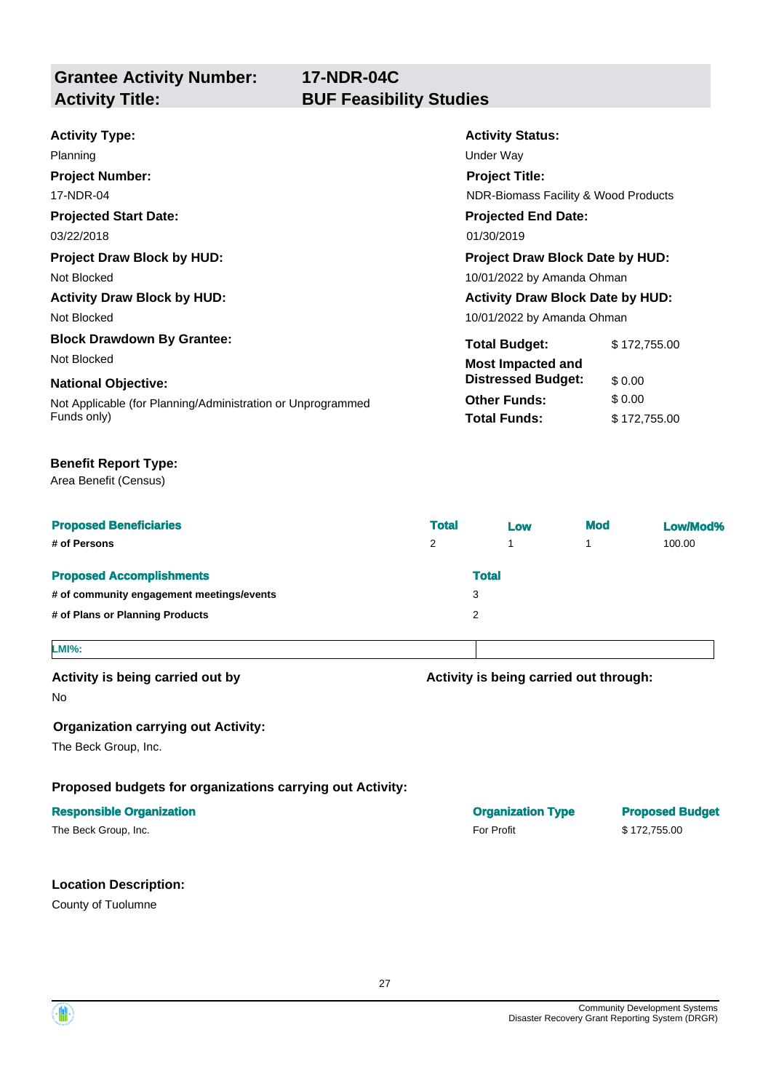**17-NDR-04C** 

#### **Projected Start Date: Activity Status: Projected End Date: Activity Type:**  03/22/2018 01/30/2019 Planning **Development Controllering** Under Way **Project Number:**  17-NDR-04 **Project Title:**  NDR-Biomass Facility & Wood Products **Project Draw Block by HUD:** Project Draw Block Date by HUD: Project Draw Block Date by HUD: Not Blocked 10/01/2022 by Amanda Ohman Activity Draw Block by HUD: **Activity Draw Block Date by HUD:** Activity Draw Block Date by HUD: Not Blocked 2001/2022 by Amanda Ohman **Block Drawdown By Grantee:** Total Budget: \$ [172,755.00](https://172,755.00) Not Blocked **Most Impacted and National Objective: Constructional Objective: Constructional State of the United States of the United States of the United States of the United States of the United States of the United States of the United States of**

Not Applicable (for Planning/Administration or Unprogrammed **Other Funds:** \$ 0.00 **Funds only) Total Funds:**  $$ 172,755.00$  $$ 172,755.00$ 

#### **Benefit Report Type:**

Area Benefit (Census)

| <b>Proposed Beneficiaries</b>             | <b>Total</b> | Low          | <b>Mod</b> | Low/Mod% |
|-------------------------------------------|--------------|--------------|------------|----------|
| # of Persons                              | 2            |              |            | 100.00   |
| <b>Proposed Accomplishments</b>           |              | <b>Total</b> |            |          |
| # of community engagement meetings/events | 3            |              |            |          |
| # of Plans or Planning Products           | 2            |              |            |          |
| <b>LMI%:</b>                              |              |              |            |          |

Activity is being carried out by **Activity is being carried out through:**  $\blacksquare$ 

No

#### **Organization carrying out Activity:**

The Beck Group, Inc.

#### **Proposed budgets for organizations carrying out Activity:**

#### **Responsible Organization Community Community Community Community Community Community Community Community Community Community Community Community Community Community Community Community Community Community Community Commun**

#### **Location Description:**

County of Tuolumne

The Beck Group, Inc. 6. The Seck Group, Inc. 6. The Seck Group, Inc. 6. The Seck Group, Inc. 6. The Seck Group, Inc. 6. The Seck Group, Inc. 6. The Seck Group, Inc. 6. The Seck Group, Inc. 6. The Seck Group, Inc. 6. The Se

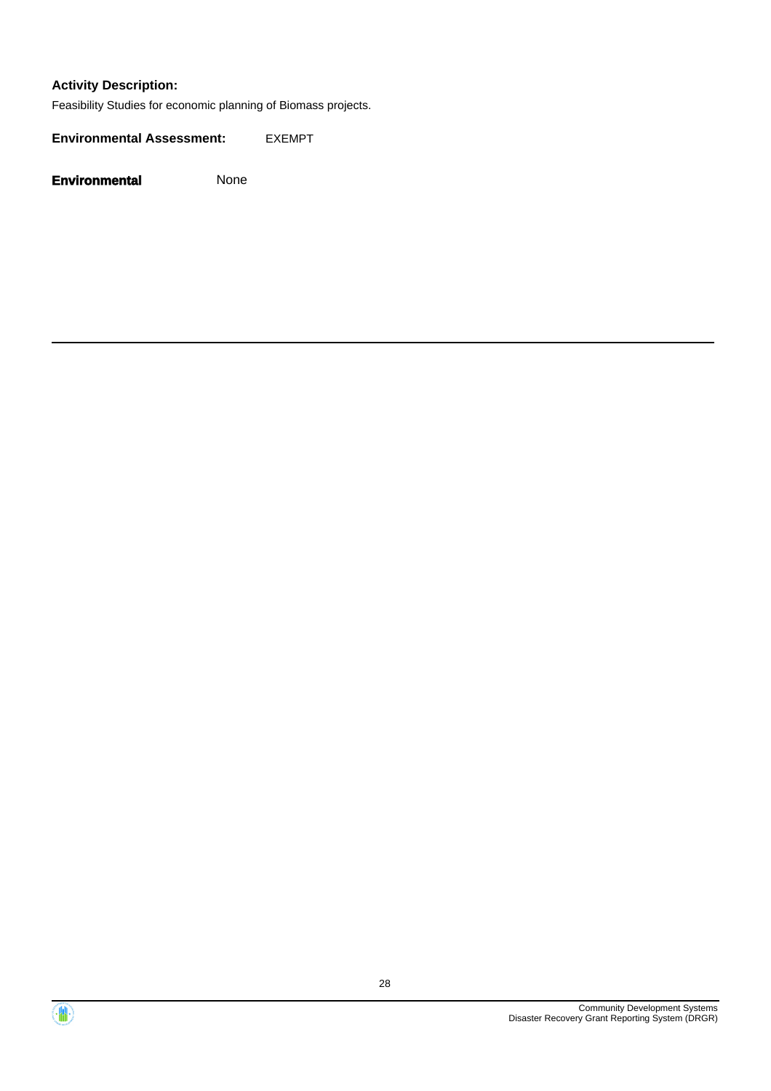#### **Activity Description:**

Feasibility Studies for economic planning of Biomass projects.

**Environmental Assessment:** EXEMPT



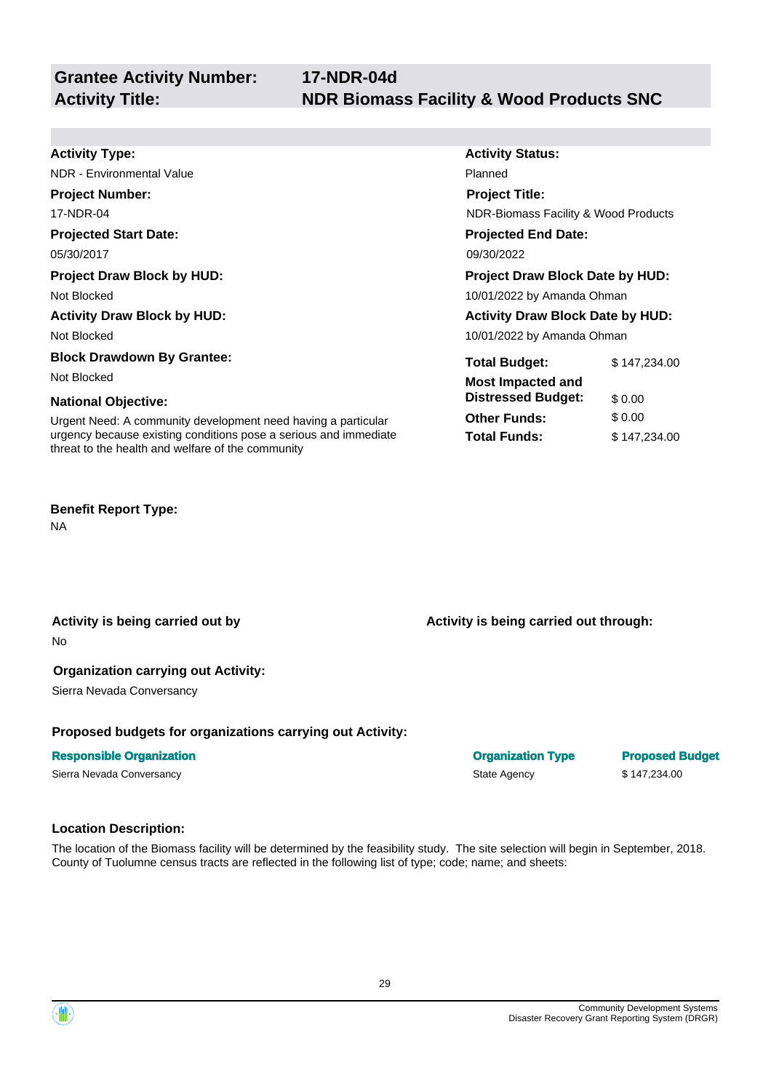| <b>Activity Type:</b>                                                                                                 | <b>Activity Status:</b>                 |              |
|-----------------------------------------------------------------------------------------------------------------------|-----------------------------------------|--------------|
| <b>NDR</b> - Environmental Value                                                                                      | Planned                                 |              |
| <b>Project Number:</b>                                                                                                | <b>Project Title:</b>                   |              |
| 17-NDR-04                                                                                                             | NDR-Biomass Facility & Wood Products    |              |
| <b>Projected Start Date:</b>                                                                                          | <b>Projected End Date:</b>              |              |
| 05/30/2017                                                                                                            | 09/30/2022                              |              |
| <b>Project Draw Block by HUD:</b>                                                                                     | <b>Project Draw Block Date by HUD:</b>  |              |
| Not Blocked                                                                                                           | 10/01/2022 by Amanda Ohman              |              |
| <b>Activity Draw Block by HUD:</b>                                                                                    | <b>Activity Draw Block Date by HUD:</b> |              |
| Not Blocked                                                                                                           | 10/01/2022 by Amanda Ohman              |              |
| <b>Block Drawdown By Grantee:</b>                                                                                     | <b>Total Budget:</b>                    | \$147,234.00 |
| Not Blocked                                                                                                           | <b>Most Impacted and</b>                |              |
| <b>National Objective:</b>                                                                                            | <b>Distressed Budget:</b>               | \$0.00       |
| Urgent Need: A community development need having a particular                                                         | <b>Other Funds:</b>                     | \$0.00       |
| urgency because existing conditions pose a serious and immediate<br>threat to the health and welfare of the community | <b>Total Funds:</b>                     | \$147,234.00 |

#### **Benefit Report Type:**

NA

**Activity is being carried out by** 

## No

#### **Organization carrying out Activity:**

Sierra Nevada Conversancy

#### **Proposed budgets for organizations carrying out Activity:**

#### **Responsible Organization**

Sierra Nevada Conversancy

## **Location Description:**

The location of the Biomass facility will be determined by the feasibility study. The site selection will begin in September, 2018. County of Tuolumne census tracts are reflected in the following list of type; code; name

| selection will begin in S |  |
|---------------------------|--|
| : and sheets:             |  |
|                           |  |

**Organization Type Proposed Budget** State Agency \$147,234.00

**Activity is being carried out through:** 

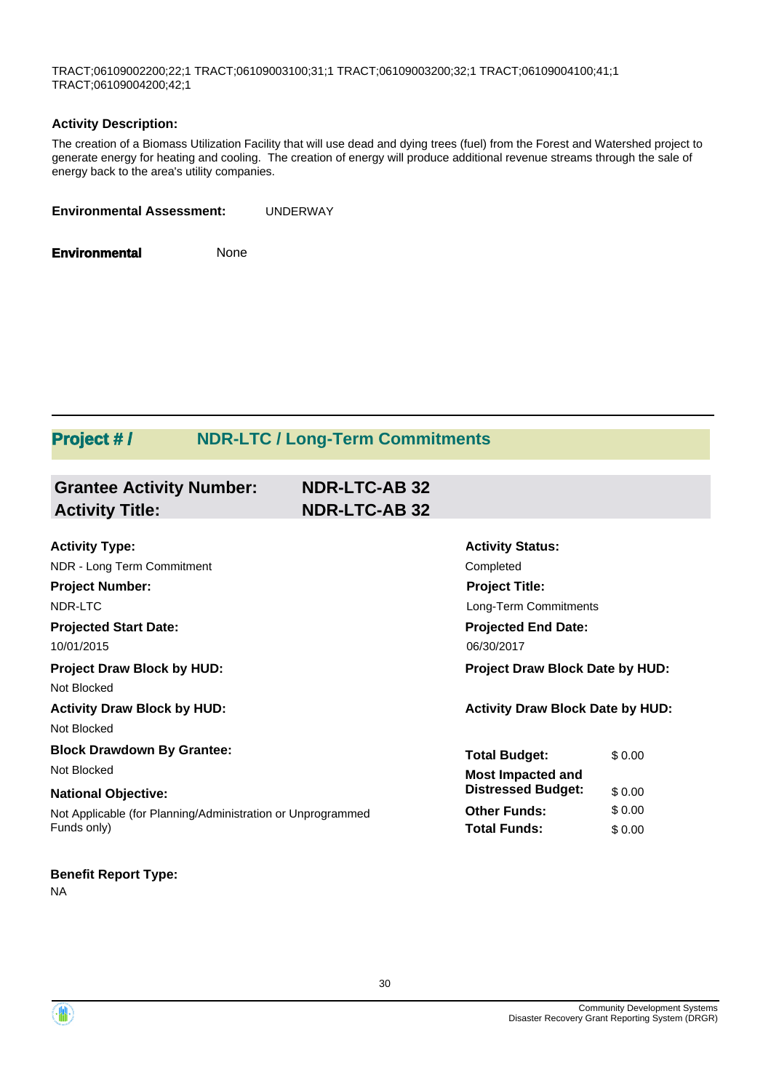TRACT;06109002200;22;1 TRACT;06109003100;31;1 TRACT;06109003200;32;1 TRACT;06109004100;41;1 TRACT;06109004200;42;1

#### **Activity Description:**

The creation of a Biomass Utilization Facility that will use dead and dying trees (fuel) from the Forest and Watershed project to generate energy for heating and cooling. The creation of energy will produce additional revenue streams through the sale of energy back to the area's utility companies.

**Environmental** None

# **Project #/ NDR-LTC / Long-Term Commitments**

| <b>Grantee Activity Number:</b>                             | <b>NDR-LTC-AB 32</b> |                                         |        |
|-------------------------------------------------------------|----------------------|-----------------------------------------|--------|
| <b>Activity Title:</b>                                      | <b>NDR-LTC-AB 32</b> |                                         |        |
| <b>Activity Type:</b>                                       |                      | <b>Activity Status:</b>                 |        |
| NDR - Long Term Commitment                                  |                      | Completed                               |        |
| <b>Project Number:</b>                                      |                      | <b>Project Title:</b>                   |        |
| NDR-LTC                                                     |                      | Long-Term Commitments                   |        |
| <b>Projected Start Date:</b>                                |                      | <b>Projected End Date:</b>              |        |
| 10/01/2015                                                  |                      | 06/30/2017                              |        |
| <b>Project Draw Block by HUD:</b>                           |                      | Project Draw Block Date by HUD:         |        |
| Not Blocked                                                 |                      |                                         |        |
| <b>Activity Draw Block by HUD:</b>                          |                      | <b>Activity Draw Block Date by HUD:</b> |        |
| Not Blocked                                                 |                      |                                         |        |
| <b>Block Drawdown By Grantee:</b>                           |                      | <b>Total Budget:</b>                    | \$0.00 |
| Not Blocked                                                 |                      | <b>Most Impacted and</b>                |        |
| <b>National Objective:</b>                                  |                      | <b>Distressed Budget:</b>               | \$0.00 |
| Not Applicable (for Planning/Administration or Unprogrammed |                      | <b>Other Funds:</b>                     | \$0.00 |
| Funds only)                                                 |                      | <b>Total Funds:</b>                     | \$0.00 |
|                                                             |                      |                                         |        |

#### **Benefit Report Type:**

NA

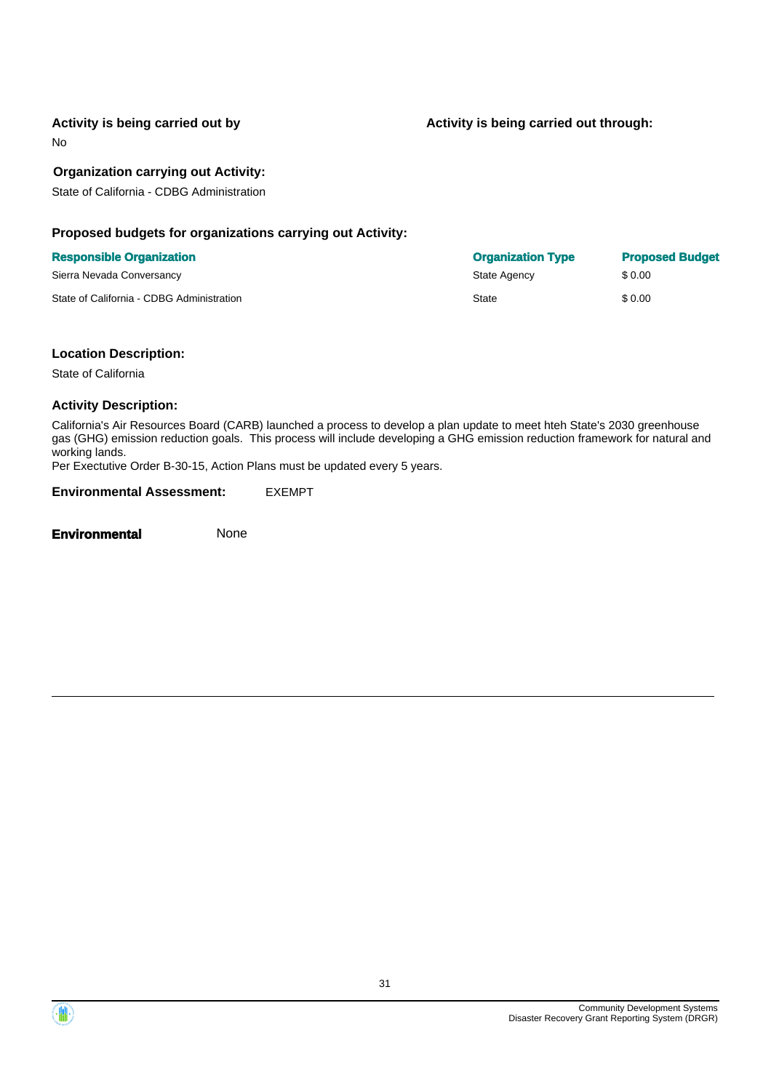Activity is being carried out by **Activity is being carried out through:**  $\blacksquare$ 

No

#### **Organization carrying out Activity:**

State of California - CDBG Administration

#### **Proposed budgets for organizations carrying out Activity:**

#### **Responsible Organization**

Sierra Nevada Conversancy

State of California - CDBG Administration

| <b>Organization Type</b> | <b>Proposed Budget</b> |
|--------------------------|------------------------|
| State Agency             | \$0.00                 |
| State                    | \$0.00                 |

#### **Location Description:**

State of California

#### **Activity Description:**

California's Air Resources Board (CARB) launched a process to develop a plan update to meet hteh State's 2030 greenhouse gas (GHG) emission reduction goals. This process will include developing a GHG emission reduction framework for natural and working lands.

Per Exectutive Order B-30-15, Action Plans must be updated every 5 years.

**Environmental Assessment:** EXEMPT

**Environmental** None

Community Development Systems Disaster Recovery Grant Reporting System (DRGR)

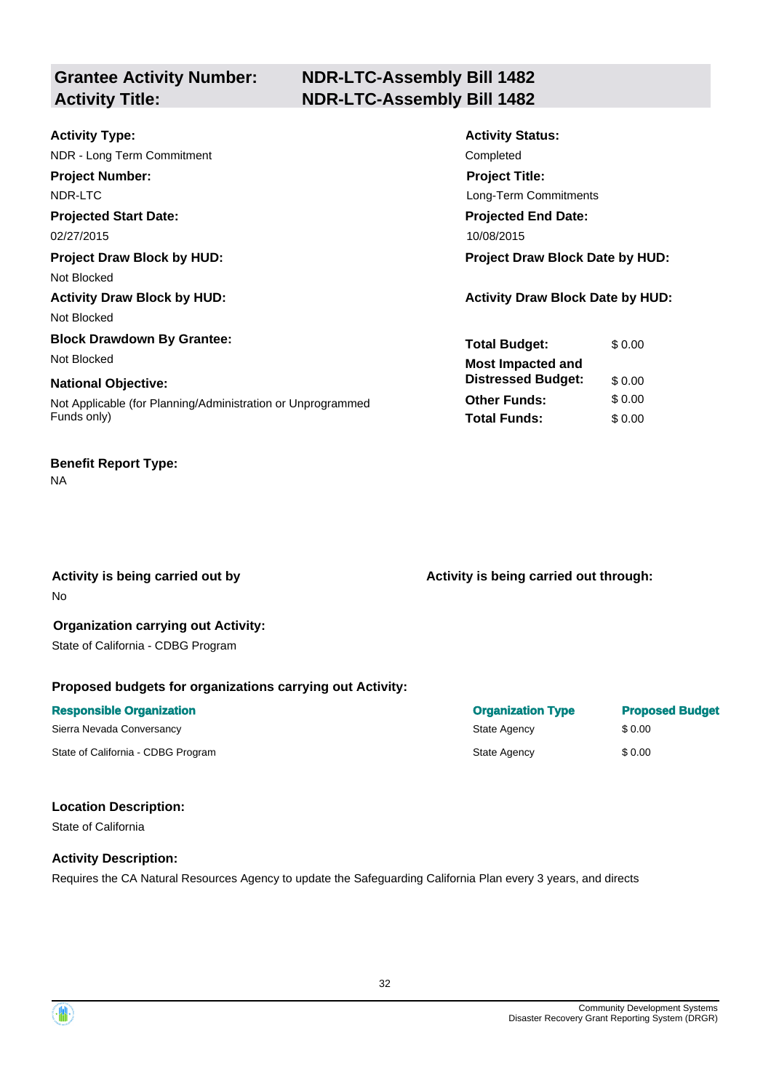# **Grantee Activity Number:**

# **NDR-LTC-Assembly Bill 1482 Activity Title: NDR-LTC-Assembly Bill 1482**

| <b>Activity Type:</b>                                       | <b>Activity Status:</b>                 |
|-------------------------------------------------------------|-----------------------------------------|
| NDR - Long Term Commitment                                  | Completed                               |
| <b>Project Number:</b>                                      | <b>Project Title:</b>                   |
| NDR-LTC                                                     | Long-Term Commitments                   |
| <b>Projected Start Date:</b>                                | <b>Projected End Date:</b>              |
| 02/27/2015                                                  | 10/08/2015                              |
| <b>Project Draw Block by HUD:</b>                           | <b>Project Draw Block Date by HUD:</b>  |
| Not Blocked                                                 |                                         |
| <b>Activity Draw Block by HUD:</b>                          | <b>Activity Draw Block Date by HUD:</b> |
| Not Blocked                                                 |                                         |
| <b>Block Drawdown By Grantee:</b>                           | <b>Total Budget:</b><br>\$0.00          |
| Not Blocked                                                 | <b>Most Impacted and</b>                |
| <b>National Objective:</b>                                  | <b>Distressed Budget:</b><br>\$0.00     |
| Not Applicable (for Planning/Administration or Unprogrammed | <b>Other Funds:</b><br>\$0.00           |
| Funds only)                                                 | <b>Total Funds:</b><br>\$0.00           |
|                                                             |                                         |

# **Benefit Report Type:**

#### NA

No

Activity is being carried out by **Activity is being carried out through:**  $\blacksquare$ 

#### **Organization carrying out Activity:**  State of California - CDBG Program

#### **Proposed budgets for organizations carrying out Activity:**

| <b>Responsible Organization</b>    | <b>Organization Type</b> | <b>Proposed Budget</b> |
|------------------------------------|--------------------------|------------------------|
| Sierra Nevada Conversancy          | State Agency             | \$ 0.00                |
| State of California - CDBG Program | State Agency             | \$0.00                 |

#### **Location Description:**

State of California

#### **Activity Description:**

Requires the CA Natural Resources Agency to update the Safeguarding California Plan every 3 years, and directs

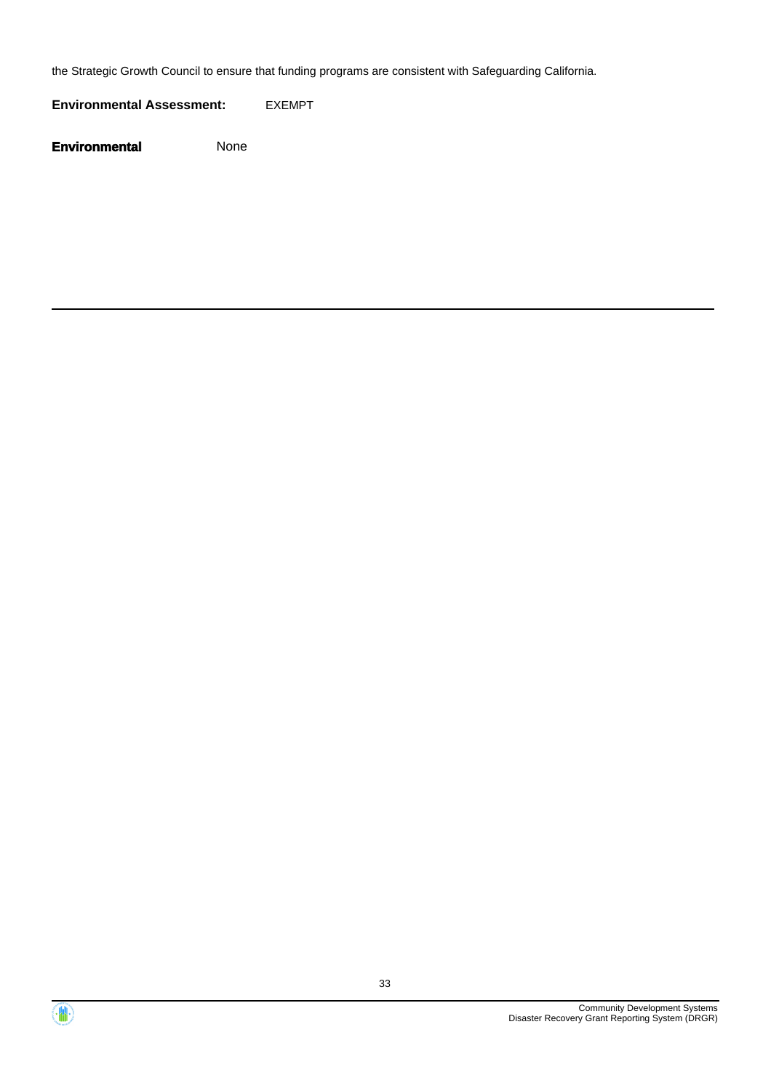the Strategic Growth Council to ensure that funding programs are consistent with Safeguarding California.

**Environmental Assessment:** EXEMPT



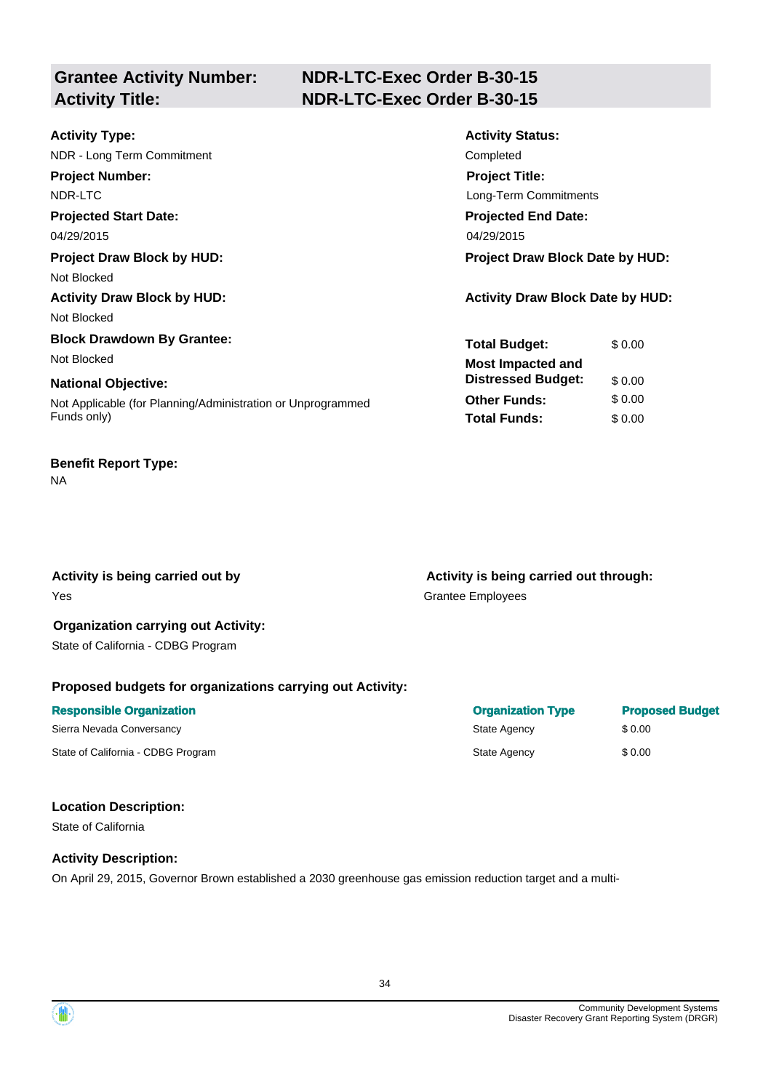# **Grantee Activity Number:**

# **NDR-LTC-Exec Order B-30-15 Activity Title: NDR-LTC-Exec Order B-30-15**

| <b>Activity Type:</b>                                       | <b>Activity Status:</b>                 |
|-------------------------------------------------------------|-----------------------------------------|
| NDR - Long Term Commitment                                  | Completed                               |
| <b>Project Number:</b>                                      | <b>Project Title:</b>                   |
| NDR-LTC                                                     | Long-Term Commitments                   |
| <b>Projected Start Date:</b>                                | <b>Projected End Date:</b>              |
| 04/29/2015                                                  | 04/29/2015                              |
| <b>Project Draw Block by HUD:</b>                           | <b>Project Draw Block Date by HUD:</b>  |
| Not Blocked                                                 |                                         |
| <b>Activity Draw Block by HUD:</b>                          | <b>Activity Draw Block Date by HUD:</b> |
| Not Blocked                                                 |                                         |
| <b>Block Drawdown By Grantee:</b>                           | <b>Total Budget:</b><br>\$0.00          |
| Not Blocked                                                 | <b>Most Impacted and</b>                |
| <b>National Objective:</b>                                  | <b>Distressed Budget:</b><br>\$0.00     |
| Not Applicable (for Planning/Administration or Unprogrammed | <b>Other Funds:</b><br>\$0.00           |
| Funds only)                                                 | <b>Total Funds:</b><br>\$0.00           |
|                                                             |                                         |

# **Benefit Report Type:**

NA

Yes Grantee Employees

Activity is being carried out by **Activity is being carried out through:**  $\blacksquare$ 

#### **Organization carrying out Activity:**  State of California - CDBG Program

## **Proposed budgets for organizations carrying out Activity:**

| <b>Responsible Organization</b>    | <b>Organization Type</b> | <b>Proposed Budget</b> |
|------------------------------------|--------------------------|------------------------|
| Sierra Nevada Conversancy          | State Agency             | \$ 0.00                |
| State of California - CDBG Program | State Agency             | \$0.00                 |

#### **Location Description:**

State of California

#### **Activity Description:**

On April 29, 2015, Governor Brown established a 2030 greenhouse gas emission reduction target and a multi-

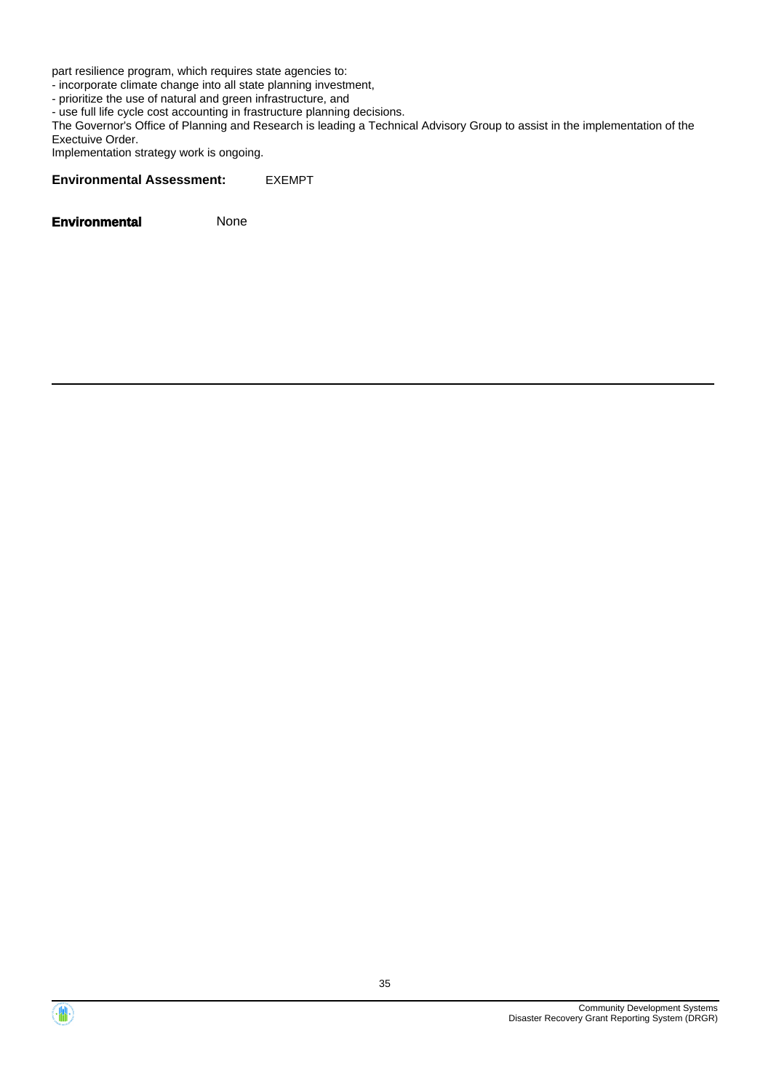part resilience program, which requires state agencies to:

- incorporate climate change into all state planning investment,

- prioritize the use of natural and green infrastructure, and

- use full life cycle cost accounting in frastructure planning decisions.

The Governor's Office of Planning and Research is leading a Technical Advisory Group to assist in the implementation of the Exectuive Order.

Implementation strategy work is ongoing.

#### **Environmental Assessment:** EXEMPT



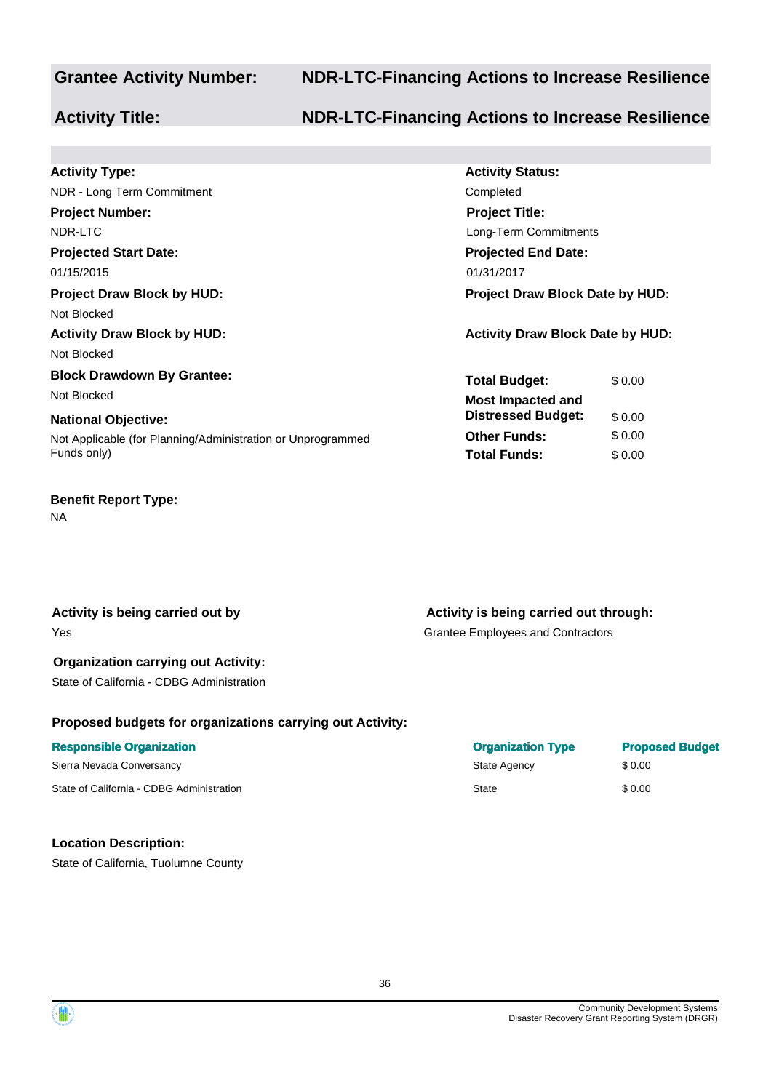## **Grantee Activity Number: NDR-LTC-Financing Actions to Increase Resilience**

## **Activity Title: NDR-LTC-Financing Actions to Increase Resilience**

| <b>Activity Status:</b>                 |
|-----------------------------------------|
| Completed                               |
| <b>Project Title:</b>                   |
| Long-Term Commitments                   |
| <b>Projected End Date:</b>              |
| 01/31/2017                              |
| <b>Project Draw Block Date by HUD:</b>  |
|                                         |
| <b>Activity Draw Block Date by HUD:</b> |
|                                         |
| <b>Total Budget:</b><br>\$ 0.00         |
| <b>Most Impacted and</b>                |
| <b>Distressed Budget:</b><br>\$0.00     |
| \$0.00<br><b>Other Funds:</b>           |
| <b>Total Funds:</b><br>\$0.00           |
|                                         |

#### **Benefit Report Type:**

NA

**Activity is being carried out by**  Yes

### **Organization carrying out Activity:**

State of California - CDBG Administration

## **Proposed budgets for organizations carrying out Activity:**

#### **Responsible Organization**  Sierra Nevada Conversancy

State of California - CDBG Administration

#### **Location Description:**

State of California, Tuolumne County

**Activity is being carried out through:** 

Grantee Employees and Contractors

| <b>Organization Type</b> | <b>Proposed Budget</b> |
|--------------------------|------------------------|
| State Agency             | \$0.00                 |
| State                    | \$0.00                 |

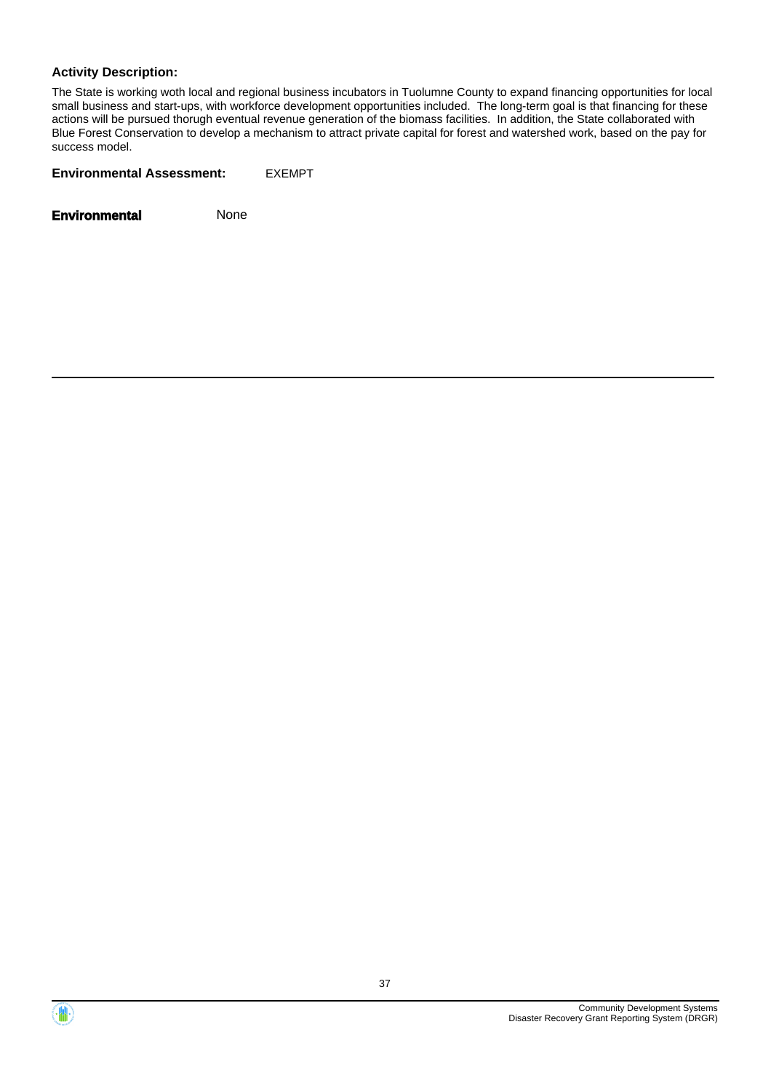#### **Activity Description:**

The State is working woth local and regional business incubators in Tuolumne County to expand financing opportunities for local small business and start-ups, with workforce development opportunities included. The long-term goal is that financing for these actions will be pursued thorugh eventual revenue generation of the biomass facilities. In addition, the State collaborated with Blue Forest Conservation to develop a mechanism to attract private capital for forest and watershed work, based on the pay for success model.

**Environmental Assessment:** EXEMPT



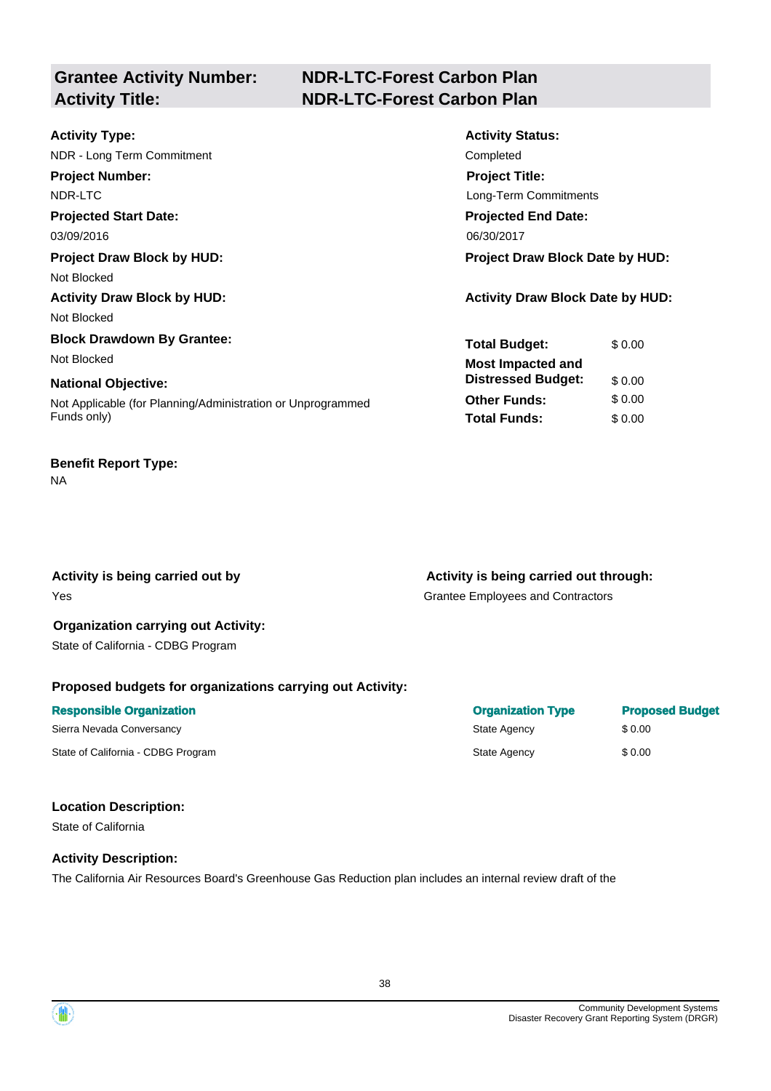# **Grantee Activity Number:**

# **NDR-LTC-Forest Carbon Plan Activity Title: NDR-LTC-Forest Carbon Plan**

| <b>Activity Type:</b>                                       | <b>Activity Status:</b>                 |
|-------------------------------------------------------------|-----------------------------------------|
| NDR - Long Term Commitment                                  | Completed                               |
| <b>Project Number:</b>                                      | <b>Project Title:</b>                   |
| NDR-LTC                                                     | Long-Term Commitments                   |
| <b>Projected Start Date:</b>                                | <b>Projected End Date:</b>              |
| 03/09/2016                                                  | 06/30/2017                              |
| <b>Project Draw Block by HUD:</b>                           | <b>Project Draw Block Date by HUD:</b>  |
| Not Blocked                                                 |                                         |
| <b>Activity Draw Block by HUD:</b>                          | <b>Activity Draw Block Date by HUD:</b> |
| Not Blocked                                                 |                                         |
| <b>Block Drawdown By Grantee:</b>                           | <b>Total Budget:</b><br>\$0.00          |
| Not Blocked                                                 | <b>Most Impacted and</b>                |
| <b>National Objective:</b>                                  | <b>Distressed Budget:</b><br>\$0.00     |
| Not Applicable (for Planning/Administration or Unprogrammed | <b>Other Funds:</b><br>\$0.00           |
| Funds only)                                                 | <b>Total Funds:</b><br>\$0.00           |
|                                                             |                                         |

# **Benefit Report Type:**

NA

Yes Grantee Employees and Contractors

Activity is being carried out by **Activity is being carried out through:**  $\blacksquare$ 

### **Organization carrying out Activity:**  State of California - CDBG Program

## **Proposed budgets for organizations carrying out Activity:**

| <b>Responsible Organization</b>    | <b>Organization Type</b> | <b>Proposed Budget</b> |
|------------------------------------|--------------------------|------------------------|
| Sierra Nevada Conversancy          | State Agency             | \$ 0.00                |
| State of California - CDBG Program | State Agency             | \$ 0.00                |

## **Location Description:**

State of California

## **Activity Description:**

The California Air Resources Board's Greenhouse Gas Reduction plan includes an internal review draft of the

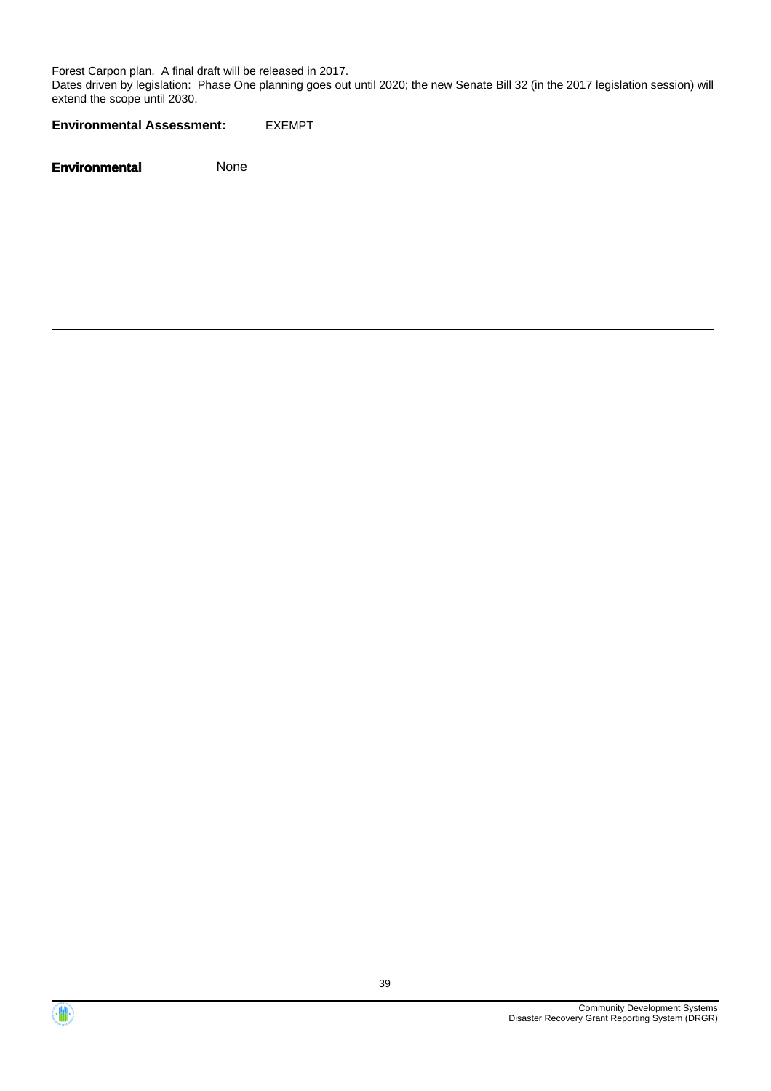Forest Carpon plan. A final draft will be released in 2017.

Dates driven by legislation: Phase One planning goes out until 2020; the new Senate Bill 32 (in the 2017 legislation session) will extend the scope until 2030.

**Environmental Assessment:** EXEMPT



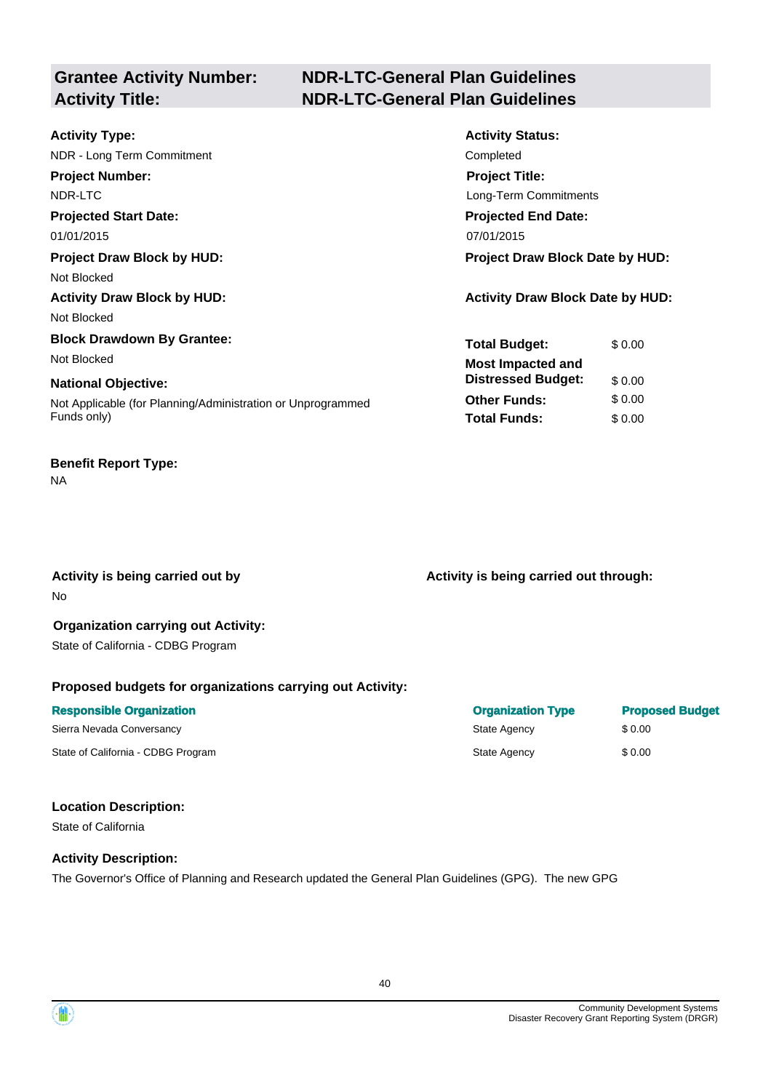# **Grantee Activity Number:**

# **NDR-LTC-General Plan Guidelines Activity Title: NDR-LTC-General Plan Guidelines**

| <b>Activity Type:</b>                                       | <b>Activity Status:</b>                 |
|-------------------------------------------------------------|-----------------------------------------|
| NDR - Long Term Commitment                                  | Completed                               |
| <b>Project Number:</b>                                      | <b>Project Title:</b>                   |
| NDR-LTC                                                     | Long-Term Commitments                   |
| <b>Projected Start Date:</b>                                | <b>Projected End Date:</b>              |
| 01/01/2015                                                  | 07/01/2015                              |
| <b>Project Draw Block by HUD:</b>                           | <b>Project Draw Block Date by HUD:</b>  |
| Not Blocked                                                 |                                         |
| <b>Activity Draw Block by HUD:</b>                          | <b>Activity Draw Block Date by HUD:</b> |
| Not Blocked                                                 |                                         |
| <b>Block Drawdown By Grantee:</b>                           | <b>Total Budget:</b><br>\$0.00          |
| Not Blocked                                                 | <b>Most Impacted and</b>                |
| <b>National Objective:</b>                                  | <b>Distressed Budget:</b><br>\$0.00     |
| Not Applicable (for Planning/Administration or Unprogrammed | \$0.00<br><b>Other Funds:</b>           |
| Funds only)                                                 | <b>Total Funds:</b><br>\$0.00           |

# **Benefit Report Type:**

#### NA

No

Activity is being carried out by **Activity is being carried out through:**  $\blacksquare$ 

#### **Organization carrying out Activity:**  State of California - CDBG Program

#### **Proposed budgets for organizations carrying out Activity:**

| <b>Responsible Organization</b>    | <b>Organization Type</b> | <b>Proposed Budget</b> |
|------------------------------------|--------------------------|------------------------|
| Sierra Nevada Conversancy          | State Agency             | \$ 0.00                |
| State of California - CDBG Program | State Agency             | \$0.00                 |

#### **Location Description:**

State of California

#### **Activity Description:**

The Governor's Office of Planning and Research updated the General Plan Guidelines (GPG). The new GPG



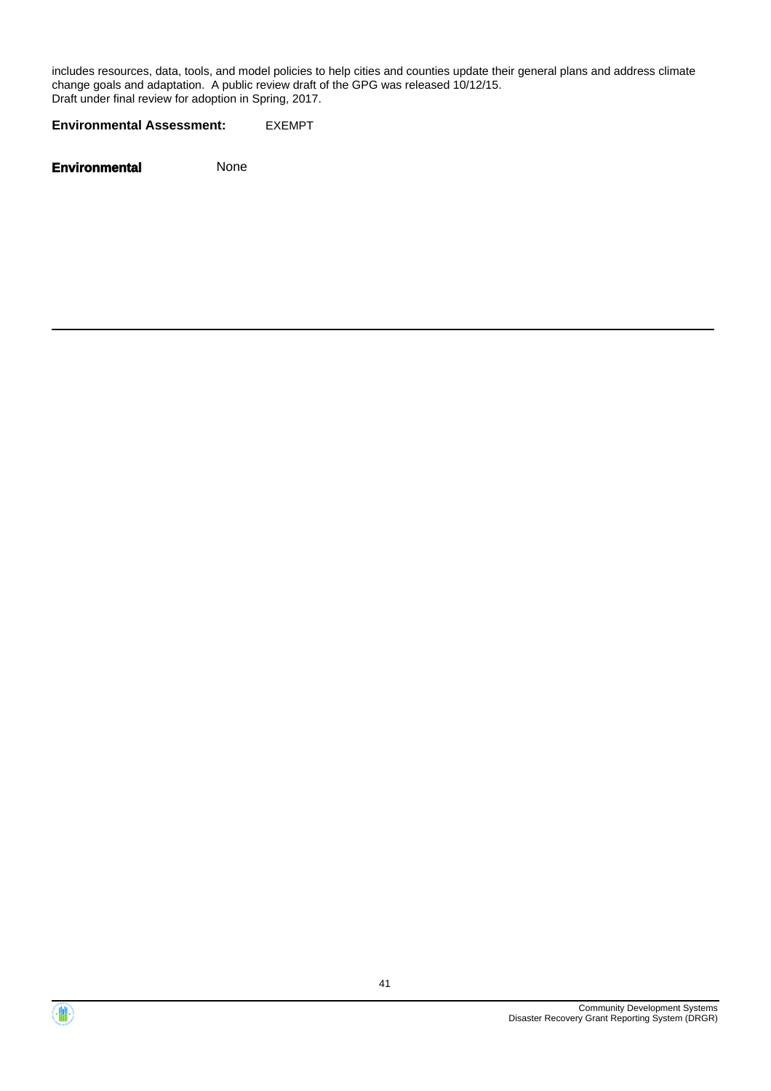includes resources, data, tools, and model policies to help cities and counties update their general plans and address climate change goals and adaptation. A public review draft of the GPG was released 10/12/15. Draft under final review for adoption in Spring, 2017.

**Environmental Assessment:** EXEMPT



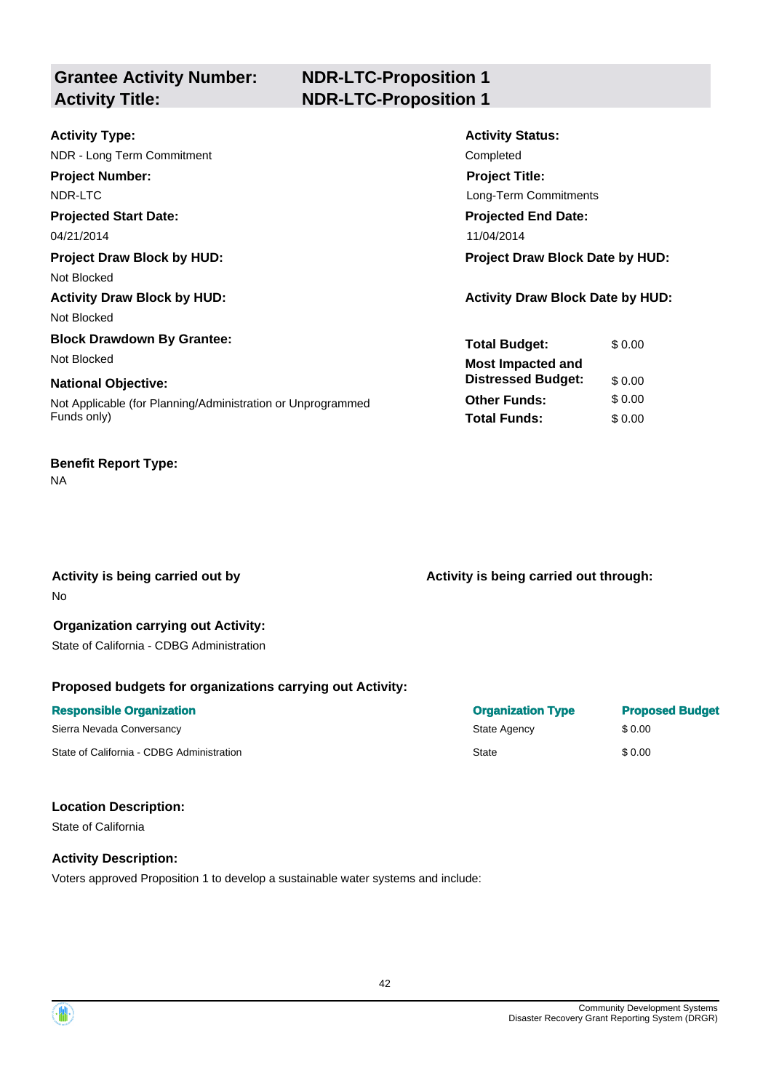**Grantee Activity Number: Activity Title: NDR-LTC-Proposition 1**

# **NDR-LTC-Proposition 1**

| <b>Activity Type:</b>                                       | <b>Activity Status:</b>                 |
|-------------------------------------------------------------|-----------------------------------------|
| NDR - Long Term Commitment                                  | Completed                               |
| <b>Project Number:</b>                                      | <b>Project Title:</b>                   |
| NDR-LTC                                                     | Long-Term Commitments                   |
| <b>Projected Start Date:</b>                                | <b>Projected End Date:</b>              |
| 04/21/2014                                                  | 11/04/2014                              |
| <b>Project Draw Block by HUD:</b>                           | <b>Project Draw Block Date by HUD:</b>  |
| Not Blocked                                                 |                                         |
| <b>Activity Draw Block by HUD:</b>                          | <b>Activity Draw Block Date by HUD:</b> |
| Not Blocked                                                 |                                         |
| <b>Block Drawdown By Grantee:</b>                           | <b>Total Budget:</b><br>\$0.00          |
| Not Blocked                                                 | <b>Most Impacted and</b>                |
| <b>National Objective:</b>                                  | <b>Distressed Budget:</b><br>\$0.00     |
| Not Applicable (for Planning/Administration or Unprogrammed | <b>Other Funds:</b><br>\$0.00           |
| Funds only)                                                 | <b>Total Funds:</b><br>\$0.00           |
|                                                             |                                         |

# **Benefit Report Type:**

NA

No

Activity is being carried out by **Activity is being carried out through:**  $\blacksquare$ 

# **Organization carrying out Activity:**

State of California - CDBG Administration

## **Proposed budgets for organizations carrying out Activity:**

| <b>Responsible Organization</b>           | <b>Organization Type</b> | <b>Proposed Budget</b> |
|-------------------------------------------|--------------------------|------------------------|
| Sierra Nevada Conversancy                 | State Agency             | \$ 0.00                |
| State of California - CDBG Administration | <b>State</b>             | \$0.00                 |

#### **Location Description:**

State of California

#### **Activity Description:**

Voters approved Proposition 1 to develop a sustainable water systems and include:

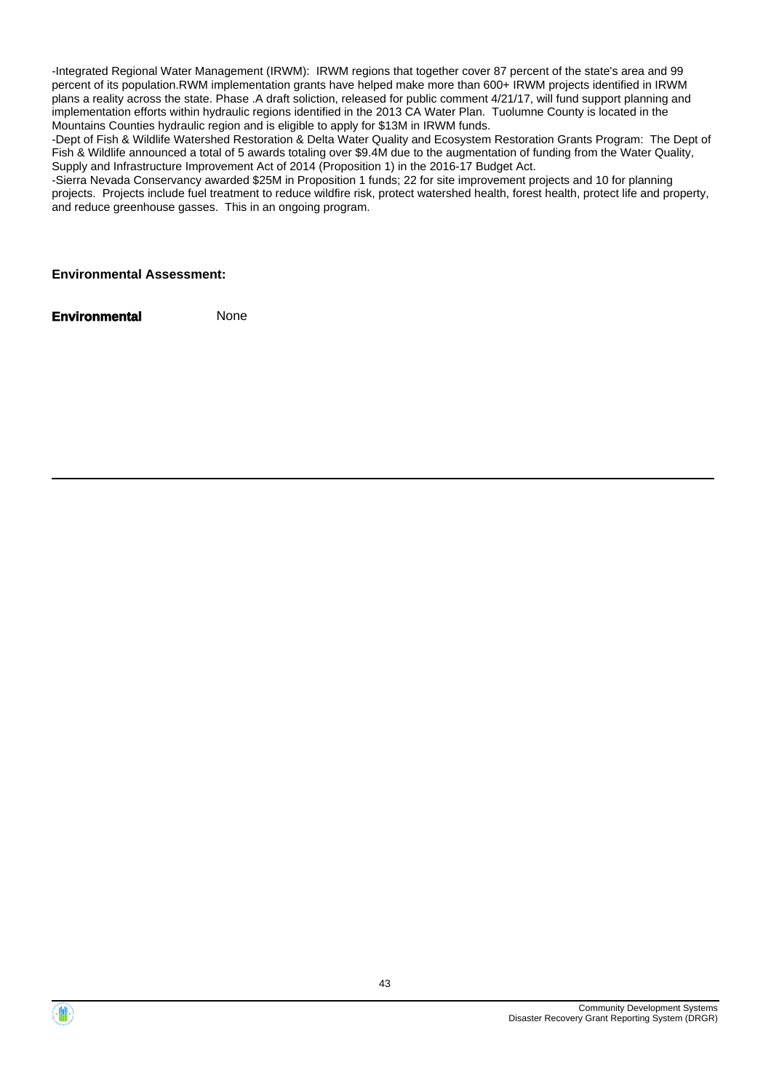-Integrated Regional Water Management (IRWM): IRWM regions that together cover 87 percent of the state's area and 99 percent of its population.RWM implementation grants have helped make more than 600+ IRWM projects identified in IRWM plans a reality across the state. Phase .A draft soliction, released for public comment 4/21/17, will fund support planning and implementation efforts within hydraulic regions identified in the 2013 CA Water Plan. Tuolumne County is located in the Mountains Counties hydraulic region and is eligible to apply for \$13M in IRWM funds.

-Dept of Fish & Wildlife Watershed Restoration & Delta Water Quality and Ecosystem Restoration Grants Program: The Dept of Fish & Wildlife announced a total of 5 awards totaling over \$9.4M due to the augmentation of funding from the Water Quality, Supply and Infrastructure Improvement Act of 2014 (Proposition 1) in the 2016-17 Budget Act.

-Sierra Nevada Conservancy awarded \$25M in Proposition 1 funds; 22 for site improvement projects and 10 for planning projects. Projects include fuel treatment to reduce wildfire risk, protect watershed health, forest health, protect life and property, and reduce greenhouse gasses. This in an ongoing program.

#### **Environmental Assessment:**

**Environmental Mone** 

Community Development Systems Disaster Recovery Grant Reporting System (DRGR)

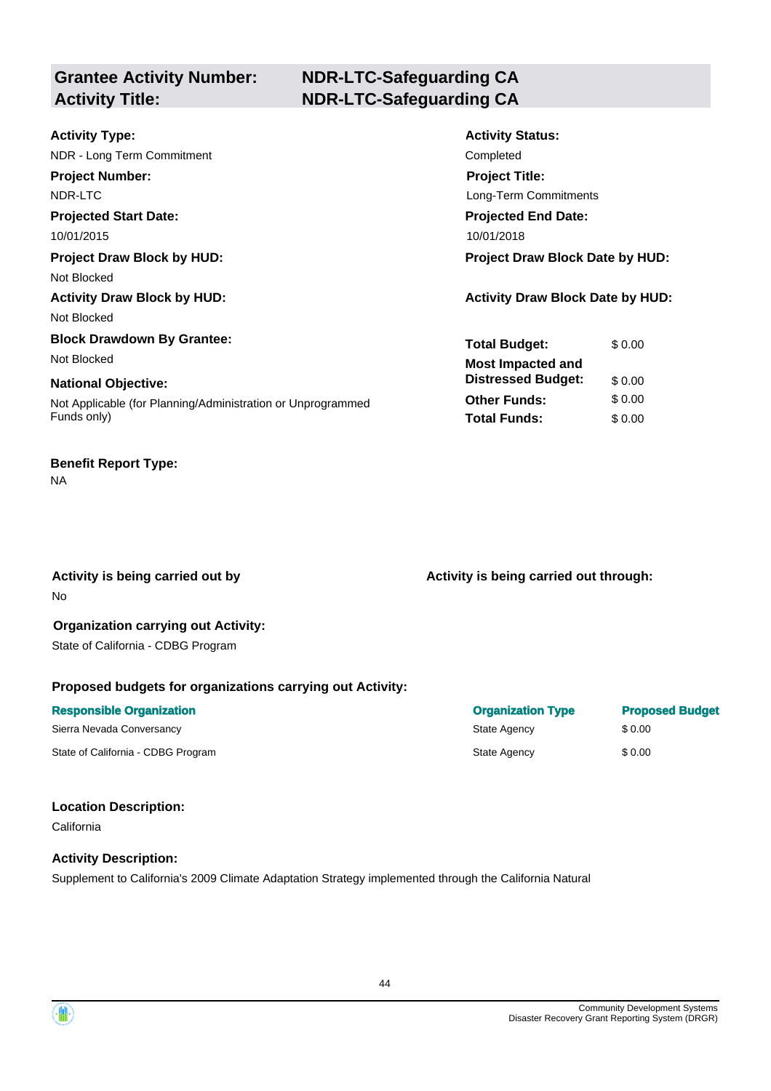# **Grantee Activity Number:**

# **NDR-LTC-Safeguarding CA Activity Title: NDR-LTC-Safeguarding CA**

| <b>Activity Type:</b>                                       | <b>Activity Status:</b>                 |
|-------------------------------------------------------------|-----------------------------------------|
| NDR - Long Term Commitment                                  | Completed                               |
| <b>Project Number:</b>                                      | <b>Project Title:</b>                   |
| NDR-LTC                                                     | Long-Term Commitments                   |
| <b>Projected Start Date:</b>                                | <b>Projected End Date:</b>              |
| 10/01/2015                                                  | 10/01/2018                              |
| <b>Project Draw Block by HUD:</b>                           | <b>Project Draw Block Date by HUD:</b>  |
| Not Blocked                                                 |                                         |
| <b>Activity Draw Block by HUD:</b>                          | <b>Activity Draw Block Date by HUD:</b> |
| Not Blocked                                                 |                                         |
| <b>Block Drawdown By Grantee:</b>                           | <b>Total Budget:</b><br>\$0.00          |
| Not Blocked                                                 | <b>Most Impacted and</b>                |
| <b>National Objective:</b>                                  | <b>Distressed Budget:</b><br>\$0.00     |
| Not Applicable (for Planning/Administration or Unprogrammed | <b>Other Funds:</b><br>\$0.00           |
| Funds only)                                                 | <b>Total Funds:</b><br>\$0.00           |
|                                                             |                                         |

## **Benefit Report Type:**

NA

No

Activity is being carried out by **Activity is being carried out through:**  $\blacksquare$ 

#### **Organization carrying out Activity:**  State of California - CDBG Program

## **Proposed budgets for organizations carrying out Activity:**

| <b>Responsible Organization</b>    | <b>Organization Type</b> | <b>Proposed Budget</b> |
|------------------------------------|--------------------------|------------------------|
| Sierra Nevada Conversancy          | State Agency             | \$ 0.00                |
| State of California - CDBG Program | State Agency             | \$0.00                 |

## **Location Description:**

California

## **Activity Description:**

Supplement to California's 2009 Climate Adaptation Strategy implemented through the California Natural

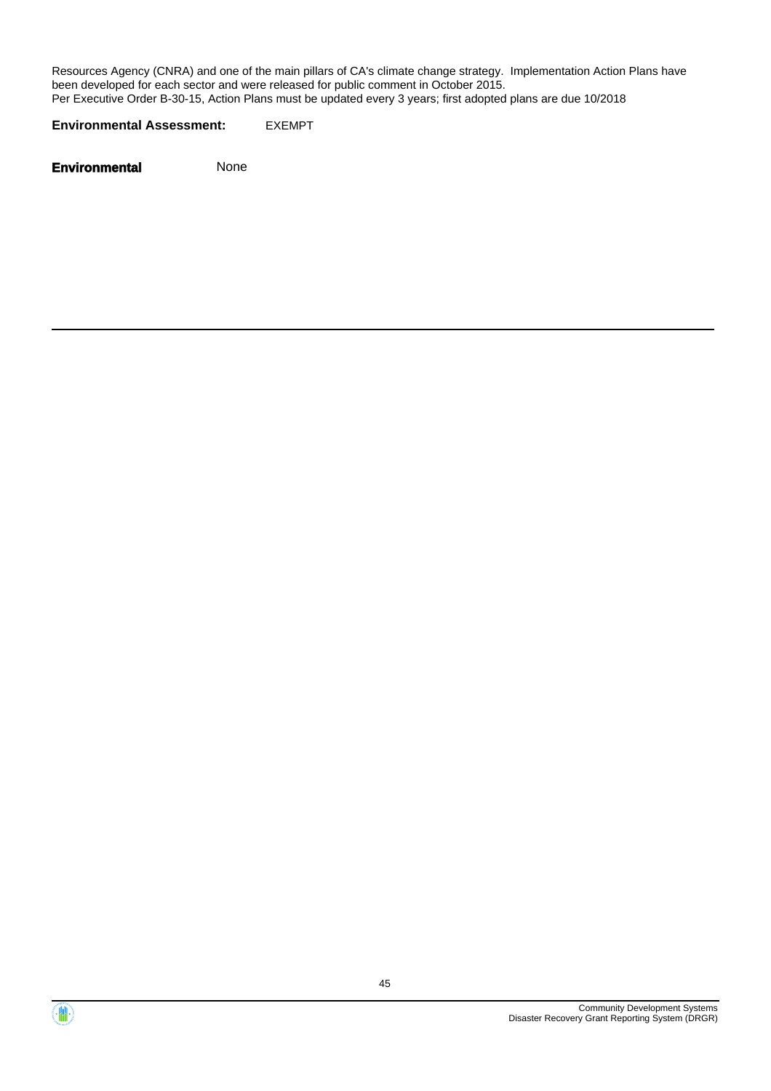Resources Agency (CNRA) and one of the main pillars of CA's climate change strategy. Implementation Action Plans have been developed for each sector and were released for public comment in October 2015. Per Executive Order B-30-15, Action Plans must be updated every 3 years; first adopted plans are due 10/2018

**Environmental Assessment:** EXEMPT



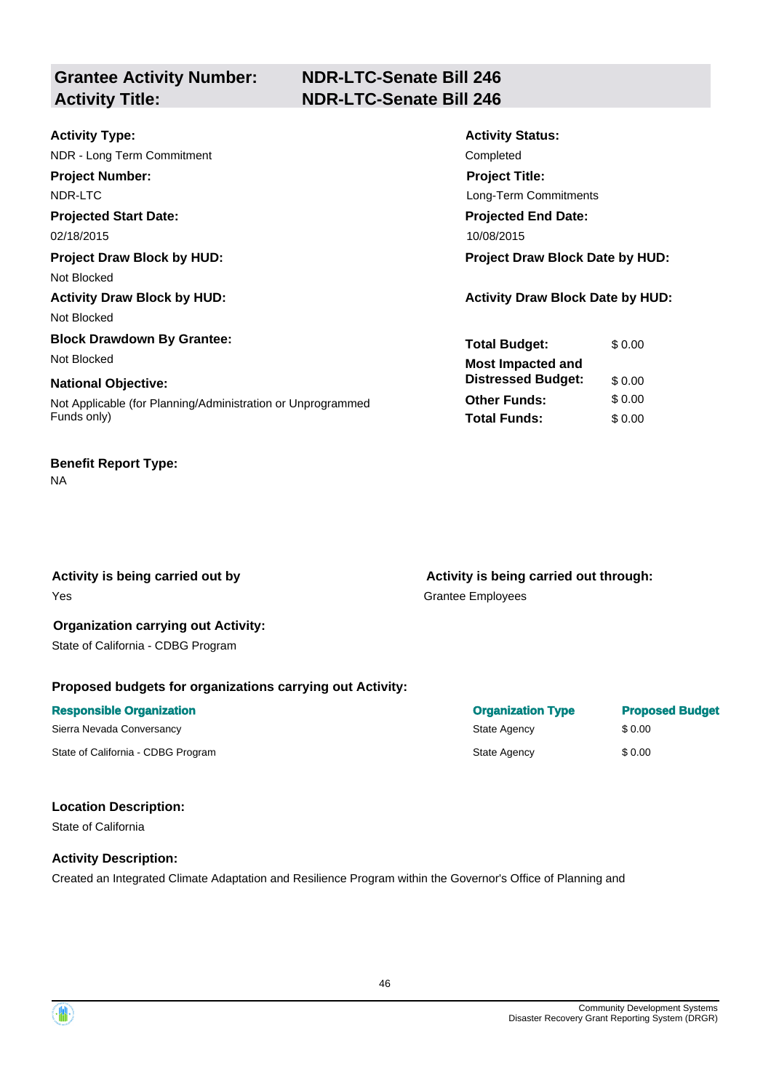**Grantee Activity Number:** 

# **NDR-LTC-Senate Bill 246 Activity Title: NDR-LTC-Senate Bill 246**

| <b>Activity Type:</b>                                       | <b>Activity Status:</b>                 |
|-------------------------------------------------------------|-----------------------------------------|
| NDR - Long Term Commitment                                  | Completed                               |
| <b>Project Number:</b>                                      | <b>Project Title:</b>                   |
| NDR-LTC                                                     | Long-Term Commitments                   |
| <b>Projected Start Date:</b>                                | <b>Projected End Date:</b>              |
| 02/18/2015                                                  | 10/08/2015                              |
| <b>Project Draw Block by HUD:</b>                           | <b>Project Draw Block Date by HUD:</b>  |
| Not Blocked                                                 |                                         |
| <b>Activity Draw Block by HUD:</b>                          | <b>Activity Draw Block Date by HUD:</b> |
| Not Blocked                                                 |                                         |
| <b>Block Drawdown By Grantee:</b>                           | <b>Total Budget:</b><br>\$0.00          |
| Not Blocked                                                 | <b>Most Impacted and</b>                |
| <b>National Objective:</b>                                  | <b>Distressed Budget:</b><br>\$0.00     |
| Not Applicable (for Planning/Administration or Unprogrammed | <b>Other Funds:</b><br>\$0.00           |
| Funds only)                                                 | <b>Total Funds:</b><br>\$0.00           |
|                                                             |                                         |

#### **Benefit Report Type:**  NA

Yes Grantee Employees

Activity is being carried out by **Activity is being carried out through:**  $\blacksquare$ 

#### **Organization carrying out Activity:**  State of California - CDBG Program

#### **Proposed budgets for organizations carrying out Activity:**

| <b>Responsible Organization</b>    | <b>Organization Type</b> | <b>Proposed Budget</b> |
|------------------------------------|--------------------------|------------------------|
| Sierra Nevada Conversancy          | State Agency             | \$ 0.00                |
| State of California - CDBG Program | State Agency             | \$0.00                 |

#### **Location Description:**

State of California

#### **Activity Description:**

Created an Integrated Climate Adaptation and Resilience Program within the Governor's Office of Planning and

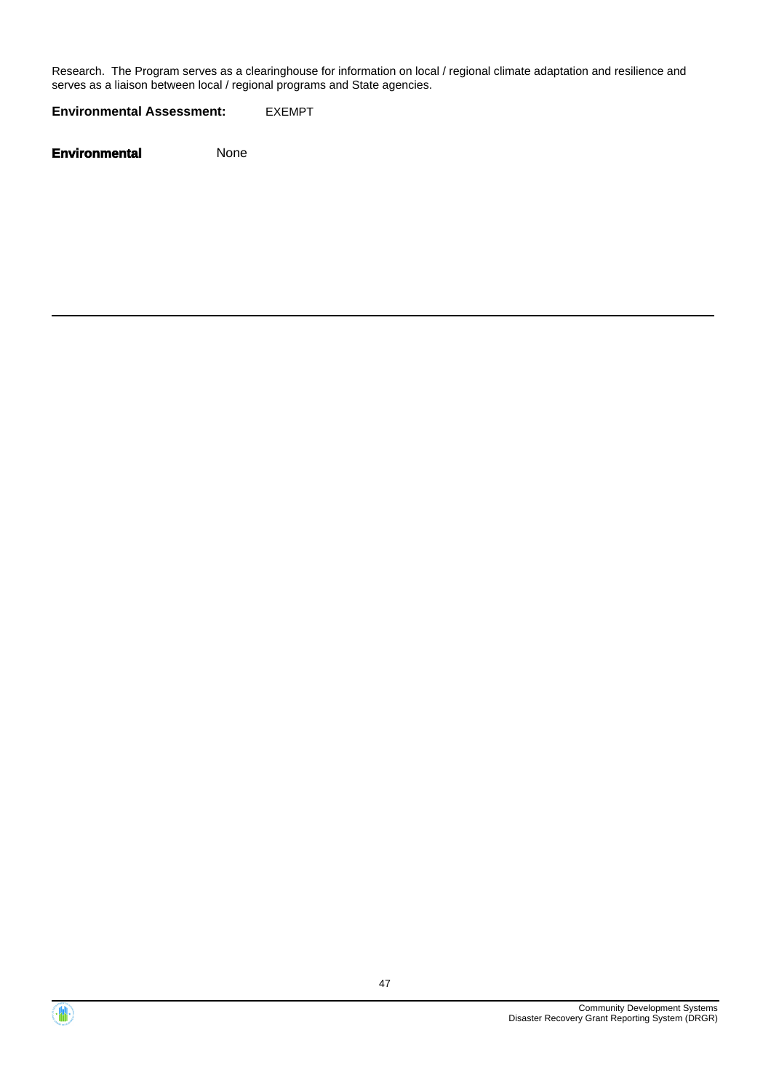Research. The Program serves as a clearinghouse for information on local / regional climate adaptation and resilience and serves as a liaison between local / regional programs and State agencies.

**Environmental Assessment:** EXEMPT



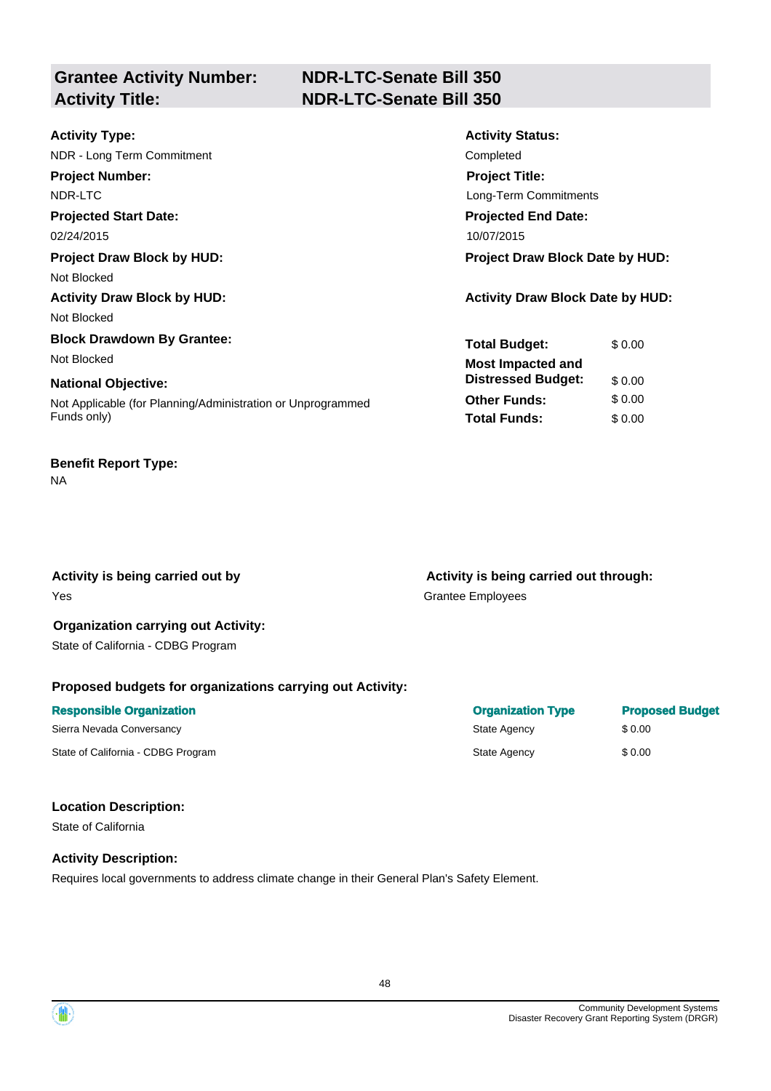**Grantee Activity Number:** 

# **NDR-LTC-Senate Bill 350 Activity Title: NDR-LTC-Senate Bill 350**

| <b>Activity Type:</b>                                       | <b>Activity Status:</b>                 |
|-------------------------------------------------------------|-----------------------------------------|
| NDR - Long Term Commitment                                  | Completed                               |
| <b>Project Number:</b>                                      | <b>Project Title:</b>                   |
| NDR-LTC                                                     | Long-Term Commitments                   |
| <b>Projected Start Date:</b>                                | <b>Projected End Date:</b>              |
| 02/24/2015                                                  | 10/07/2015                              |
| <b>Project Draw Block by HUD:</b>                           | <b>Project Draw Block Date by HUD:</b>  |
| Not Blocked                                                 |                                         |
| <b>Activity Draw Block by HUD:</b>                          | <b>Activity Draw Block Date by HUD:</b> |
| Not Blocked                                                 |                                         |
| <b>Block Drawdown By Grantee:</b>                           | <b>Total Budget:</b><br>\$0.00          |
| Not Blocked                                                 | <b>Most Impacted and</b>                |
| <b>National Objective:</b>                                  | <b>Distressed Budget:</b><br>\$0.00     |
| Not Applicable (for Planning/Administration or Unprogrammed | <b>Other Funds:</b><br>\$0.00           |
| Funds only)                                                 | <b>Total Funds:</b><br>\$0.00           |
|                                                             |                                         |

# **Benefit Report Type:**

NA

Yes Grantee Employees

Activity is being carried out by **Activity is being carried out through:**  $\blacksquare$ 

#### **Organization carrying out Activity:**  State of California - CDBG Program

## **Proposed budgets for organizations carrying out Activity:**

| <b>Responsible Organization</b>    | <b>Organization Type</b> | <b>Proposed Budget</b> |
|------------------------------------|--------------------------|------------------------|
| Sierra Nevada Conversancy          | State Agency             | \$ 0.00                |
| State of California - CDBG Program | State Agency             | \$0.00                 |

#### **Location Description:**

State of California

## **Activity Description:**

Requires local governments to address climate change in their General Plan's Safety Element.

| Organization Type | <b>Proposed Budget</b> |
|-------------------|------------------------|
| State Agency      | \$0.00                 |
| State Agency      | \$0.00                 |

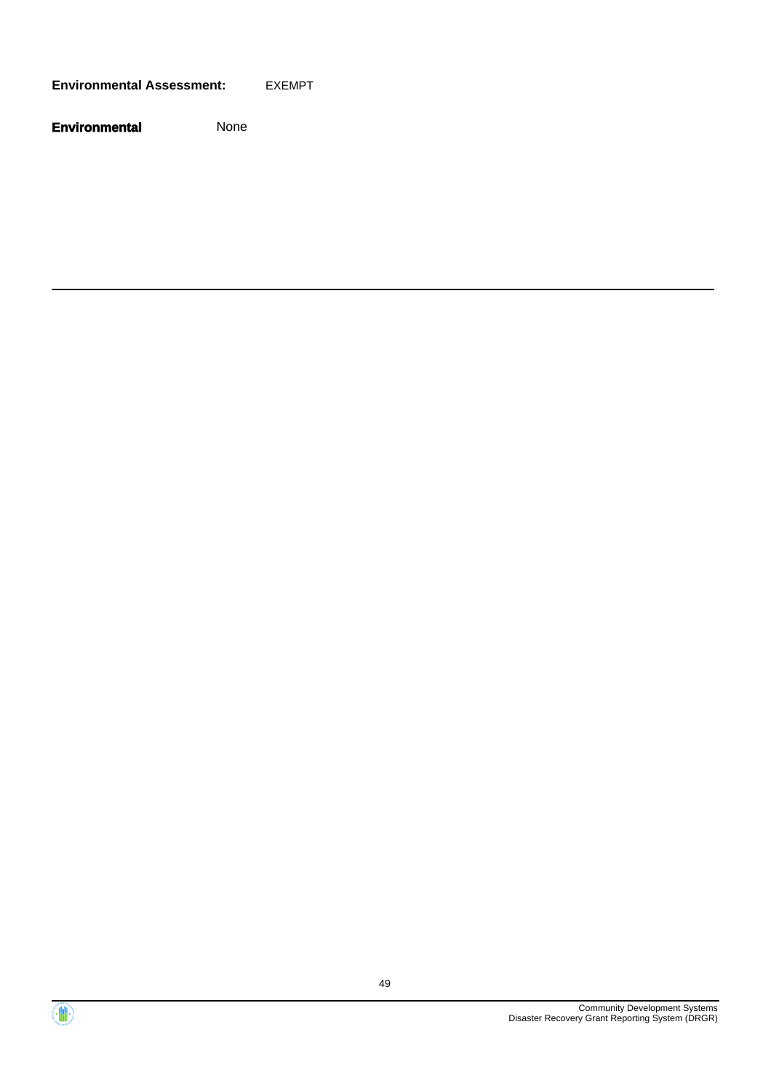**Environmental Assessment:** EXEMPT



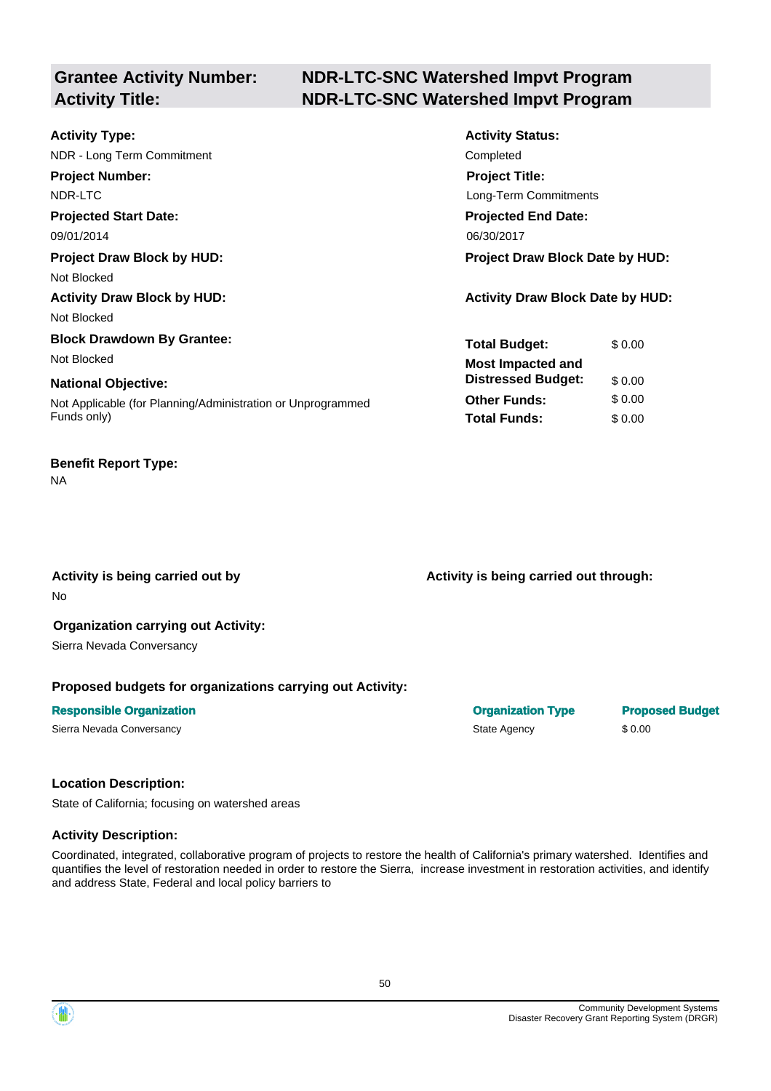# **Grantee Activity Number:**

# **NDR-LTC-SNC Watershed Impvt Program Activity Title: NDR-LTC-SNC Watershed Impvt Program**

| <b>Activity Type:</b>                                       | <b>Activity Status:</b>                 |
|-------------------------------------------------------------|-----------------------------------------|
| NDR - Long Term Commitment                                  | Completed                               |
| <b>Project Number:</b>                                      | <b>Project Title:</b>                   |
| NDR-LTC                                                     | Long-Term Commitments                   |
| <b>Projected Start Date:</b>                                | <b>Projected End Date:</b>              |
| 09/01/2014                                                  | 06/30/2017                              |
| <b>Project Draw Block by HUD:</b>                           | <b>Project Draw Block Date by HUD:</b>  |
| Not Blocked                                                 |                                         |
| <b>Activity Draw Block by HUD:</b>                          | <b>Activity Draw Block Date by HUD:</b> |
| Not Blocked                                                 |                                         |
| <b>Block Drawdown By Grantee:</b>                           | <b>Total Budget:</b><br>\$0.00          |
| Not Blocked                                                 | <b>Most Impacted and</b>                |
| <b>National Objective:</b>                                  | <b>Distressed Budget:</b><br>\$0.00     |
| Not Applicable (for Planning/Administration or Unprogrammed | <b>Other Funds:</b><br>\$0.00           |
| Funds only)                                                 | <b>Total Funds:</b><br>\$0.00           |
|                                                             |                                         |

### **Benefit Report Type:**

NA

No

Activity is being carried out by **Activity is being carried out through:**  $\blacksquare$ 

# **Organization carrying out Activity:**

Sierra Nevada Conversancy

#### **Proposed budgets for organizations carrying out Activity:**

# **Responsible Organization Contracts and Contracts Constructed Budget Construction Type Proposed Budget** Sierra Nevada Conversancy **State Agency** \$ 0.00

#### **Location Description:**

State of California; focusing on watershed areas

#### **Activity Description:**

Coordinated, integrated, collaborative program of projects to restore the health of California's primary watershed. Identifies and quantifies the level of restoration needed in order to restore the Sierra, increase investment in restoration activities, and identify and address State, Federal and local policy barriers to

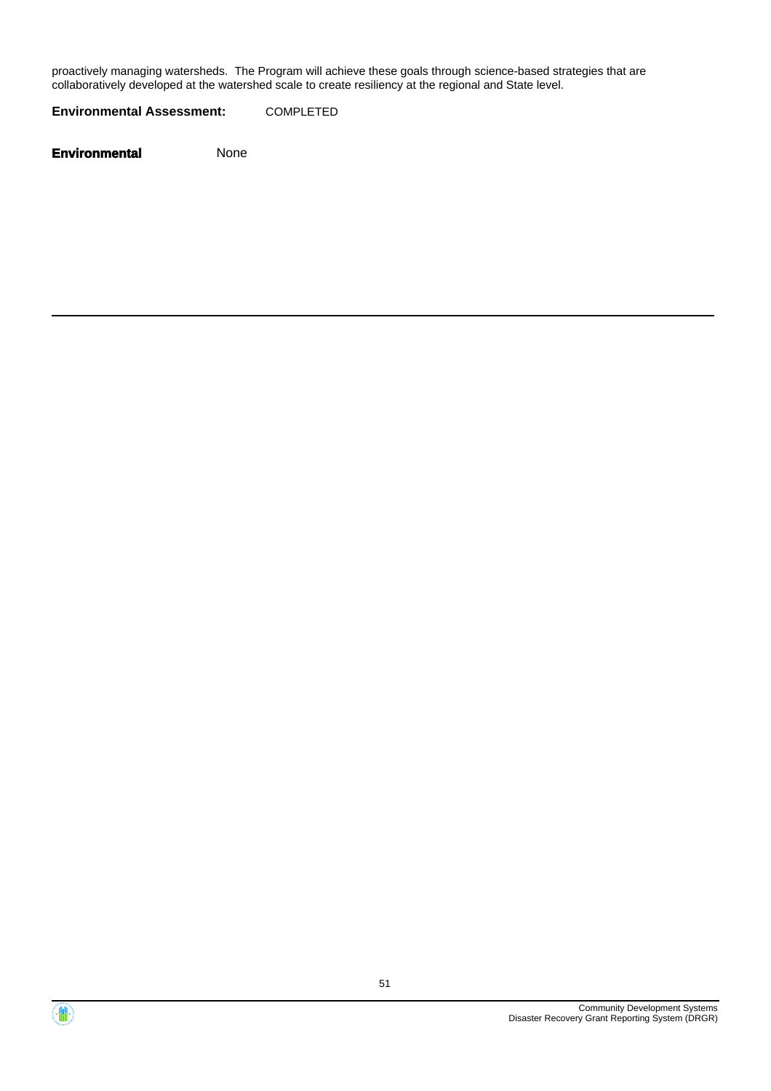proactively managing watersheds. The Program will achieve these goals through science-based strategies that are collaboratively developed at the watershed scale to create resiliency at the regional and State level.

**Environmental Assessment:** COMPLETED



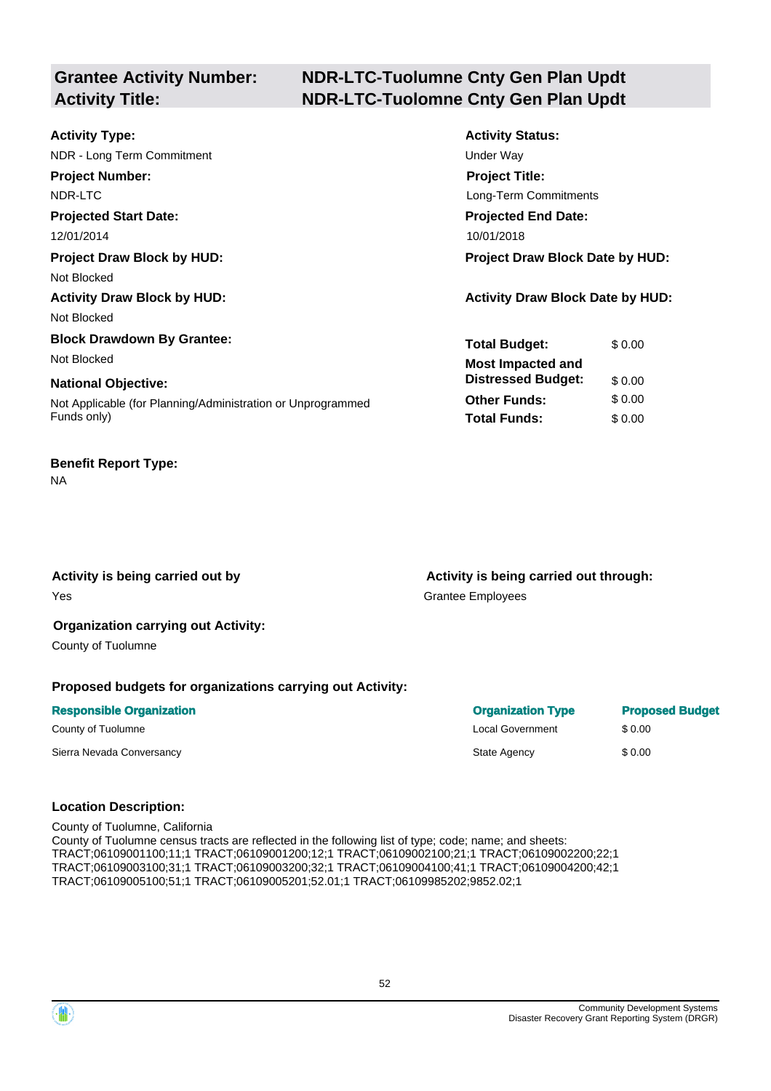# **Grantee Activity Number:**

# **NDR-LTC-Tuolumne Cnty Gen Plan Updt Activity Title: NDR-LTC-Tuolomne Cnty Gen Plan Updt**

| <b>Activity Type:</b>                                       | <b>Activity Status:</b>                 |  |
|-------------------------------------------------------------|-----------------------------------------|--|
| NDR - Long Term Commitment                                  | Under Way                               |  |
| <b>Project Number:</b>                                      | <b>Project Title:</b>                   |  |
| NDR-LTC                                                     | Long-Term Commitments                   |  |
| <b>Projected Start Date:</b>                                | <b>Projected End Date:</b>              |  |
| 12/01/2014                                                  | 10/01/2018                              |  |
| <b>Project Draw Block by HUD:</b>                           | <b>Project Draw Block Date by HUD:</b>  |  |
| Not Blocked                                                 |                                         |  |
| <b>Activity Draw Block by HUD:</b>                          | <b>Activity Draw Block Date by HUD:</b> |  |
| Not Blocked                                                 |                                         |  |
| <b>Block Drawdown By Grantee:</b>                           | <b>Total Budget:</b><br>\$0.00          |  |
| Not Blocked                                                 | <b>Most Impacted and</b>                |  |
| <b>National Objective:</b>                                  | <b>Distressed Budget:</b><br>\$0.00     |  |
| Not Applicable (for Planning/Administration or Unprogrammed | \$0.00<br><b>Other Funds:</b>           |  |
| Funds only)                                                 | <b>Total Funds:</b><br>\$0.00           |  |

#### **Benefit Report Type:**

NA

Activity is being carried out by **Activity is being carried out through:**  $\blacksquare$ Yes Grantee Employees

#### **Organization carrying out Activity:**

County of Tuolumne

#### **Proposed budgets for organizations carrying out Activity:**

| <b>Responsible Organization</b> | <b>Organization Type</b> | <b>Proposed Budget</b> |
|---------------------------------|--------------------------|------------------------|
| County of Tuolumne              | <b>Local Government</b>  | \$ 0.00                |
| Sierra Nevada Conversancy       | State Agency             | \$0.00                 |

#### **Location Description:**

County of Tuolumne, California County of Tuolumne census tracts are reflected in the following list of type; code; name; and sheets: TRACT;06109001100;11;1 TRACT;06109001200;12;1 TRACT;06109002100;21;1 TRACT;06109002200;22;1 TRACT;06109003100;31;1 TRACT;06109003200;32;1 TRACT;06109004100;41;1 TRACT;06109004200;42;1 TRACT;06109005100;51;1 TRACT;06109005201;52.01;1 TRACT;06109985202;9852.02;1

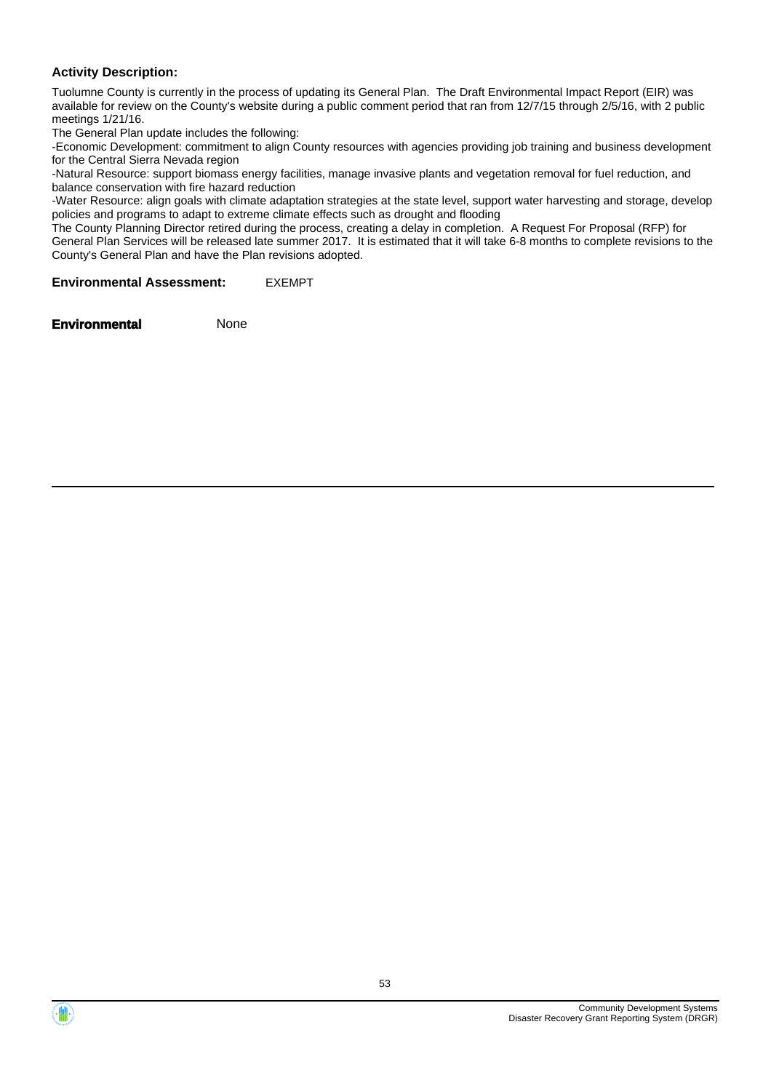#### **Activity Description:**

Tuolumne County is currently in the process of updating its General Plan. The Draft Environmental Impact Report (EIR) was available for review on the County's website during a public comment period that ran from 12/7/15 through 2/5/16, with 2 public meetings 1/21/16.

The General Plan update includes the following:

-Economic Development: commitment to align County resources with agencies providing job training and business development for the Central Sierra Nevada region

-Natural Resource: support biomass energy facilities, manage invasive plants and vegetation removal for fuel reduction, and balance conservation with fire hazard reduction

-Water Resource: align goals with climate adaptation strategies at the state level, support water harvesting and storage, develop policies and programs to adapt to extreme climate effects such as drought and flooding

The County Planning Director retired during the process, creating a delay in completion. A Request For Proposal (RFP) for General Plan Services will be released late summer 2017. It is estimated that it will take 6-8 months to complete revisions to the County's General Plan and have the Plan revisions adopted.

**Environmental Assessment:** EXEMPT

**Environmental** None

Community Development Systems Disaster Recovery Grant Reporting System (DRGR)

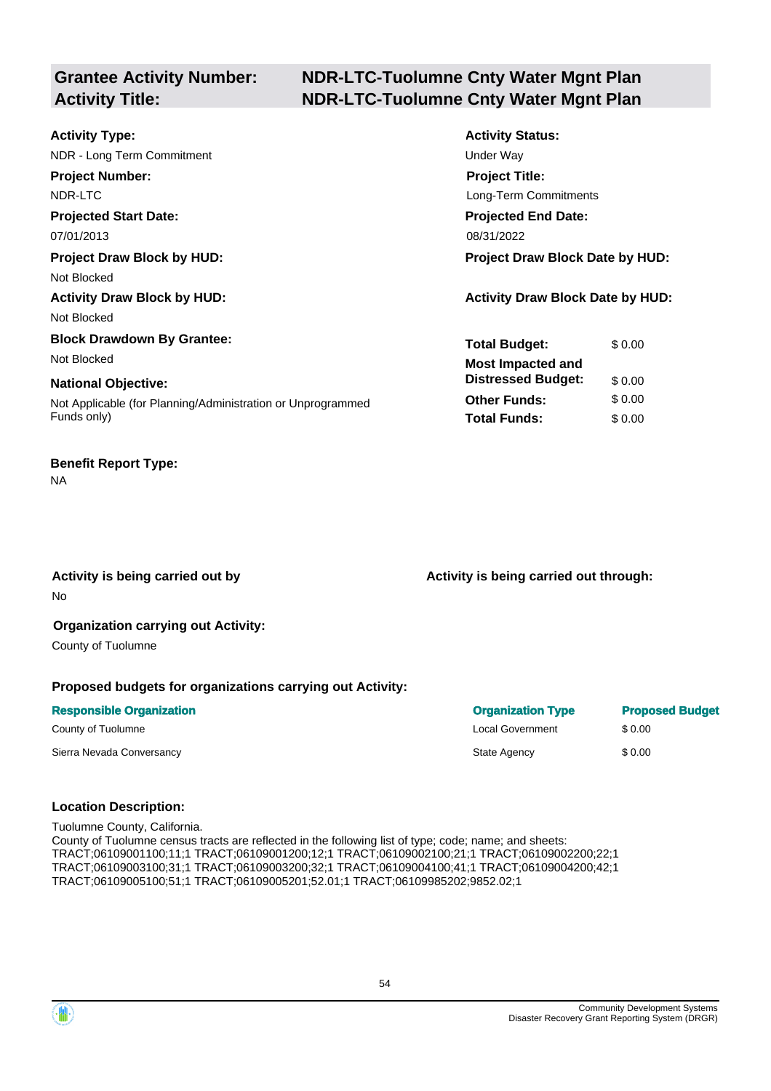# **Grantee Activity Number:**

# **NDR-LTC-Tuolumne Cnty Water Mgnt Plan**  Activity Title: NDR-LTC-Tuolumne Cnty Water Mgnt Plan

| <b>Activity Type:</b>                                       | <b>Activity Status:</b>                 |  |
|-------------------------------------------------------------|-----------------------------------------|--|
| NDR - Long Term Commitment                                  | Under Way                               |  |
| <b>Project Number:</b>                                      | <b>Project Title:</b>                   |  |
| NDR-LTC                                                     | Long-Term Commitments                   |  |
| <b>Projected Start Date:</b>                                | <b>Projected End Date:</b>              |  |
| 07/01/2013                                                  | 08/31/2022                              |  |
| <b>Project Draw Block by HUD:</b>                           | <b>Project Draw Block Date by HUD:</b>  |  |
| Not Blocked                                                 |                                         |  |
| <b>Activity Draw Block by HUD:</b>                          | <b>Activity Draw Block Date by HUD:</b> |  |
| Not Blocked                                                 |                                         |  |
| <b>Block Drawdown By Grantee:</b>                           | <b>Total Budget:</b><br>\$0.00          |  |
| Not Blocked                                                 | <b>Most Impacted and</b>                |  |
| <b>National Objective:</b>                                  | <b>Distressed Budget:</b><br>\$0.00     |  |
| Not Applicable (for Planning/Administration or Unprogrammed | \$0.00<br><b>Other Funds:</b>           |  |
| Funds only)                                                 | <b>Total Funds:</b><br>\$0.00           |  |

#### **Benefit Report Type:**

NA

No

Activity is being carried out by **Activity is being carried out through:**  $\blacksquare$ 

#### **Organization carrying out Activity:**

County of Tuolumne

#### **Proposed budgets for organizations carrying out Activity:**

| <b>Responsible Organization</b> | <b>Organization Type</b> | <b>Proposed Budget</b> |
|---------------------------------|--------------------------|------------------------|
| County of Tuolumne              | <b>Local Government</b>  | \$ 0.00                |
| Sierra Nevada Conversancy       | State Agency             | \$0.00                 |

#### **Location Description:**

Tuolumne County, California. County of Tuolumne census tracts are reflected in the following list of type; code; name; and sheets: TRACT;06109001100;11;1 TRACT;06109001200;12;1 TRACT;06109002100;21;1 TRACT;06109002200;22;1 TRACT;06109003100;31;1 TRACT;06109003200;32;1 TRACT;06109004100;41;1 TRACT;06109004200;42;1 TRACT;06109005100;51;1 TRACT;06109005201;52.01;1 TRACT;06109985202;9852.02;1

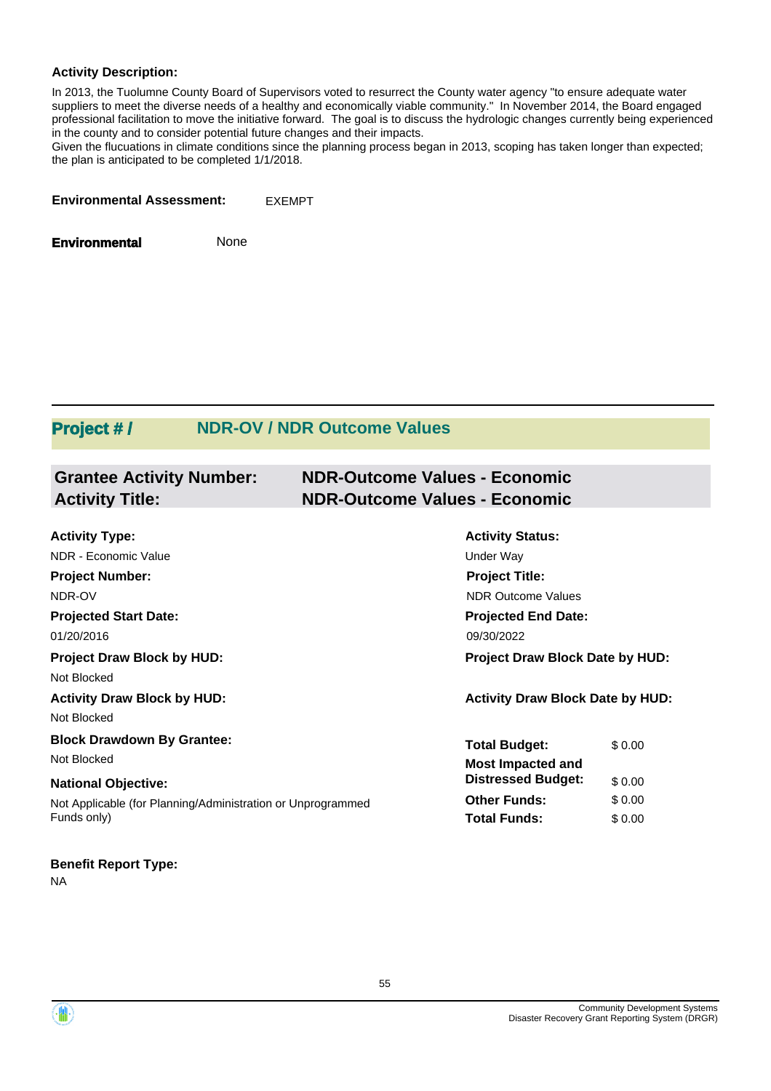#### **Activity Description:**

In 2013, the Tuolumne County Board of Supervisors voted to resurrect the County water agency "to ensure adequate water suppliers to meet the diverse needs of a healthy and economically viable community." In November 2014, the Board engaged professional facilitation to move the initiative forward. The goal is to discuss the hydrologic changes currently being experienced in the county and to consider potential future changes and their impacts.

Given the flucuations in climate conditions since the planning process began in 2013, scoping has taken longer than expected; the plan is anticipated to be completed 1/1/2018.

**Environmental Assessment:** EXEMPT

**Environmental** None

# **Project #/ NDR-OV / NDR Outcome Values**

| <b>Grantee Activity Number:</b><br><b>Activity Title:</b>   | <b>NDR-Outcome Values - Economic</b><br><b>NDR-Outcome Values - Economic</b> |        |
|-------------------------------------------------------------|------------------------------------------------------------------------------|--------|
| <b>Activity Type:</b>                                       | <b>Activity Status:</b>                                                      |        |
| NDR - Economic Value                                        | Under Way                                                                    |        |
| <b>Project Number:</b>                                      | <b>Project Title:</b>                                                        |        |
| NDR-OV                                                      | <b>NDR Outcome Values</b>                                                    |        |
| <b>Projected Start Date:</b>                                | <b>Projected End Date:</b>                                                   |        |
| 01/20/2016                                                  | 09/30/2022                                                                   |        |
| <b>Project Draw Block by HUD:</b>                           | <b>Project Draw Block Date by HUD:</b>                                       |        |
| Not Blocked                                                 |                                                                              |        |
| <b>Activity Draw Block by HUD:</b>                          | <b>Activity Draw Block Date by HUD:</b>                                      |        |
| Not Blocked                                                 |                                                                              |        |
| <b>Block Drawdown By Grantee:</b>                           | <b>Total Budget:</b>                                                         | \$0.00 |
| Not Blocked                                                 | <b>Most Impacted and</b>                                                     |        |
| <b>National Objective:</b>                                  | <b>Distressed Budget:</b>                                                    | \$0.00 |
| Not Applicable (for Planning/Administration or Unprogrammed | <b>Other Funds:</b>                                                          | \$0.00 |
| Funds only)                                                 | <b>Total Funds:</b>                                                          | \$0.00 |

**Benefit Report Type:** 

NA



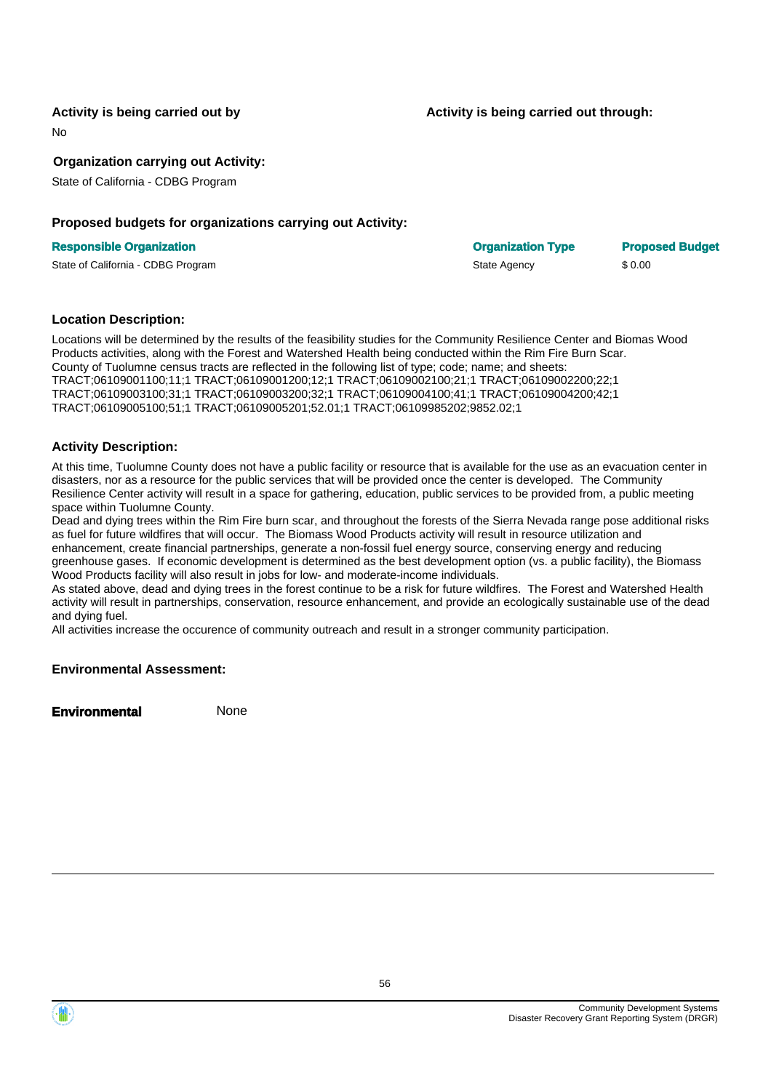#### **Activity is being carried out by**

No

**Organization carrying out Activity:** 

State of California - CDBG Program

#### **Proposed budgets for organizations carrying out Activity:**

#### **Activity is being carried out through:**

| <b>Responsible Organization</b>    | <b>Organization Type</b> | <b>Proposed Budget</b> |
|------------------------------------|--------------------------|------------------------|
| State of California - CDBG Program | State Agency             | \$0.00                 |

#### **Location Description:**

Locations will be determined by the results of the feasibility studies for the Community Resilience Center and Biomas Wood Products activities, along with the Forest and Watershed Health being conducted within the Rim Fire Burn Scar. County of Tuolumne census tracts are reflected in the following list of type; code; name; and sheets: TRACT;06109001100;11;1 TRACT;06109001200;12;1 TRACT;06109002100;21;1 TRACT;06109002200;22;1 TRACT;06109003100;31;1 TRACT;06109003200;32;1 TRACT;06109004100;41;1 TRACT;06109004200;42;1 TRACT;06109005100;51;1 TRACT;06109005201;52.01;1 TRACT;06109985202;9852.02;1

#### **Activity Description:**

At this time, Tuolumne County does not have a public facility or resource that is available for the use as an evacuation center in disasters, nor as a resource for the public services that will be provided once the center is developed. The Community Resilience Center activity will result in a space for gathering, education, public services to be provided from, a public meeting space within Tuolumne County.

Dead and dying trees within the Rim Fire burn scar, and throughout the forests of the Sierra Nevada range pose additional risks as fuel for future wildfires that will occur. The Biomass Wood Products activity will result in resource utilization and enhancement, create financial partnerships, generate a non-fossil fuel energy source, conserving energy and reducing greenhouse gases. If economic development is determined as the best development option (vs. a public facility), the Biomass Wood Products facility will also result in jobs for low- and moderate-income individuals.

As stated above, dead and dying trees in the forest continue to be a risk for future wildfires. The Forest and Watershed Health activity will result in partnerships, conservation, resource enhancement, and provide an ecologically sustainable use of the dead and dying fuel.

All activities increase the occurence of community outreach and result in a stronger community participation.

#### **Environmental Assessment:**

**Environmental** None

56

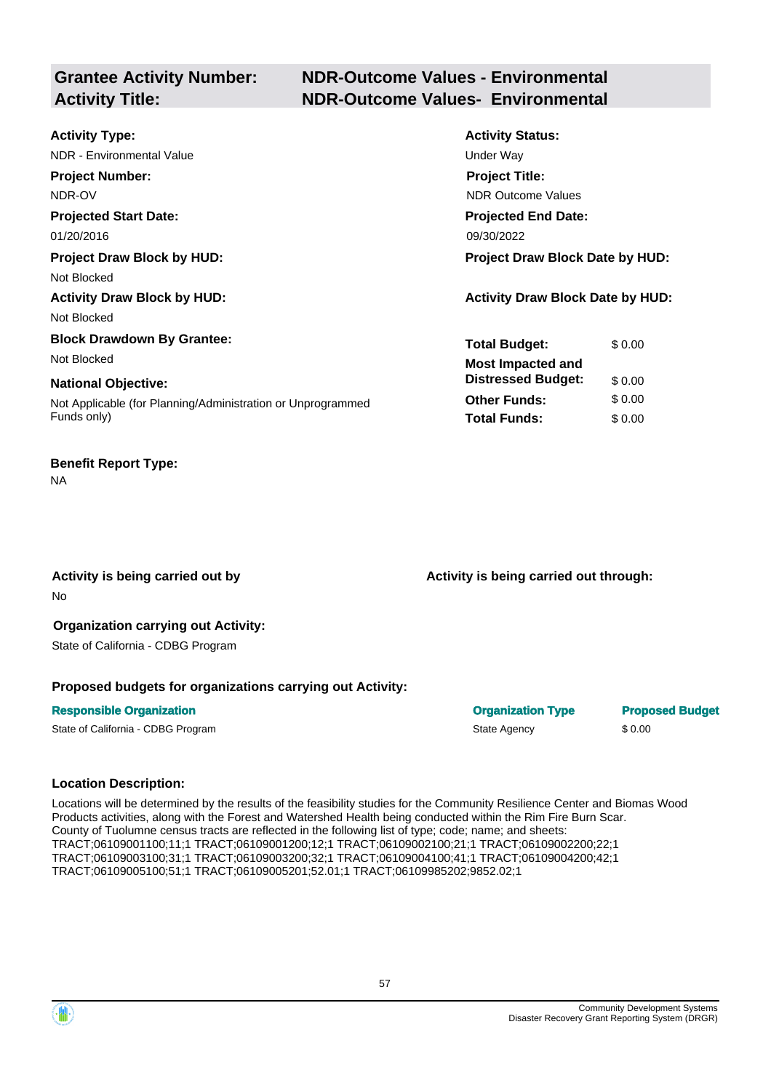# **Grantee Activity Number: NDR-Outcome Values - Environmental Activity Title: NDR-Outcome Values- Environmental**

| <b>Activity Type:</b>                                       | <b>Activity Status:</b>                 |
|-------------------------------------------------------------|-----------------------------------------|
| NDR - Environmental Value                                   | Under Way                               |
| <b>Project Number:</b>                                      | <b>Project Title:</b>                   |
| NDR-OV                                                      | <b>NDR Outcome Values</b>               |
| <b>Projected Start Date:</b>                                | <b>Projected End Date:</b>              |
| 01/20/2016                                                  | 09/30/2022                              |
| <b>Project Draw Block by HUD:</b>                           | <b>Project Draw Block Date by HUD:</b>  |
| Not Blocked                                                 |                                         |
| <b>Activity Draw Block by HUD:</b>                          | <b>Activity Draw Block Date by HUD:</b> |
| Not Blocked                                                 |                                         |
| <b>Block Drawdown By Grantee:</b>                           | <b>Total Budget:</b><br>\$0.00          |
| Not Blocked                                                 | <b>Most Impacted and</b>                |
| <b>National Objective:</b>                                  | <b>Distressed Budget:</b><br>\$0.00     |
| Not Applicable (for Planning/Administration or Unprogrammed | <b>Other Funds:</b><br>\$0.00           |
| Funds only)                                                 | <b>Total Funds:</b><br>\$0.00           |
|                                                             |                                         |

#### **Benefit Report Type:**

NA

No

Activity is being carried out by **Activity is being carried out through:**  $\blacksquare$ 

#### **Organization carrying out Activity:**  State of California - CDBG Program

#### **Proposed budgets for organizations carrying out Activity:**

# **Responsible Organization Contracts and Contracts Contracts Contracts Contracts Contracts Contracts Contracts Contracts Contracts Contracts Contracts Contracts Contracts Contracts Contracts Contracts Contracts Contracts Co** State of California - CDBG Program State Agency \$ 0.00

## **Location Description:**

Locations will be determined by the results of the feasibility studies for the Community Resilience Center and Biomas Wood Products activities, along with the Forest and Watershed Health being conducted within the Rim Fire Burn Scar. County of Tuolumne census tracts are reflected in the following list of type; code; name; and sheets: TRACT;06109001100;11;1 TRACT;06109001200;12;1 TRACT;06109002100;21;1 TRACT;06109002200;22;1 TRACT;06109003100;31;1 TRACT;06109003200;32;1 TRACT;06109004100;41;1 TRACT;06109004200;42;1 TRACT;06109005100;51;1 TRACT;06109005201;52.01;1 TRACT;06109985202;9852.02;1

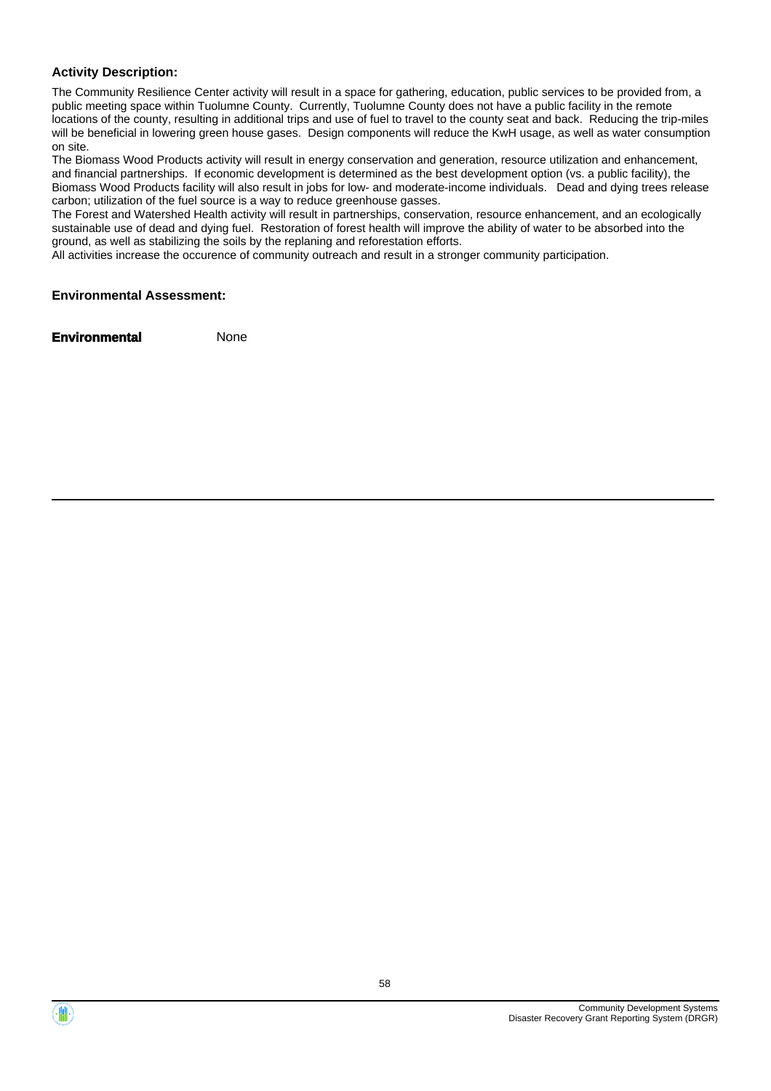#### **Activity Description:**

The Community Resilience Center activity will result in a space for gathering, education, public services to be provided from, a public meeting space within Tuolumne County. Currently, Tuolumne County does not have a public facility in the remote locations of the county, resulting in additional trips and use of fuel to travel to the county seat and back. Reducing the trip-miles will be beneficial in lowering green house gases. Design components will reduce the KwH usage, as well as water consumption on site.

The Biomass Wood Products activity will result in energy conservation and generation, resource utilization and enhancement, and financial partnerships. If economic development is determined as the best development option (vs. a public facility), the Biomass Wood Products facility will also result in jobs for low- and moderate-income individuals. Dead and dying trees release carbon; utilization of the fuel source is a way to reduce greenhouse gasses.

The Forest and Watershed Health activity will result in partnerships, conservation, resource enhancement, and an ecologically sustainable use of dead and dying fuel. Restoration of forest health will improve the ability of water to be absorbed into the ground, as well as stabilizing the soils by the replaning and reforestation efforts.

All activities increase the occurence of community outreach and result in a stronger community participation.

#### **Environmental Assessment:**



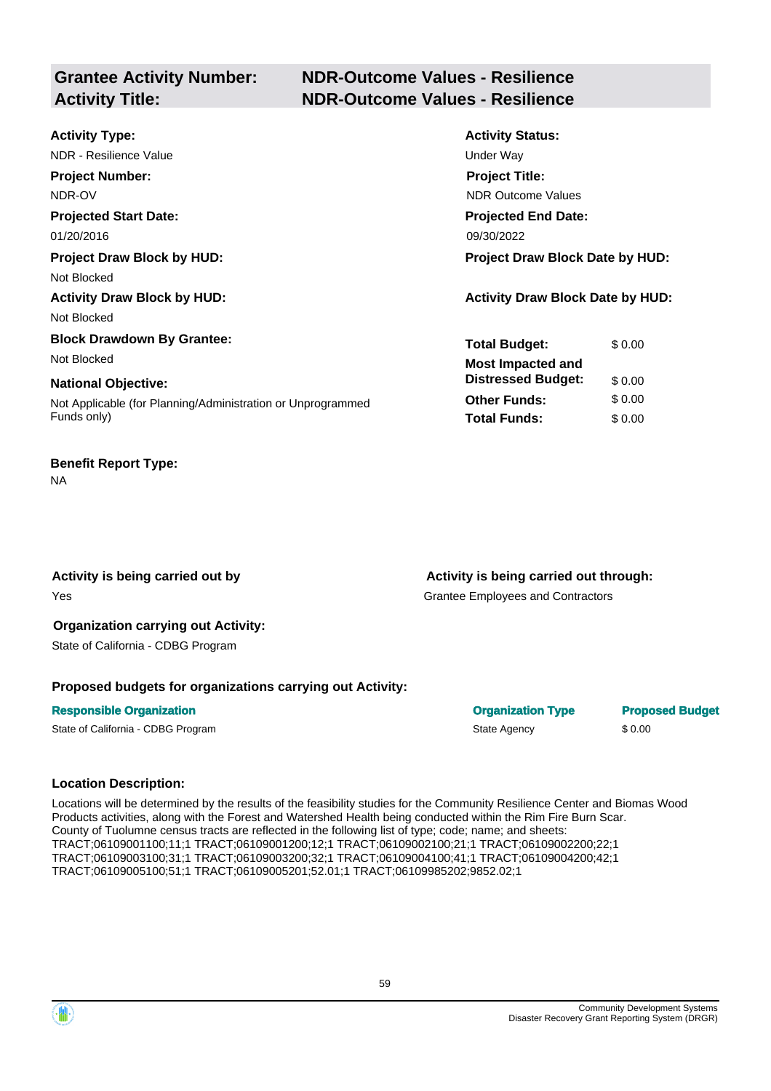# **Grantee Activity Number: NDR-Outcome Values - Resilience Activity Title: NDR-Outcome Values - Resilience**

| <b>Activity Type:</b>                                       | <b>Activity Status:</b>                 |
|-------------------------------------------------------------|-----------------------------------------|
| NDR - Resilience Value                                      | Under Way                               |
| <b>Project Number:</b>                                      | <b>Project Title:</b>                   |
| NDR-OV                                                      | <b>NDR Outcome Values</b>               |
| <b>Projected Start Date:</b>                                | <b>Projected End Date:</b>              |
| 01/20/2016                                                  | 09/30/2022                              |
| <b>Project Draw Block by HUD:</b>                           | Project Draw Block Date by HUD:         |
| Not Blocked                                                 |                                         |
| <b>Activity Draw Block by HUD:</b>                          | <b>Activity Draw Block Date by HUD:</b> |
| Not Blocked                                                 |                                         |
| <b>Block Drawdown By Grantee:</b>                           | <b>Total Budget:</b><br>\$0.00          |
| Not Blocked                                                 | <b>Most Impacted and</b>                |
| <b>National Objective:</b>                                  | <b>Distressed Budget:</b><br>\$0.00     |
| Not Applicable (for Planning/Administration or Unprogrammed | \$0.00<br><b>Other Funds:</b>           |
| Funds only)                                                 | <b>Total Funds:</b><br>\$0.00           |
|                                                             |                                         |

#### **Benefit Report Type:**

NA

**Activity is being carried out by**  Yes

**Activity is being carried out through:** 

Grantee Employees and Contractors

#### **Organization carrying out Activity:**  State of California - CDBG Program

#### **Proposed budgets for organizations carrying out Activity:**

## **Responsible Organization Contracts and Contracts Contracts Contracts Contracts Contracts Contracts Contracts Contracts Contracts Contracts Contracts Contracts Contracts Contracts Contracts Contracts Contracts Contracts Co** State of California - CDBG Program State Agency \$ 0.00

## **Location Description:**

Locations will be determined by the results of the feasibility studies for the Community Resilience Center and Biomas Wood Products activities, along with the Forest and Watershed Health being conducted within the Rim Fire Burn Scar. County of Tuolumne census tracts are reflected in the following list of type; code; name; and sheets: TRACT;06109001100;11;1 TRACT;06109001200;12;1 TRACT;06109002100;21;1 TRACT;06109002200;22;1 TRACT;06109003100;31;1 TRACT;06109003200;32;1 TRACT;06109004100;41;1 TRACT;06109004200;42;1 TRACT;06109005100;51;1 TRACT;06109005201;52.01;1 TRACT;06109985202;9852.02;1

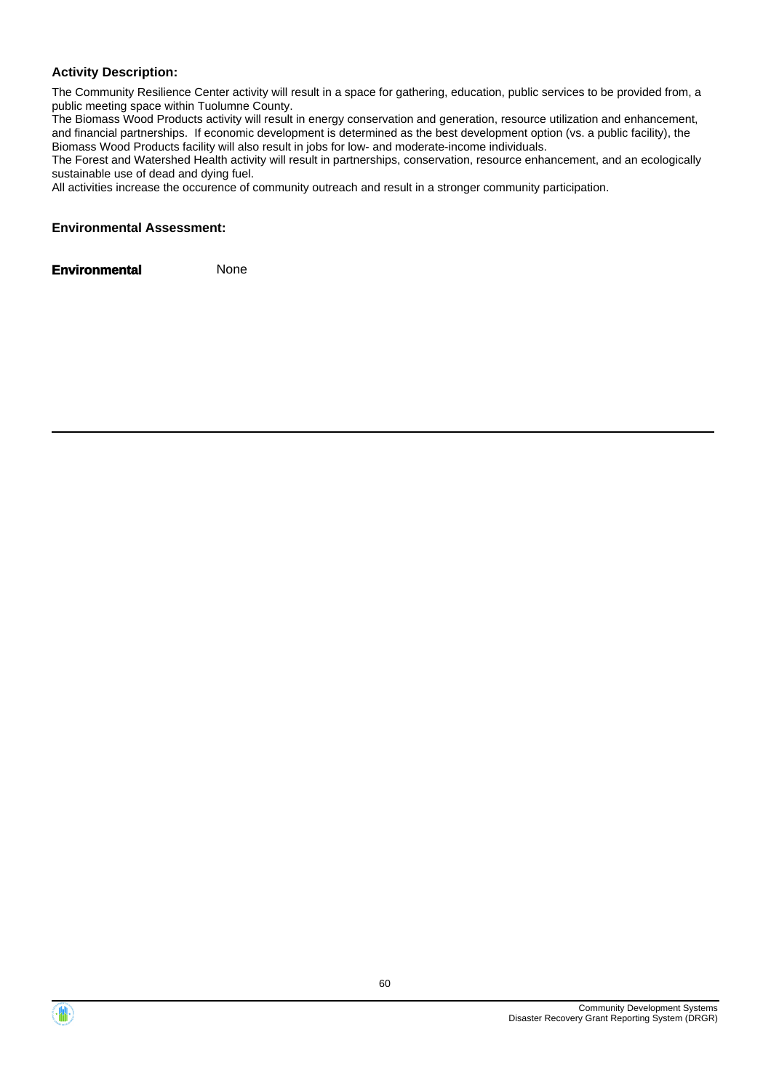#### **Activity Description:**

The Community Resilience Center activity will result in a space for gathering, education, public services to be provided from, a public meeting space within Tuolumne County.

The Biomass Wood Products activity will result in energy conservation and generation, resource utilization and enhancement, and financial partnerships. If economic development is determined as the best development option (vs. a public facility), the Biomass Wood Products facility will also result in jobs for low- and moderate-income individuals.

The Forest and Watershed Health activity will result in partnerships, conservation, resource enhancement, and an ecologically sustainable use of dead and dying fuel.

All activities increase the occurence of community outreach and result in a stronger community participation.

#### **Environmental Assessment:**

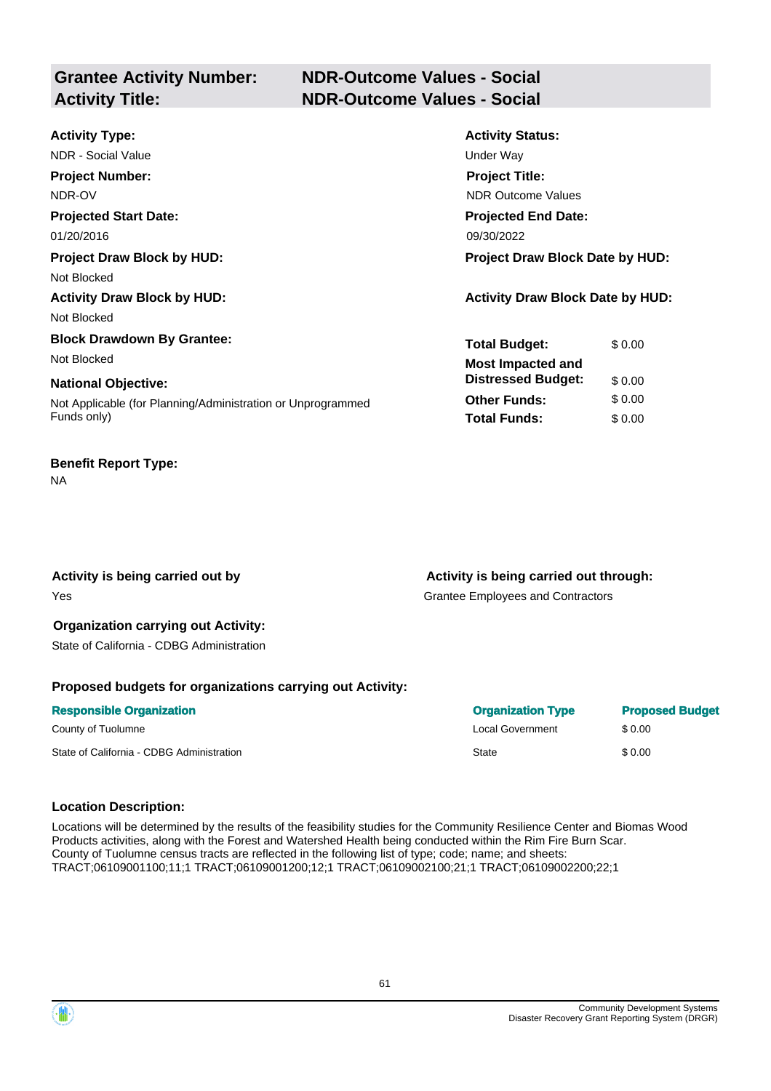# **Grantee Activity Number: NDR-Outcome Values - Social Activity Title: NDR-Outcome Values - Social**

| <b>Activity Type:</b>                                       | <b>Activity Status:</b>                 |
|-------------------------------------------------------------|-----------------------------------------|
| NDR - Social Value                                          | Under Way                               |
| <b>Project Number:</b>                                      | <b>Project Title:</b>                   |
| NDR-OV                                                      | <b>NDR Outcome Values</b>               |
| <b>Projected Start Date:</b>                                | <b>Projected End Date:</b>              |
| 01/20/2016                                                  | 09/30/2022                              |
| <b>Project Draw Block by HUD:</b>                           | Project Draw Block Date by HUD:         |
| Not Blocked                                                 |                                         |
| <b>Activity Draw Block by HUD:</b>                          | <b>Activity Draw Block Date by HUD:</b> |
| Not Blocked                                                 |                                         |
| <b>Block Drawdown By Grantee:</b>                           | <b>Total Budget:</b><br>\$0.00          |
| Not Blocked                                                 | <b>Most Impacted and</b>                |
| <b>National Objective:</b>                                  | <b>Distressed Budget:</b><br>\$0.00     |
| Not Applicable (for Planning/Administration or Unprogrammed | <b>Other Funds:</b><br>\$0.00           |
| Funds only)                                                 | <b>Total Funds:</b><br>\$0.00           |
|                                                             |                                         |

#### **Benefit Report Type:**

NA

Activity is being carried out by **Activity is being carried out through:**  $\blacksquare$ 

Yes Grantee Employees and Contractors

# **Organization carrying out Activity:**

State of California - CDBG Administration

## **Proposed budgets for organizations carrying out Activity:**

| <b>Responsible Organization</b>           | <b>Organization Type</b> | <b>Proposed Budget</b> |
|-------------------------------------------|--------------------------|------------------------|
| County of Tuolumne                        | Local Government         | \$ 0.00                |
| State of California - CDBG Administration | State                    | \$0.00                 |

#### **Location Description:**

Locations will be determined by the results of the feasibility studies for the Community Resilience Center and Biomas Wood Products activities, along with the Forest and Watershed Health being conducted within the Rim Fire Burn Scar. County of Tuolumne census tracts are reflected in the following list of type; code; name; and sheets: TRACT;06109001100;11;1 TRACT;06109001200;12;1 TRACT;06109002100;21;1 TRACT;06109002200;22;1

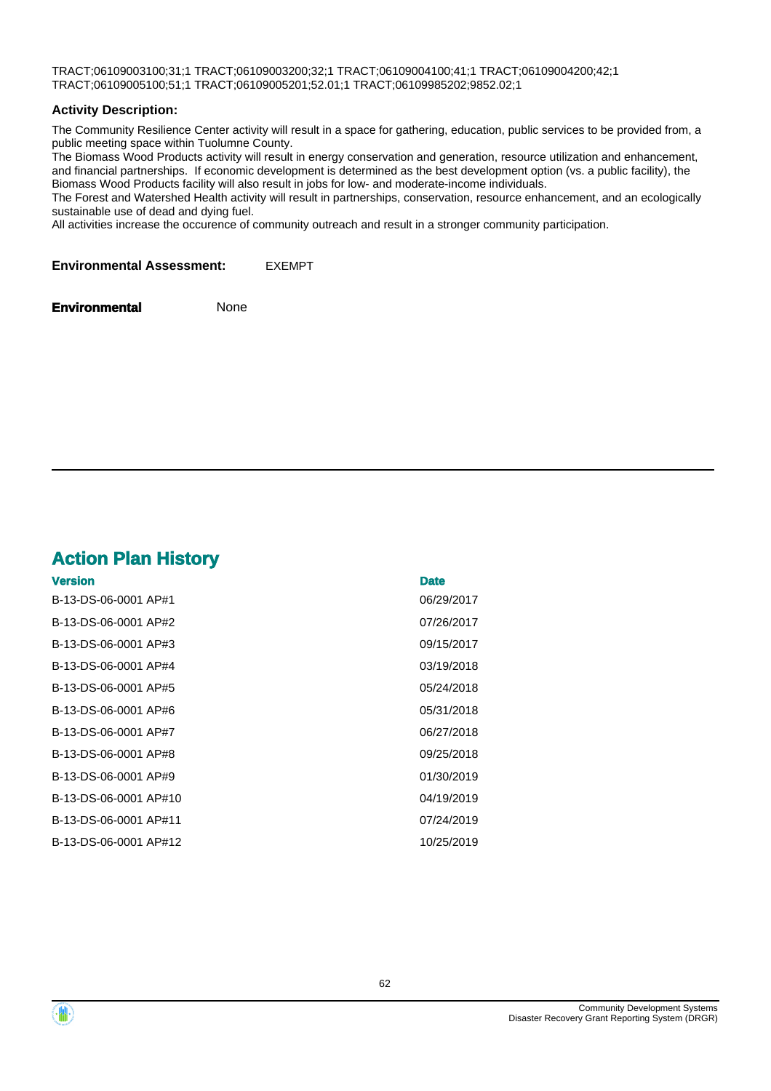TRACT;06109003100;31;1 TRACT;06109003200;32;1 TRACT;06109004100;41;1 TRACT;06109004200;42;1 TRACT;06109005100;51;1 TRACT;06109005201;52.01;1 TRACT;06109985202;9852.02;1

#### **Activity Description:**

The Community Resilience Center activity will result in a space for gathering, education, public services to be provided from, a public meeting space within Tuolumne County.

The Biomass Wood Products activity will result in energy conservation and generation, resource utilization and enhancement, and financial partnerships. If economic development is determined as the best development option (vs. a public facility), the Biomass Wood Products facility will also result in jobs for low- and moderate-income individuals.

The Forest and Watershed Health activity will result in partnerships, conservation, resource enhancement, and an ecologically sustainable use of dead and dying fuel.

All activities increase the occurence of community outreach and result in a stronger community participation.

**Environmental Assessment:** EXEMPT

**Environmental** None

# **Action Plan History**

| <b>Version</b>        | <b>Date</b> |
|-----------------------|-------------|
| B-13-DS-06-0001 AP#1  | 06/29/2017  |
| B-13-DS-06-0001 AP#2  | 07/26/2017  |
| B-13-DS-06-0001 AP#3  | 09/15/2017  |
| B-13-DS-06-0001 AP#4  | 03/19/2018  |
| B-13-DS-06-0001 AP#5  | 05/24/2018  |
| B-13-DS-06-0001 AP#6  | 05/31/2018  |
| B-13-DS-06-0001 AP#7  | 06/27/2018  |
| B-13-DS-06-0001 AP#8  | 09/25/2018  |
| B-13-DS-06-0001 AP#9  | 01/30/2019  |
| B-13-DS-06-0001 AP#10 | 04/19/2019  |
| B-13-DS-06-0001 AP#11 | 07/24/2019  |
| B-13-DS-06-0001 AP#12 | 10/25/2019  |